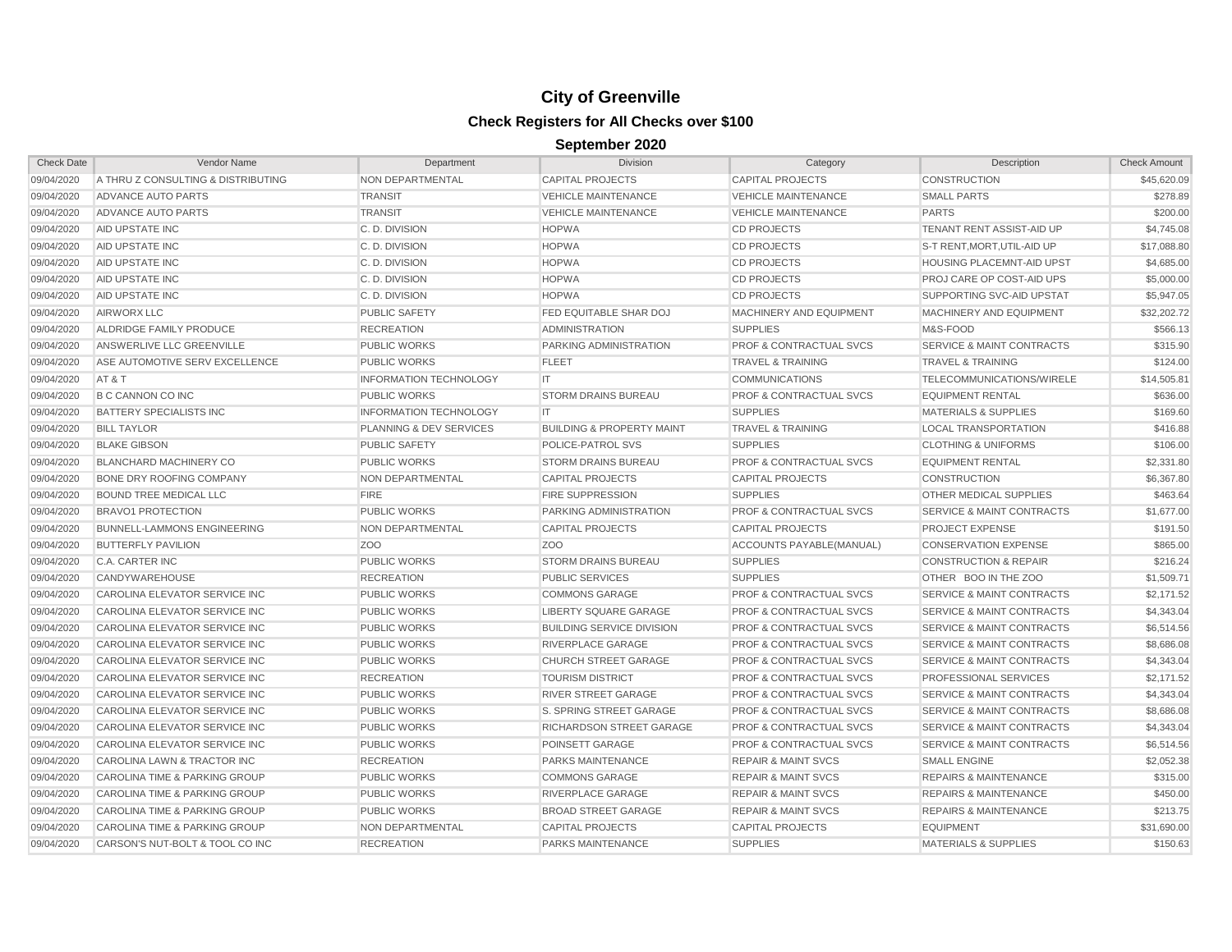| <b>Check Date</b> | Vendor Name                              | Department                         | <b>Division</b>                      | Category                           | Description                          | <b>Check Amount</b> |
|-------------------|------------------------------------------|------------------------------------|--------------------------------------|------------------------------------|--------------------------------------|---------------------|
| 09/04/2020        | A THRU Z CONSULTING & DISTRIBUTING       | NON DEPARTMENTAL                   | <b>CAPITAL PROJECTS</b>              | <b>CAPITAL PROJECTS</b>            | <b>CONSTRUCTION</b>                  | \$45,620.09         |
| 09/04/2020        | ADVANCE AUTO PARTS                       | <b>TRANSIT</b>                     | <b>VEHICLE MAINTENANCE</b>           | <b>VEHICLE MAINTENANCE</b>         | <b>SMALL PARTS</b>                   | \$278.89            |
| 09/04/2020        | ADVANCE AUTO PARTS                       | <b>TRANSIT</b>                     | <b>VEHICLE MAINTENANCE</b>           | <b>VEHICLE MAINTENANCE</b>         | <b>PARTS</b>                         | \$200.00            |
| 09/04/2020        | AID UPSTATE INC                          | C.D. DIVISION                      | <b>HOPWA</b>                         | <b>CD PROJECTS</b>                 | TENANT RENT ASSIST-AID UP            | \$4,745.08          |
| 09/04/2020        | <b>AID UPSTATE INC</b>                   | C.D. DIVISION                      | <b>HOPWA</b>                         | <b>CD PROJECTS</b>                 | S-T RENT, MORT, UTIL-AID UP          | \$17,088.80         |
| 09/04/2020        | AID UPSTATE INC                          | C.D. DIVISION                      | <b>HOPWA</b>                         | <b>CD PROJECTS</b>                 | <b>HOUSING PLACEMNT-AID UPST</b>     | \$4,685.00          |
| 09/04/2020        | AID UPSTATE INC                          | C.D. DIVISION                      | <b>HOPWA</b>                         | <b>CD PROJECTS</b>                 | PROJ CARE OP COST-AID UPS            | \$5,000.00          |
| 09/04/2020        | AID UPSTATE INC                          | C.D. DIVISION                      | <b>HOPWA</b>                         | <b>CD PROJECTS</b>                 | SUPPORTING SVC-AID UPSTAT            | \$5,947.05          |
| 09/04/2020        | <b>AIRWORX LLC</b>                       | <b>PUBLIC SAFETY</b>               | FED EQUITABLE SHAR DOJ               | MACHINERY AND EQUIPMENT            | MACHINERY AND EQUIPMENT              | \$32,202.72         |
| 09/04/2020        | ALDRIDGE FAMILY PRODUCE                  | <b>RECREATION</b>                  | <b>ADMINISTRATION</b>                | <b>SUPPLIES</b>                    | M&S-FOOD                             | \$566.13            |
| 09/04/2020        | ANSWERLIVE LLC GREENVILLE                | <b>PUBLIC WORKS</b>                | PARKING ADMINISTRATION               | <b>PROF &amp; CONTRACTUAL SVCS</b> | <b>SERVICE &amp; MAINT CONTRACTS</b> | \$315.90            |
| 09/04/2020        | ASE AUTOMOTIVE SERV EXCELLENCE           | <b>PUBLIC WORKS</b>                | <b>FLEET</b>                         | <b>TRAVEL &amp; TRAINING</b>       | <b>TRAVEL &amp; TRAINING</b>         | \$124.00            |
| 09/04/2020        | AT&T                                     | <b>INFORMATION TECHNOLOGY</b>      | IT                                   | <b>COMMUNICATIONS</b>              | TELECOMMUNICATIONS/WIRELE            | \$14,505.81         |
| 09/04/2020        | <b>B C CANNON CO INC</b>                 | <b>PUBLIC WORKS</b>                | <b>STORM DRAINS BUREAU</b>           | <b>PROF &amp; CONTRACTUAL SVCS</b> | <b>EQUIPMENT RENTAL</b>              | \$636.00            |
| 09/04/2020        | <b>BATTERY SPECIALISTS INC</b>           | <b>INFORMATION TECHNOLOGY</b>      | <b>IT</b>                            | <b>SUPPLIES</b>                    | <b>MATERIALS &amp; SUPPLIES</b>      | \$169.60            |
| 09/04/2020        | <b>BILL TAYLOR</b>                       | <b>PLANNING &amp; DEV SERVICES</b> | <b>BUILDING &amp; PROPERTY MAINT</b> | <b>TRAVEL &amp; TRAINING</b>       | <b>LOCAL TRANSPORTATION</b>          | \$416.88            |
| 09/04/2020        | <b>BLAKE GIBSON</b>                      | <b>PUBLIC SAFETY</b>               | POLICE-PATROL SVS                    | <b>SUPPLIES</b>                    | <b>CLOTHING &amp; UNIFORMS</b>       | \$106.00            |
| 09/04/2020        | <b>BLANCHARD MACHINERY CO</b>            | <b>PUBLIC WORKS</b>                | <b>STORM DRAINS BUREAU</b>           | <b>PROF &amp; CONTRACTUAL SVCS</b> | <b>EQUIPMENT RENTAL</b>              | \$2,331.80          |
| 09/04/2020        | <b>BONE DRY ROOFING COMPANY</b>          | NON DEPARTMENTAL                   | <b>CAPITAL PROJECTS</b>              | <b>CAPITAL PROJECTS</b>            | <b>CONSTRUCTION</b>                  | \$6,367.80          |
| 09/04/2020        | BOUND TREE MEDICAL LLC                   | <b>FIRE</b>                        | <b>FIRE SUPPRESSION</b>              | <b>SUPPLIES</b>                    | OTHER MEDICAL SUPPLIES               | \$463.64            |
| 09/04/2020        | <b>BRAVO1 PROTECTION</b>                 | <b>PUBLIC WORKS</b>                | PARKING ADMINISTRATION               | <b>PROF &amp; CONTRACTUAL SVCS</b> | <b>SERVICE &amp; MAINT CONTRACTS</b> | \$1,677.00          |
| 09/04/2020        | <b>BUNNELL-LAMMONS ENGINEERING</b>       | NON DEPARTMENTAL                   | <b>CAPITAL PROJECTS</b>              | <b>CAPITAL PROJECTS</b>            | <b>PROJECT EXPENSE</b>               | \$191.50            |
| 09/04/2020        | <b>BUTTERFLY PAVILION</b>                | Z <sub>O</sub> O                   | Z <sub>O</sub> O                     | ACCOUNTS PAYABLE(MANUAL)           | <b>CONSERVATION EXPENSE</b>          | \$865.00            |
| 09/04/2020        | C.A. CARTER INC                          | <b>PUBLIC WORKS</b>                | <b>STORM DRAINS BUREAU</b>           | <b>SUPPLIES</b>                    | <b>CONSTRUCTION &amp; REPAIR</b>     | \$216.24            |
| 09/04/2020        | CANDYWAREHOUSE                           | <b>RECREATION</b>                  | <b>PUBLIC SERVICES</b>               | <b>SUPPLIES</b>                    | OTHER BOO IN THE ZOO                 | \$1,509.71          |
| 09/04/2020        | CAROLINA ELEVATOR SERVICE INC            | <b>PUBLIC WORKS</b>                | <b>COMMONS GARAGE</b>                | <b>PROF &amp; CONTRACTUAL SVCS</b> | <b>SERVICE &amp; MAINT CONTRACTS</b> | \$2,171.52          |
| 09/04/2020        | CAROLINA ELEVATOR SERVICE INC            | <b>PUBLIC WORKS</b>                | <b>LIBERTY SQUARE GARAGE</b>         | <b>PROF &amp; CONTRACTUAL SVCS</b> | <b>SERVICE &amp; MAINT CONTRACTS</b> | \$4,343.04          |
| 09/04/2020        | CAROLINA ELEVATOR SERVICE INC            | <b>PUBLIC WORKS</b>                | <b>BUILDING SERVICE DIVISION</b>     | <b>PROF &amp; CONTRACTUAL SVCS</b> | <b>SERVICE &amp; MAINT CONTRACTS</b> | \$6,514.56          |
| 09/04/2020        | CAROLINA ELEVATOR SERVICE INC            | <b>PUBLIC WORKS</b>                | RIVERPLACE GARAGE                    | <b>PROF &amp; CONTRACTUAL SVCS</b> | <b>SERVICE &amp; MAINT CONTRACTS</b> | \$8,686.08          |
| 09/04/2020        | CAROLINA ELEVATOR SERVICE INC            | <b>PUBLIC WORKS</b>                | <b>CHURCH STREET GARAGE</b>          | <b>PROF &amp; CONTRACTUAL SVCS</b> | <b>SERVICE &amp; MAINT CONTRACTS</b> | \$4,343.04          |
| 09/04/2020        | CAROLINA ELEVATOR SERVICE INC            | <b>RECREATION</b>                  | <b>TOURISM DISTRICT</b>              | <b>PROF &amp; CONTRACTUAL SVCS</b> | PROFESSIONAL SERVICES                | \$2,171.52          |
| 09/04/2020        | CAROLINA ELEVATOR SERVICE INC            | <b>PUBLIC WORKS</b>                | <b>RIVER STREET GARAGE</b>           | <b>PROF &amp; CONTRACTUAL SVCS</b> | <b>SERVICE &amp; MAINT CONTRACTS</b> | \$4,343.04          |
| 09/04/2020        | CAROLINA ELEVATOR SERVICE INC            | <b>PUBLIC WORKS</b>                | S. SPRING STREET GARAGE              | <b>PROF &amp; CONTRACTUAL SVCS</b> | <b>SERVICE &amp; MAINT CONTRACTS</b> | \$8,686.08          |
| 09/04/2020        | CAROLINA ELEVATOR SERVICE INC            | <b>PUBLIC WORKS</b>                | RICHARDSON STREET GARAGE             | <b>PROF &amp; CONTRACTUAL SVCS</b> | <b>SERVICE &amp; MAINT CONTRACTS</b> | \$4,343.04          |
| 09/04/2020        | CAROLINA ELEVATOR SERVICE INC            | <b>PUBLIC WORKS</b>                | POINSETT GARAGE                      | <b>PROF &amp; CONTRACTUAL SVCS</b> | <b>SERVICE &amp; MAINT CONTRACTS</b> | \$6,514.56          |
| 09/04/2020        | CAROLINA LAWN & TRACTOR INC              | <b>RECREATION</b>                  | PARKS MAINTENANCE                    | <b>REPAIR &amp; MAINT SVCS</b>     | <b>SMALL ENGINE</b>                  | \$2,052.38          |
| 09/04/2020        | <b>CAROLINA TIME &amp; PARKING GROUP</b> | <b>PUBLIC WORKS</b>                | <b>COMMONS GARAGE</b>                | <b>REPAIR &amp; MAINT SVCS</b>     | <b>REPAIRS &amp; MAINTENANCE</b>     | \$315.00            |
| 09/04/2020        | CAROLINA TIME & PARKING GROUP            | <b>PUBLIC WORKS</b>                | RIVERPLACE GARAGE                    | <b>REPAIR &amp; MAINT SVCS</b>     | <b>REPAIRS &amp; MAINTENANCE</b>     | \$450.00            |
| 09/04/2020        | CAROLINA TIME & PARKING GROUP            | <b>PUBLIC WORKS</b>                | <b>BROAD STREET GARAGE</b>           | <b>REPAIR &amp; MAINT SVCS</b>     | <b>REPAIRS &amp; MAINTENANCE</b>     | \$213.75            |
| 09/04/2020        | <b>CAROLINA TIME &amp; PARKING GROUP</b> | NON DEPARTMENTAL                   | <b>CAPITAL PROJECTS</b>              | <b>CAPITAL PROJECTS</b>            | <b>EQUIPMENT</b>                     | \$31,690.00         |
| 09/04/2020        | CARSON'S NUT-BOLT & TOOL CO INC          | <b>RECREATION</b>                  | PARKS MAINTENANCE                    | <b>SUPPLIES</b>                    | <b>MATERIALS &amp; SUPPLIES</b>      | \$150.63            |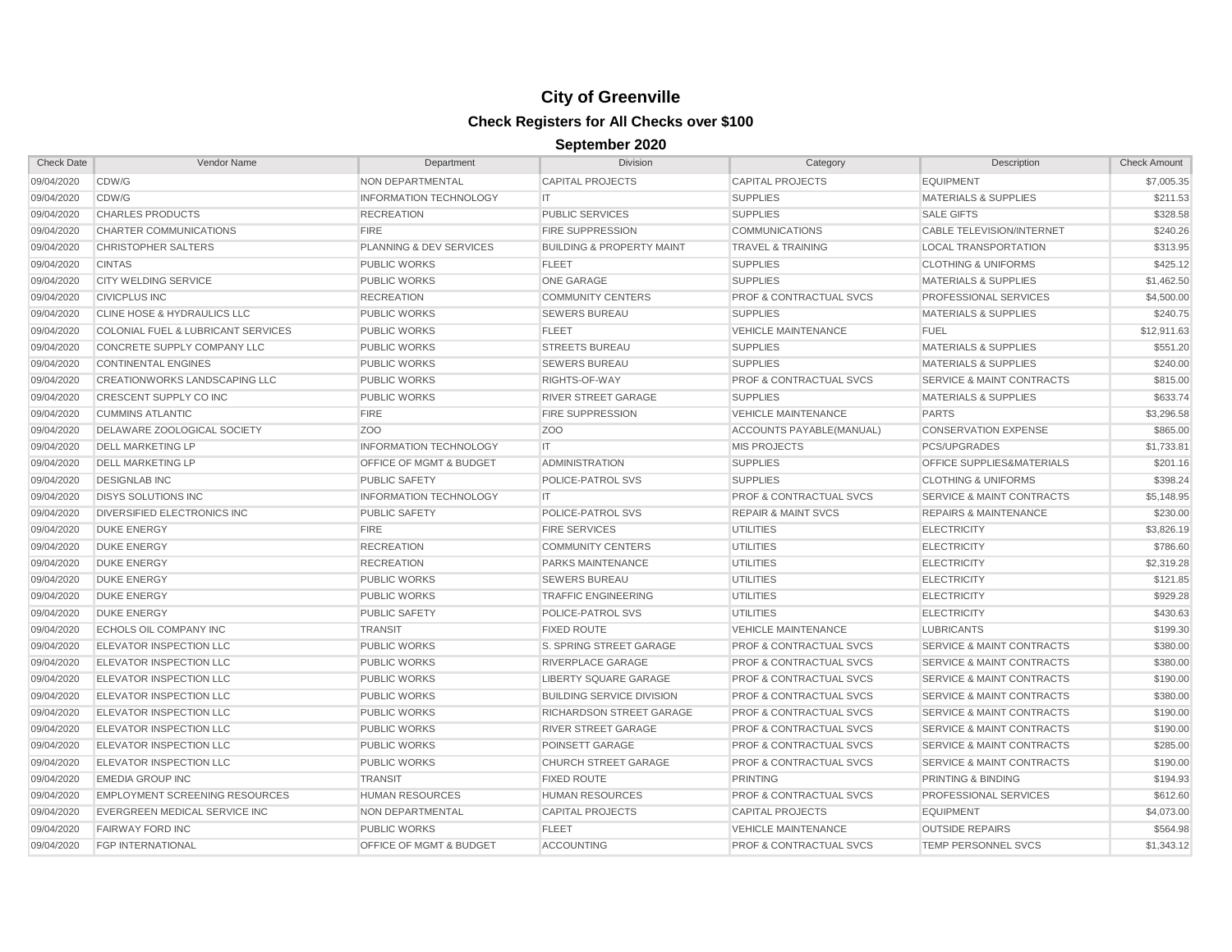| <b>Check Date</b> | Vendor Name                            | Department                         | <b>Division</b>                      | Category                           | Description                          | <b>Check Amount</b> |
|-------------------|----------------------------------------|------------------------------------|--------------------------------------|------------------------------------|--------------------------------------|---------------------|
| 09/04/2020        | CDW/G                                  | NON DEPARTMENTAL                   | <b>CAPITAL PROJECTS</b>              | <b>CAPITAL PROJECTS</b>            | <b>EQUIPMENT</b>                     | \$7,005.35          |
| 09/04/2020        | CDW/G                                  | <b>INFORMATION TECHNOLOGY</b>      | IT.                                  | <b>SUPPLIES</b>                    | <b>MATERIALS &amp; SUPPLIES</b>      | \$211.53            |
| 09/04/2020        | <b>CHARLES PRODUCTS</b>                | <b>RECREATION</b>                  | <b>PUBLIC SERVICES</b>               | <b>SUPPLIES</b>                    | <b>SALE GIFTS</b>                    | \$328.58            |
| 09/04/2020        | CHARTER COMMUNICATIONS                 | <b>FIRE</b>                        | <b>FIRE SUPPRESSION</b>              | <b>COMMUNICATIONS</b>              | CABLE TELEVISION/INTERNET            | \$240.26            |
| 09/04/2020        | <b>CHRISTOPHER SALTERS</b>             | PLANNING & DEV SERVICES            | <b>BUILDING &amp; PROPERTY MAINT</b> | <b>TRAVEL &amp; TRAINING</b>       | <b>LOCAL TRANSPORTATION</b>          | \$313.95            |
| 09/04/2020        | <b>CINTAS</b>                          | <b>PUBLIC WORKS</b>                | <b>FLEET</b>                         | <b>SUPPLIES</b>                    | <b>CLOTHING &amp; UNIFORMS</b>       | \$425.12            |
| 09/04/2020        | <b>CITY WELDING SERVICE</b>            | <b>PUBLIC WORKS</b>                | <b>ONE GARAGE</b>                    | <b>SUPPLIES</b>                    | <b>MATERIALS &amp; SUPPLIES</b>      | \$1,462.50          |
| 09/04/2020        | <b>CIVICPLUS INC</b>                   | <b>RECREATION</b>                  | <b>COMMUNITY CENTERS</b>             | <b>PROF &amp; CONTRACTUAL SVCS</b> | PROFESSIONAL SERVICES                | \$4,500.00          |
| 09/04/2020        | <b>CLINE HOSE &amp; HYDRAULICS LLC</b> | <b>PUBLIC WORKS</b>                | <b>SEWERS BUREAU</b>                 | <b>SUPPLIES</b>                    | <b>MATERIALS &amp; SUPPLIES</b>      | \$240.75            |
| 09/04/2020        | COLONIAL FUEL & LUBRICANT SERVICES     | <b>PUBLIC WORKS</b>                | <b>FLEET</b>                         | <b>VEHICLE MAINTENANCE</b>         | <b>FUEL</b>                          | \$12,911.63         |
| 09/04/2020        | CONCRETE SUPPLY COMPANY LLC            | <b>PUBLIC WORKS</b>                | <b>STREETS BUREAU</b>                | <b>SUPPLIES</b>                    | <b>MATERIALS &amp; SUPPLIES</b>      | \$551.20            |
| 09/04/2020        | <b>CONTINENTAL ENGINES</b>             | <b>PUBLIC WORKS</b>                | <b>SEWERS BUREAU</b>                 | <b>SUPPLIES</b>                    | <b>MATERIALS &amp; SUPPLIES</b>      | \$240.00            |
| 09/04/2020        | <b>CREATIONWORKS LANDSCAPING LLC</b>   | <b>PUBLIC WORKS</b>                | RIGHTS-OF-WAY                        | <b>PROF &amp; CONTRACTUAL SVCS</b> | <b>SERVICE &amp; MAINT CONTRACTS</b> | \$815.00            |
| 09/04/2020        | CRESCENT SUPPLY CO INC                 | <b>PUBLIC WORKS</b>                | RIVER STREET GARAGE                  | <b>SUPPLIES</b>                    | <b>MATERIALS &amp; SUPPLIES</b>      | \$633.74            |
| 09/04/2020        | <b>CUMMINS ATLANTIC</b>                | <b>FIRE</b>                        | <b>FIRE SUPPRESSION</b>              | VEHICLE MAINTENANCE                | <b>PARTS</b>                         | \$3,296.58          |
| 09/04/2020        | DELAWARE ZOOLOGICAL SOCIETY            | Z <sub>O</sub> O                   | Z <sub>O</sub> O                     | ACCOUNTS PAYABLE (MANUAL)          | <b>CONSERVATION EXPENSE</b>          | \$865.00            |
| 09/04/2020        | <b>DELL MARKETING LP</b>               | <b>INFORMATION TECHNOLOGY</b>      | IT.                                  | <b>MIS PROJECTS</b>                | PCS/UPGRADES                         | \$1,733.81          |
| 09/04/2020        | <b>DELL MARKETING LP</b>               | OFFICE OF MGMT & BUDGET            | <b>ADMINISTRATION</b>                | <b>SUPPLIES</b>                    | OFFICE SUPPLIES&MATERIALS            | \$201.16            |
| 09/04/2020        | <b>DESIGNLAB INC</b>                   | <b>PUBLIC SAFETY</b>               | POLICE-PATROL SVS                    | <b>SUPPLIES</b>                    | <b>CLOTHING &amp; UNIFORMS</b>       | \$398.24            |
| 09/04/2020        | <b>DISYS SOLUTIONS INC</b>             | <b>INFORMATION TECHNOLOGY</b>      | IT.                                  | <b>PROF &amp; CONTRACTUAL SVCS</b> | <b>SERVICE &amp; MAINT CONTRACTS</b> | \$5,148.95          |
| 09/04/2020        | <b>DIVERSIFIED ELECTRONICS INC</b>     | <b>PUBLIC SAFETY</b>               | POLICE-PATROL SVS                    | <b>REPAIR &amp; MAINT SVCS</b>     | <b>REPAIRS &amp; MAINTENANCE</b>     | \$230.00            |
| 09/04/2020        | <b>DUKE ENERGY</b>                     | <b>FIRE</b>                        | <b>FIRE SERVICES</b>                 | <b>UTILITIES</b>                   | <b>ELECTRICITY</b>                   | \$3,826.19          |
| 09/04/2020        | <b>DUKE ENERGY</b>                     | <b>RECREATION</b>                  | <b>COMMUNITY CENTERS</b>             | <b>UTILITIES</b>                   | <b>ELECTRICITY</b>                   | \$786.60            |
| 09/04/2020        | <b>DUKE ENERGY</b>                     | <b>RECREATION</b>                  | PARKS MAINTENANCE                    | <b>UTILITIES</b>                   | <b>ELECTRICITY</b>                   | \$2,319.28          |
| 09/04/2020        | <b>DUKE ENERGY</b>                     | <b>PUBLIC WORKS</b>                | <b>SEWERS BUREAU</b>                 | <b>UTILITIES</b>                   | <b>ELECTRICITY</b>                   | \$121.85            |
| 09/04/2020        | <b>DUKE ENERGY</b>                     | <b>PUBLIC WORKS</b>                | <b>TRAFFIC ENGINEERING</b>           | <b>UTILITIES</b>                   | <b>ELECTRICITY</b>                   | \$929.28            |
| 09/04/2020        | <b>DUKE ENERGY</b>                     | <b>PUBLIC SAFETY</b>               | POLICE-PATROL SVS                    | <b>UTILITIES</b>                   | <b>ELECTRICITY</b>                   | \$430.63            |
| 09/04/2020        | <b>ECHOLS OIL COMPANY INC</b>          | <b>TRANSIT</b>                     | <b>FIXED ROUTE</b>                   | <b>VEHICLE MAINTENANCE</b>         | <b>LUBRICANTS</b>                    | \$199.30            |
| 09/04/2020        | <b>ELEVATOR INSPECTION LLC</b>         | <b>PUBLIC WORKS</b>                | S. SPRING STREET GARAGE              | <b>PROF &amp; CONTRACTUAL SVCS</b> | <b>SERVICE &amp; MAINT CONTRACTS</b> | \$380.00            |
| 09/04/2020        | <b>ELEVATOR INSPECTION LLC</b>         | <b>PUBLIC WORKS</b>                | RIVERPLACE GARAGE                    | <b>PROF &amp; CONTRACTUAL SVCS</b> | <b>SERVICE &amp; MAINT CONTRACTS</b> | \$380.00            |
| 09/04/2020        | <b>ELEVATOR INSPECTION LLC</b>         | <b>PUBLIC WORKS</b>                | <b>LIBERTY SQUARE GARAGE</b>         | <b>PROF &amp; CONTRACTUAL SVCS</b> | <b>SERVICE &amp; MAINT CONTRACTS</b> | \$190.00            |
| 09/04/2020        | <b>ELEVATOR INSPECTION LLC</b>         | <b>PUBLIC WORKS</b>                | <b>BUILDING SERVICE DIVISION</b>     | PROF & CONTRACTUAL SVCS            | <b>SERVICE &amp; MAINT CONTRACTS</b> | \$380.00            |
| 09/04/2020        | <b>ELEVATOR INSPECTION LLC</b>         | <b>PUBLIC WORKS</b>                | RICHARDSON STREET GARAGE             | <b>PROF &amp; CONTRACTUAL SVCS</b> | <b>SERVICE &amp; MAINT CONTRACTS</b> | \$190.00            |
| 09/04/2020        | ELEVATOR INSPECTION LLC                | <b>PUBLIC WORKS</b>                | RIVER STREET GARAGE                  | <b>PROF &amp; CONTRACTUAL SVCS</b> | <b>SERVICE &amp; MAINT CONTRACTS</b> | \$190.00            |
| 09/04/2020        | <b>ELEVATOR INSPECTION LLC</b>         | <b>PUBLIC WORKS</b>                | POINSETT GARAGE                      | PROF & CONTRACTUAL SVCS            | <b>SERVICE &amp; MAINT CONTRACTS</b> | \$285.00            |
| 09/04/2020        | <b>ELEVATOR INSPECTION LLC</b>         | <b>PUBLIC WORKS</b>                | <b>CHURCH STREET GARAGE</b>          | <b>PROF &amp; CONTRACTUAL SVCS</b> | <b>SERVICE &amp; MAINT CONTRACTS</b> | \$190.00            |
| 09/04/2020        | <b>EMEDIA GROUP INC</b>                | <b>TRANSIT</b>                     | <b>FIXED ROUTE</b>                   | PRINTING                           | PRINTING & BINDING                   | \$194.93            |
| 09/04/2020        | <b>EMPLOYMENT SCREENING RESOURCES</b>  | <b>HUMAN RESOURCES</b>             | <b>HUMAN RESOURCES</b>               | <b>PROF &amp; CONTRACTUAL SVCS</b> | PROFESSIONAL SERVICES                | \$612.60            |
| 09/04/2020        | EVERGREEN MEDICAL SERVICE INC          | NON DEPARTMENTAL                   | <b>CAPITAL PROJECTS</b>              | <b>CAPITAL PROJECTS</b>            | <b>EQUIPMENT</b>                     | \$4,073.00          |
| 09/04/2020        | <b>FAIRWAY FORD INC</b>                | <b>PUBLIC WORKS</b>                | <b>FLEET</b>                         | <b>VEHICLE MAINTENANCE</b>         | <b>OUTSIDE REPAIRS</b>               | \$564.98            |
| 09/04/2020        | <b>FGP INTERNATIONAL</b>               | <b>OFFICE OF MGMT &amp; BUDGET</b> | <b>ACCOUNTING</b>                    | <b>PROF &amp; CONTRACTUAL SVCS</b> | <b>TEMP PERSONNEL SVCS</b>           | \$1,343.12          |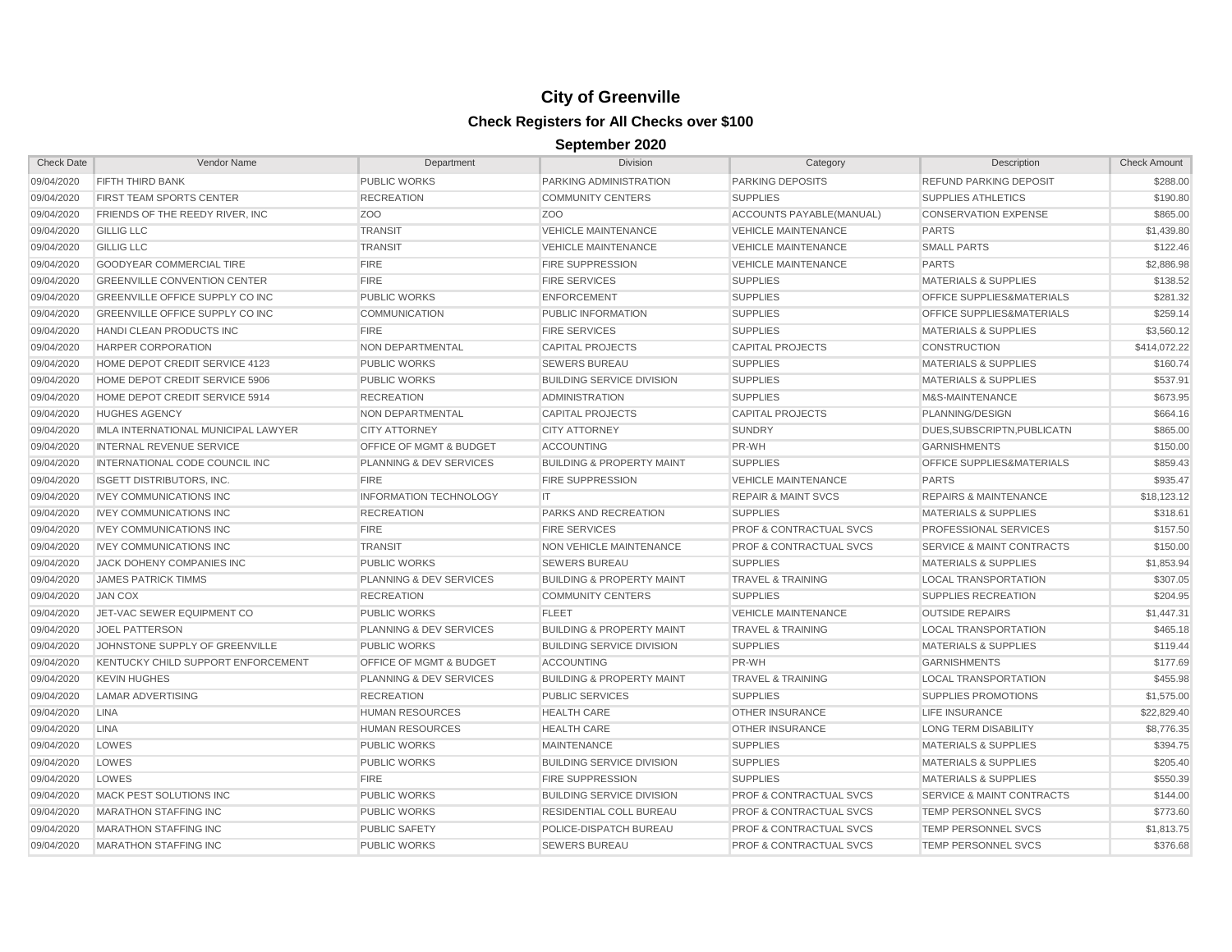| <b>Check Date</b> | Vendor Name                            | Department                         | <b>Division</b>                      | Category                           | Description                          | <b>Check Amount</b> |
|-------------------|----------------------------------------|------------------------------------|--------------------------------------|------------------------------------|--------------------------------------|---------------------|
| 09/04/2020        | FIFTH THIRD BANK                       | <b>PUBLIC WORKS</b>                | PARKING ADMINISTRATION               | PARKING DEPOSITS                   | <b>REFUND PARKING DEPOSIT</b>        | \$288.00            |
| 09/04/2020        | FIRST TEAM SPORTS CENTER               | <b>RECREATION</b>                  | <b>COMMUNITY CENTERS</b>             | <b>SUPPLIES</b>                    | <b>SUPPLIES ATHLETICS</b>            | \$190.80            |
| 09/04/2020        | FRIENDS OF THE REEDY RIVER, INC.       | Z <sub>O</sub> O                   | Z <sub>O</sub> O                     | ACCOUNTS PAYABLE (MANUAL)          | <b>CONSERVATION EXPENSE</b>          | \$865.00            |
| 09/04/2020        | <b>GILLIG LLC</b>                      | <b>TRANSIT</b>                     | <b>VEHICLE MAINTENANCE</b>           | <b>VEHICLE MAINTENANCE</b>         | <b>PARTS</b>                         | \$1,439.80          |
| 09/04/2020        | <b>GILLIG LLC</b>                      | <b>TRANSIT</b>                     | <b>VEHICLE MAINTENANCE</b>           | <b>VEHICLE MAINTENANCE</b>         | <b>SMALL PARTS</b>                   | \$122.46            |
| 09/04/2020        | <b>GOODYEAR COMMERCIAL TIRE</b>        | <b>FIRE</b>                        | <b>FIRE SUPPRESSION</b>              | <b>VEHICLE MAINTENANCE</b>         | <b>PARTS</b>                         | \$2,886.98          |
| 09/04/2020        | <b>GREENVILLE CONVENTION CENTER</b>    | <b>FIRE</b>                        | <b>FIRE SERVICES</b>                 | <b>SUPPLIES</b>                    | <b>MATERIALS &amp; SUPPLIES</b>      | \$138.52            |
| 09/04/2020        | GREENVILLE OFFICE SUPPLY CO INC        | <b>PUBLIC WORKS</b>                | <b>ENFORCEMENT</b>                   | <b>SUPPLIES</b>                    | OFFICE SUPPLIES&MATERIALS            | \$281.32            |
| 09/04/2020        | <b>GREENVILLE OFFICE SUPPLY CO INC</b> | <b>COMMUNICATION</b>               | PUBLIC INFORMATION                   | <b>SUPPLIES</b>                    | <b>OFFICE SUPPLIES&amp;MATERIALS</b> | \$259.14            |
| 09/04/2020        | <b>HANDI CLEAN PRODUCTS INC</b>        | <b>FIRE</b>                        | <b>FIRE SERVICES</b>                 | <b>SUPPLIES</b>                    | <b>MATERIALS &amp; SUPPLIES</b>      | \$3,560.12          |
| 09/04/2020        | <b>HARPER CORPORATION</b>              | NON DEPARTMENTAL                   | <b>CAPITAL PROJECTS</b>              | <b>CAPITAL PROJECTS</b>            | <b>CONSTRUCTION</b>                  | \$414,072.22        |
| 09/04/2020        | HOME DEPOT CREDIT SERVICE 4123         | <b>PUBLIC WORKS</b>                | <b>SEWERS BUREAU</b>                 | <b>SUPPLIES</b>                    | <b>MATERIALS &amp; SUPPLIES</b>      | \$160.74            |
| 09/04/2020        | HOME DEPOT CREDIT SERVICE 5906         | <b>PUBLIC WORKS</b>                | <b>BUILDING SERVICE DIVISION</b>     | <b>SUPPLIES</b>                    | <b>MATERIALS &amp; SUPPLIES</b>      | \$537.91            |
| 09/04/2020        | HOME DEPOT CREDIT SERVICE 5914         | <b>RECREATION</b>                  | <b>ADMINISTRATION</b>                | <b>SUPPLIES</b>                    | M&S-MAINTENANCE                      | \$673.95            |
| 09/04/2020        | <b>HUGHES AGENCY</b>                   | NON DEPARTMENTAL                   | <b>CAPITAL PROJECTS</b>              | <b>CAPITAL PROJECTS</b>            | PLANNING/DESIGN                      | \$664.16            |
| 09/04/2020        | IMLA INTERNATIONAL MUNICIPAL LAWYER    | <b>CITY ATTORNEY</b>               | <b>CITY ATTORNEY</b>                 | <b>SUNDRY</b>                      | DUES, SUBSCRIPTN, PUBLICATN          | \$865.00            |
| 09/04/2020        | <b>INTERNAL REVENUE SERVICE</b>        | <b>OFFICE OF MGMT &amp; BUDGET</b> | ACCOUNTING                           | PR-WH                              | <b>GARNISHMENTS</b>                  | \$150.00            |
| 09/04/2020        | INTERNATIONAL CODE COUNCIL INC         | <b>PLANNING &amp; DEV SERVICES</b> | <b>BUILDING &amp; PROPERTY MAINT</b> | <b>SUPPLIES</b>                    | OFFICE SUPPLIES&MATERIALS            | \$859.43            |
| 09/04/2020        | <b>ISGETT DISTRIBUTORS, INC.</b>       | <b>FIRE</b>                        | <b>FIRE SUPPRESSION</b>              | <b>VEHICLE MAINTENANCE</b>         | <b>PARTS</b>                         | \$935.47            |
| 09/04/2020        | <b>IVEY COMMUNICATIONS INC</b>         | <b>INFORMATION TECHNOLOGY</b>      | IT                                   | <b>REPAIR &amp; MAINT SVCS</b>     | <b>REPAIRS &amp; MAINTENANCE</b>     | \$18,123.12         |
| 09/04/2020        | <b>IVEY COMMUNICATIONS INC</b>         | <b>RECREATION</b>                  | <b>PARKS AND RECREATION</b>          | <b>SUPPLIES</b>                    | <b>MATERIALS &amp; SUPPLIES</b>      | \$318.61            |
| 09/04/2020        | <b>IVEY COMMUNICATIONS INC</b>         | <b>FIRE</b>                        | <b>FIRE SERVICES</b>                 | <b>PROF &amp; CONTRACTUAL SVCS</b> | <b>PROFESSIONAL SERVICES</b>         | \$157.50            |
| 09/04/2020        | <b>IVEY COMMUNICATIONS INC</b>         | <b>TRANSIT</b>                     | <b>NON VEHICLE MAINTENANCE</b>       | <b>PROF &amp; CONTRACTUAL SVCS</b> | <b>SERVICE &amp; MAINT CONTRACTS</b> | \$150.00            |
| 09/04/2020        | JACK DOHENY COMPANIES INC              | <b>PUBLIC WORKS</b>                | <b>SEWERS BUREAU</b>                 | <b>SUPPLIES</b>                    | <b>MATERIALS &amp; SUPPLIES</b>      | \$1,853.94          |
| 09/04/2020        | <b>JAMES PATRICK TIMMS</b>             | <b>PLANNING &amp; DEV SERVICES</b> | <b>BUILDING &amp; PROPERTY MAINT</b> | <b>TRAVEL &amp; TRAINING</b>       | <b>LOCAL TRANSPORTATION</b>          | \$307.05            |
| 09/04/2020        | <b>JAN COX</b>                         | <b>RECREATION</b>                  | <b>COMMUNITY CENTERS</b>             | <b>SUPPLIES</b>                    | SUPPLIES RECREATION                  | \$204.95            |
| 09/04/2020        | JET-VAC SEWER EQUIPMENT CO             | <b>PUBLIC WORKS</b>                | <b>FLEET</b>                         | <b>VEHICLE MAINTENANCE</b>         | <b>OUTSIDE REPAIRS</b>               | \$1,447.31          |
| 09/04/2020        | <b>JOEL PATTERSON</b>                  | <b>PLANNING &amp; DEV SERVICES</b> | <b>BUILDING &amp; PROPERTY MAINT</b> | <b>TRAVEL &amp; TRAINING</b>       | <b>LOCAL TRANSPORTATION</b>          | \$465.18            |
| 09/04/2020        | JOHNSTONE SUPPLY OF GREENVILLE         | <b>PUBLIC WORKS</b>                | <b>BUILDING SERVICE DIVISION</b>     | <b>SUPPLIES</b>                    | <b>MATERIALS &amp; SUPPLIES</b>      | \$119.44            |
| 09/04/2020        | KENTUCKY CHILD SUPPORT ENFORCEMENT     | OFFICE OF MGMT & BUDGET            | <b>ACCOUNTING</b>                    | PR-WH                              | <b>GARNISHMENTS</b>                  | \$177.69            |
| 09/04/2020        | <b>KEVIN HUGHES</b>                    | <b>PLANNING &amp; DEV SERVICES</b> | <b>BUILDING &amp; PROPERTY MAINT</b> | <b>TRAVEL &amp; TRAINING</b>       | <b>LOCAL TRANSPORTATION</b>          | \$455.98            |
| 09/04/2020        | <b>LAMAR ADVERTISING</b>               | <b>RECREATION</b>                  | <b>PUBLIC SERVICES</b>               | <b>SUPPLIES</b>                    | <b>SUPPLIES PROMOTIONS</b>           | \$1,575.00          |
| 09/04/2020        | <b>LINA</b>                            | <b>HUMAN RESOURCES</b>             | <b>HEALTH CARE</b>                   | <b>OTHER INSURANCE</b>             | <b>LIFE INSURANCE</b>                | \$22,829.40         |
| 09/04/2020        | <b>LINA</b>                            | <b>HUMAN RESOURCES</b>             | <b>HEALTH CARE</b>                   | <b>OTHER INSURANCE</b>             | <b>LONG TERM DISABILITY</b>          | \$8,776.35          |
| 09/04/2020        | LOWES                                  | <b>PUBLIC WORKS</b>                | <b>MAINTENANCE</b>                   | <b>SUPPLIES</b>                    | <b>MATERIALS &amp; SUPPLIES</b>      | \$394.75            |
| 09/04/2020        | LOWES                                  | <b>PUBLIC WORKS</b>                | <b>BUILDING SERVICE DIVISION</b>     | <b>SUPPLIES</b>                    | <b>MATERIALS &amp; SUPPLIES</b>      | \$205.40            |
| 09/04/2020        | LOWES                                  | <b>FIRE</b>                        | <b>FIRE SUPPRESSION</b>              | <b>SUPPLIES</b>                    | <b>MATERIALS &amp; SUPPLIES</b>      | \$550.39            |
| 09/04/2020        | <b>MACK PEST SOLUTIONS INC</b>         | <b>PUBLIC WORKS</b>                | <b>BUILDING SERVICE DIVISION</b>     | <b>PROF &amp; CONTRACTUAL SVCS</b> | <b>SERVICE &amp; MAINT CONTRACTS</b> | \$144.00            |
| 09/04/2020        | <b>MARATHON STAFFING INC</b>           | <b>PUBLIC WORKS</b>                | <b>RESIDENTIAL COLL BUREAU</b>       | <b>PROF &amp; CONTRACTUAL SVCS</b> | <b>TEMP PERSONNEL SVCS</b>           | \$773.60            |
| 09/04/2020        | <b>MARATHON STAFFING INC</b>           | <b>PUBLIC SAFETY</b>               | POLICE-DISPATCH BUREAU               | <b>PROF &amp; CONTRACTUAL SVCS</b> | TEMP PERSONNEL SVCS                  | \$1,813.75          |
| 09/04/2020        | <b>MARATHON STAFFING INC</b>           | <b>PUBLIC WORKS</b>                | <b>SEWERS BUREAU</b>                 | <b>PROF &amp; CONTRACTUAL SVCS</b> | <b>TEMP PERSONNEL SVCS</b>           | \$376.68            |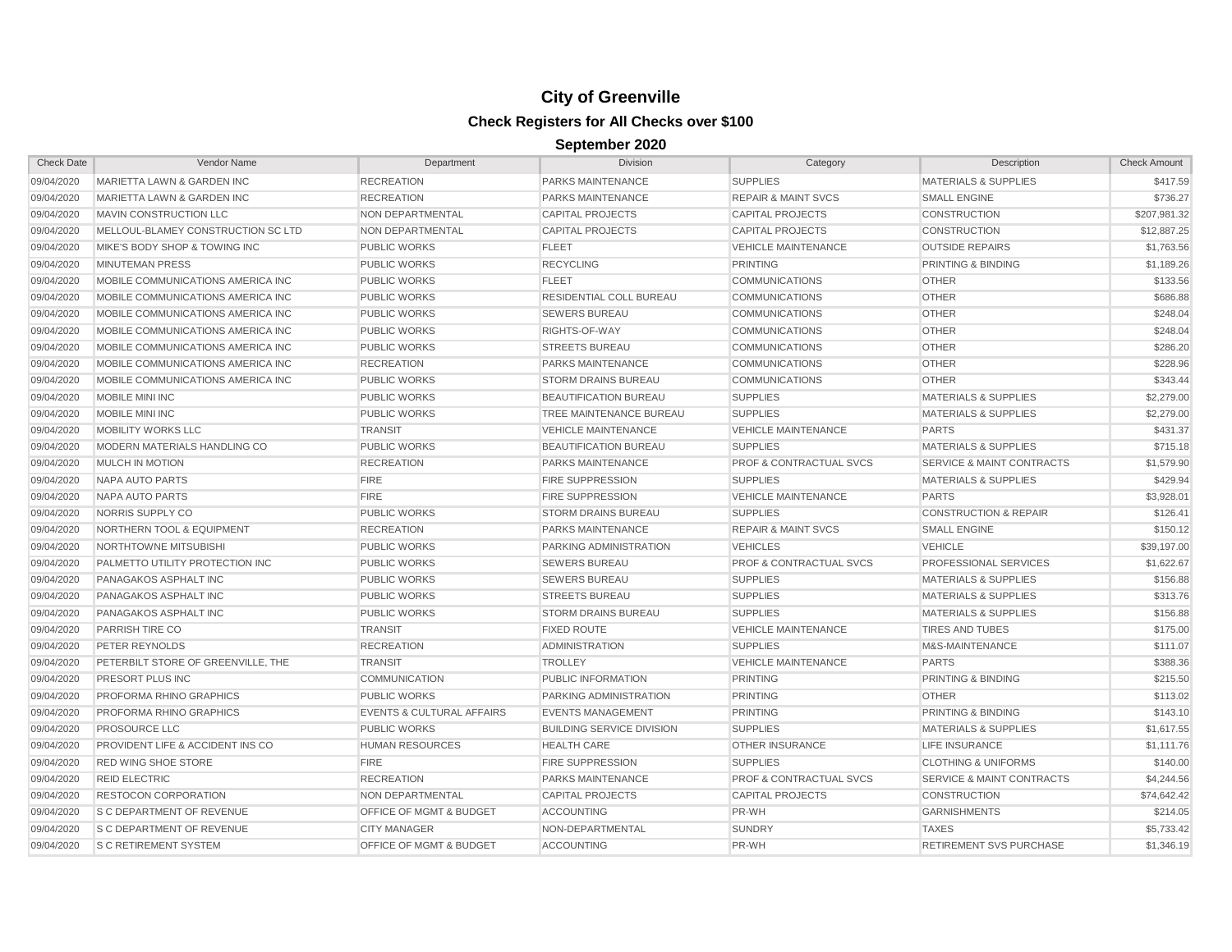| <b>Check Date</b> | Vendor Name                          | Department                           | <b>Division</b>                  | Category                           | Description                          | <b>Check Amount</b> |
|-------------------|--------------------------------------|--------------------------------------|----------------------------------|------------------------------------|--------------------------------------|---------------------|
| 09/04/2020        | MARIETTA LAWN & GARDEN INC           | <b>RECREATION</b>                    | PARKS MAINTENANCE                | <b>SUPPLIES</b>                    | <b>MATERIALS &amp; SUPPLIES</b>      | \$417.59            |
| 09/04/2020        | MARIETTA LAWN & GARDEN INC           | <b>RECREATION</b>                    | <b>PARKS MAINTENANCE</b>         | <b>REPAIR &amp; MAINT SVCS</b>     | <b>SMALL ENGINE</b>                  | \$736.27            |
| 09/04/2020        | MAVIN CONSTRUCTION LLC               | NON DEPARTMENTAL                     | <b>CAPITAL PROJECTS</b>          | <b>CAPITAL PROJECTS</b>            | <b>CONSTRUCTION</b>                  | \$207,981.32        |
| 09/04/2020        | MELLOUL-BLAMEY CONSTRUCTION SC LTD   | NON DEPARTMENTAL                     | <b>CAPITAL PROJECTS</b>          | <b>CAPITAL PROJECTS</b>            | <b>CONSTRUCTION</b>                  | \$12,887.25         |
| 09/04/2020        | MIKE'S BODY SHOP & TOWING INC        | <b>PUBLIC WORKS</b>                  | <b>FLEET</b>                     | <b>VEHICLE MAINTENANCE</b>         | <b>OUTSIDE REPAIRS</b>               | \$1,763.56          |
| 09/04/2020        | <b>MINUTEMAN PRESS</b>               | <b>PUBLIC WORKS</b>                  | <b>RECYCLING</b>                 | <b>PRINTING</b>                    | PRINTING & BINDING                   | \$1,189.26          |
| 09/04/2020        | MOBILE COMMUNICATIONS AMERICA INC    | <b>PUBLIC WORKS</b>                  | <b>FLEET</b>                     | <b>COMMUNICATIONS</b>              | <b>OTHER</b>                         | \$133.56            |
| 09/04/2020        | MOBILE COMMUNICATIONS AMERICA INC    | <b>PUBLIC WORKS</b>                  | RESIDENTIAL COLL BUREAU          | <b>COMMUNICATIONS</b>              | <b>OTHER</b>                         | \$686.88            |
| 09/04/2020        | MOBILE COMMUNICATIONS AMERICA INC    | <b>PUBLIC WORKS</b>                  | <b>SEWERS BUREAU</b>             | <b>COMMUNICATIONS</b>              | <b>OTHER</b>                         | \$248.04            |
| 09/04/2020        | MOBILE COMMUNICATIONS AMERICA INC    | <b>PUBLIC WORKS</b>                  | RIGHTS-OF-WAY                    | <b>COMMUNICATIONS</b>              | <b>OTHER</b>                         | \$248.04            |
| 09/04/2020        | MOBILE COMMUNICATIONS AMERICA INC    | <b>PUBLIC WORKS</b>                  | <b>STREETS BUREAU</b>            | <b>COMMUNICATIONS</b>              | <b>OTHER</b>                         | \$286.20            |
| 09/04/2020        | MOBILE COMMUNICATIONS AMERICA INC    | <b>RECREATION</b>                    | <b>PARKS MAINTENANCE</b>         | <b>COMMUNICATIONS</b>              | <b>OTHER</b>                         | \$228.96            |
| 09/04/2020        | MOBILE COMMUNICATIONS AMERICA INC.   | <b>PUBLIC WORKS</b>                  | <b>STORM DRAINS BUREAU</b>       | <b>COMMUNICATIONS</b>              | <b>OTHER</b>                         | \$343.44            |
| 09/04/2020        | MOBILE MINI INC                      | <b>PUBLIC WORKS</b>                  | <b>BEAUTIFICATION BUREAU</b>     | <b>SUPPLIES</b>                    | <b>MATERIALS &amp; SUPPLIES</b>      | \$2,279.00          |
| 09/04/2020        | MOBILE MINI INC                      | <b>PUBLIC WORKS</b>                  | TREE MAINTENANCE BUREAU          | <b>SUPPLIES</b>                    | <b>MATERIALS &amp; SUPPLIES</b>      | \$2,279.00          |
| 09/04/2020        | MOBILITY WORKS LLC                   | <b>TRANSIT</b>                       | <b>VEHICLE MAINTENANCE</b>       | <b>VEHICLE MAINTENANCE</b>         | <b>PARTS</b>                         | \$431.37            |
| 09/04/2020        | MODERN MATERIALS HANDLING CO         | <b>PUBLIC WORKS</b>                  | <b>BEAUTIFICATION BUREAU</b>     | <b>SUPPLIES</b>                    | <b>MATERIALS &amp; SUPPLIES</b>      | \$715.18            |
| 09/04/2020        | MULCH IN MOTION                      | <b>RECREATION</b>                    | PARKS MAINTENANCE                | <b>PROF &amp; CONTRACTUAL SVCS</b> | <b>SERVICE &amp; MAINT CONTRACTS</b> | \$1,579.90          |
| 09/04/2020        | NAPA AUTO PARTS                      | <b>FIRE</b>                          | <b>FIRE SUPPRESSION</b>          | <b>SUPPLIES</b>                    | <b>MATERIALS &amp; SUPPLIES</b>      | \$429.94            |
| 09/04/2020        | NAPA AUTO PARTS                      | <b>FIRE</b>                          | <b>FIRE SUPPRESSION</b>          | <b>VEHICLE MAINTENANCE</b>         | <b>PARTS</b>                         | \$3,928.01          |
| 09/04/2020        | NORRIS SUPPLY CO                     | <b>PUBLIC WORKS</b>                  | <b>STORM DRAINS BUREAU</b>       | <b>SUPPLIES</b>                    | <b>CONSTRUCTION &amp; REPAIR</b>     | \$126.41            |
| 09/04/2020        | <b>NORTHERN TOOL &amp; EQUIPMENT</b> | <b>RECREATION</b>                    | <b>PARKS MAINTENANCE</b>         | <b>REPAIR &amp; MAINT SVCS</b>     | <b>SMALL ENGINE</b>                  | \$150.12            |
| 09/04/2020        | NORTHTOWNE MITSUBISHI                | <b>PUBLIC WORKS</b>                  | PARKING ADMINISTRATION           | <b>VEHICLES</b>                    | <b>VEHICLE</b>                       | \$39,197.00         |
| 09/04/2020        | PALMETTO UTILITY PROTECTION INC      | <b>PUBLIC WORKS</b>                  | <b>SEWERS BUREAU</b>             | <b>PROF &amp; CONTRACTUAL SVCS</b> | PROFESSIONAL SERVICES                | \$1,622.67          |
| 09/04/2020        | PANAGAKOS ASPHALT INC                | <b>PUBLIC WORKS</b>                  | <b>SEWERS BUREAU</b>             | <b>SUPPLIES</b>                    | <b>MATERIALS &amp; SUPPLIES</b>      | \$156.88            |
| 09/04/2020        | PANAGAKOS ASPHALT INC                | <b>PUBLIC WORKS</b>                  | <b>STREETS BUREAU</b>            | <b>SUPPLIES</b>                    | <b>MATERIALS &amp; SUPPLIES</b>      | \$313.76            |
| 09/04/2020        | PANAGAKOS ASPHALT INC                | PUBLIC WORKS                         | <b>STORM DRAINS BUREAU</b>       | <b>SUPPLIES</b>                    | <b>MATERIALS &amp; SUPPLIES</b>      | \$156.88            |
| 09/04/2020        | PARRISH TIRE CO                      | <b>TRANSIT</b>                       | <b>FIXED ROUTE</b>               | <b>VEHICLE MAINTENANCE</b>         | <b>TIRES AND TUBES</b>               | \$175.00            |
| 09/04/2020        | PETER REYNOLDS                       | <b>RECREATION</b>                    | <b>ADMINISTRATION</b>            | <b>SUPPLIES</b>                    | M&S-MAINTENANCE                      | \$111.07            |
| 09/04/2020        | PETERBILT STORE OF GREENVILLE, THE   | <b>TRANSIT</b>                       | <b>TROLLEY</b>                   | <b>VEHICLE MAINTENANCE</b>         | <b>PARTS</b>                         | \$388.36            |
| 09/04/2020        | PRESORT PLUS INC                     | <b>COMMUNICATION</b>                 | PUBLIC INFORMATION               | <b>PRINTING</b>                    | PRINTING & BINDING                   | \$215.50            |
| 09/04/2020        | PROFORMA RHINO GRAPHICS              | <b>PUBLIC WORKS</b>                  | PARKING ADMINISTRATION           | <b>PRINTING</b>                    | <b>OTHER</b>                         | \$113.02            |
| 09/04/2020        | PROFORMA RHINO GRAPHICS              | <b>EVENTS &amp; CULTURAL AFFAIRS</b> | <b>EVENTS MANAGEMENT</b>         | <b>PRINTING</b>                    | <b>PRINTING &amp; BINDING</b>        | \$143.10            |
| 09/04/2020        | PROSOURCE LLC                        | <b>PUBLIC WORKS</b>                  | <b>BUILDING SERVICE DIVISION</b> | <b>SUPPLIES</b>                    | <b>MATERIALS &amp; SUPPLIES</b>      | \$1,617.55          |
| 09/04/2020        | PROVIDENT LIFE & ACCIDENT INS CO     | <b>HUMAN RESOURCES</b>               | <b>HEALTH CARE</b>               | <b>OTHER INSURANCE</b>             | <b>LIFE INSURANCE</b>                | \$1,111.76          |
| 09/04/2020        | <b>RED WING SHOE STORE</b>           | <b>FIRE</b>                          | <b>FIRE SUPPRESSION</b>          | <b>SUPPLIES</b>                    | <b>CLOTHING &amp; UNIFORMS</b>       | \$140.00            |
| 09/04/2020        | <b>REID ELECTRIC</b>                 | <b>RECREATION</b>                    | <b>PARKS MAINTENANCE</b>         | <b>PROF &amp; CONTRACTUAL SVCS</b> | <b>SERVICE &amp; MAINT CONTRACTS</b> | \$4,244.56          |
| 09/04/2020        | <b>RESTOCON CORPORATION</b>          | <b>NON DEPARTMENTAL</b>              | <b>CAPITAL PROJECTS</b>          | <b>CAPITAL PROJECTS</b>            | <b>CONSTRUCTION</b>                  | \$74,642.42         |
| 09/04/2020        | S C DEPARTMENT OF REVENUE            | <b>OFFICE OF MGMT &amp; BUDGET</b>   | <b>ACCOUNTING</b>                | PR-WH                              | <b>GARNISHMENTS</b>                  | \$214.05            |
| 09/04/2020        | <b>S C DEPARTMENT OF REVENUE</b>     | <b>CITY MANAGER</b>                  | NON-DEPARTMENTAL                 | <b>SUNDRY</b>                      | <b>TAXES</b>                         | \$5,733.42          |
| 09/04/2020        | <b>S C RETIREMENT SYSTEM</b>         | <b>OFFICE OF MGMT &amp; BUDGET</b>   | <b>ACCOUNTING</b>                | PR-WH                              | <b>RETIREMENT SVS PURCHASE</b>       | \$1,346.19          |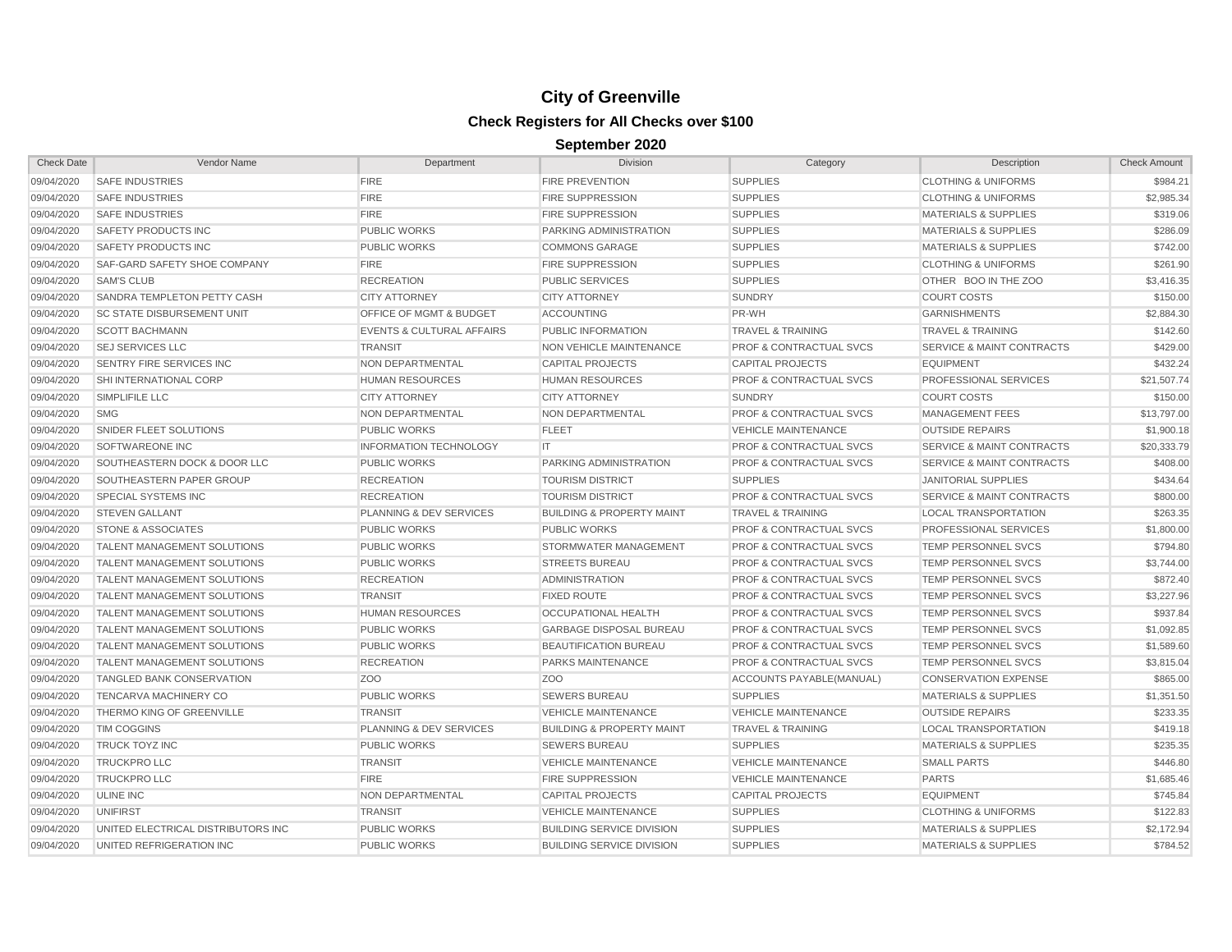| <b>Check Date</b> | Vendor Name                         | Department                           | <b>Division</b>                      | Category                           | Description                          | <b>Check Amount</b> |
|-------------------|-------------------------------------|--------------------------------------|--------------------------------------|------------------------------------|--------------------------------------|---------------------|
| 09/04/2020        | <b>SAFE INDUSTRIES</b>              | <b>FIRE</b>                          | <b>FIRE PREVENTION</b>               | <b>SUPPLIES</b>                    | <b>CLOTHING &amp; UNIFORMS</b>       | \$984.21            |
| 09/04/2020        | <b>SAFE INDUSTRIES</b>              | <b>FIRE</b>                          | <b>FIRE SUPPRESSION</b>              | <b>SUPPLIES</b>                    | <b>CLOTHING &amp; UNIFORMS</b>       | \$2,985.34          |
| 09/04/2020        | <b>SAFE INDUSTRIES</b>              | <b>FIRE</b>                          | <b>FIRE SUPPRESSION</b>              | <b>SUPPLIES</b>                    | <b>MATERIALS &amp; SUPPLIES</b>      | \$319.06            |
| 09/04/2020        | SAFETY PRODUCTS INC                 | <b>PUBLIC WORKS</b>                  | PARKING ADMINISTRATION               | <b>SUPPLIES</b>                    | <b>MATERIALS &amp; SUPPLIES</b>      | \$286.09            |
| 09/04/2020        | SAFETY PRODUCTS INC                 | <b>PUBLIC WORKS</b>                  | <b>COMMONS GARAGE</b>                | <b>SUPPLIES</b>                    | <b>MATERIALS &amp; SUPPLIES</b>      | \$742.00            |
| 09/04/2020        | <b>SAF-GARD SAFETY SHOE COMPANY</b> | <b>FIRE</b>                          | <b>FIRE SUPPRESSION</b>              | <b>SUPPLIES</b>                    | <b>CLOTHING &amp; UNIFORMS</b>       | \$261.90            |
| 09/04/2020        | <b>SAM'S CLUB</b>                   | <b>RECREATION</b>                    | <b>PUBLIC SERVICES</b>               | <b>SUPPLIES</b>                    | OTHER BOO IN THE ZOO                 | \$3,416.35          |
| 09/04/2020        | SANDRA TEMPLETON PETTY CASH         | <b>CITY ATTORNEY</b>                 | <b>CITY ATTORNEY</b>                 | <b>SUNDRY</b>                      | <b>COURT COSTS</b>                   | \$150.00            |
| 09/04/2020        | <b>SC STATE DISBURSEMENT UNIT</b>   | OFFICE OF MGMT & BUDGET              | <b>ACCOUNTING</b>                    | PR-WH                              | <b>GARNISHMENTS</b>                  | \$2,884.30          |
| 09/04/2020        | <b>SCOTT BACHMANN</b>               | <b>EVENTS &amp; CULTURAL AFFAIRS</b> | PUBLIC INFORMATION                   | <b>TRAVEL &amp; TRAINING</b>       | <b>TRAVEL &amp; TRAINING</b>         | \$142.60            |
| 09/04/2020        | <b>SEJ SERVICES LLC</b>             | <b>TRANSIT</b>                       | <b>NON VEHICLE MAINTENANCE</b>       | <b>PROF &amp; CONTRACTUAL SVCS</b> | <b>SERVICE &amp; MAINT CONTRACTS</b> | \$429.00            |
| 09/04/2020        | <b>SENTRY FIRE SERVICES INC</b>     | NON DEPARTMENTAL                     | <b>CAPITAL PROJECTS</b>              | <b>CAPITAL PROJECTS</b>            | <b>EQUIPMENT</b>                     | \$432.24            |
| 09/04/2020        | SHI INTERNATIONAL CORP              | <b>HUMAN RESOURCES</b>               | <b>HUMAN RESOURCES</b>               | <b>PROF &amp; CONTRACTUAL SVCS</b> | PROFESSIONAL SERVICES                | \$21,507.74         |
| 09/04/2020        | SIMPLIFILE LLC                      | <b>CITY ATTORNEY</b>                 | <b>CITY ATTORNEY</b>                 | <b>SUNDRY</b>                      | <b>COURT COSTS</b>                   | \$150.00            |
| 09/04/2020        | <b>SMG</b>                          | NON DEPARTMENTAL                     | NON DEPARTMENTAL                     | <b>PROF &amp; CONTRACTUAL SVCS</b> | MANAGEMENT FEES                      | \$13,797.00         |
| 09/04/2020        | SNIDER FLEET SOLUTIONS              | <b>PUBLIC WORKS</b>                  | <b>FLEET</b>                         | <b>VEHICLE MAINTENANCE</b>         | <b>OUTSIDE REPAIRS</b>               | \$1,900.18          |
| 09/04/2020        | <b>SOFTWAREONE INC</b>              | <b>INFORMATION TECHNOLOGY</b>        | IT.                                  | <b>PROF &amp; CONTRACTUAL SVCS</b> | <b>SERVICE &amp; MAINT CONTRACTS</b> | \$20,333.79         |
| 09/04/2020        | SOUTHEASTERN DOCK & DOOR LLC        | <b>PUBLIC WORKS</b>                  | PARKING ADMINISTRATION               | <b>PROF &amp; CONTRACTUAL SVCS</b> | <b>SERVICE &amp; MAINT CONTRACTS</b> | \$408.00            |
| 09/04/2020        | SOUTHEASTERN PAPER GROUP            | <b>RECREATION</b>                    | <b>TOURISM DISTRICT</b>              | <b>SUPPLIES</b>                    | <b>JANITORIAL SUPPLIES</b>           | \$434.64            |
| 09/04/2020        | <b>SPECIAL SYSTEMS INC</b>          | <b>RECREATION</b>                    | <b>TOURISM DISTRICT</b>              | <b>PROF &amp; CONTRACTUAL SVCS</b> | <b>SERVICE &amp; MAINT CONTRACTS</b> | \$800.00            |
| 09/04/2020        | <b>STEVEN GALLANT</b>               | PLANNING & DEV SERVICES              | <b>BUILDING &amp; PROPERTY MAINT</b> | <b>TRAVEL &amp; TRAINING</b>       | <b>LOCAL TRANSPORTATION</b>          | \$263.35            |
| 09/04/2020        | <b>STONE &amp; ASSOCIATES</b>       | <b>PUBLIC WORKS</b>                  | <b>PUBLIC WORKS</b>                  | <b>PROF &amp; CONTRACTUAL SVCS</b> | PROFESSIONAL SERVICES                | \$1,800.00          |
| 09/04/2020        | <b>TALENT MANAGEMENT SOLUTIONS</b>  | <b>PUBLIC WORKS</b>                  | STORMWATER MANAGEMENT                | <b>PROF &amp; CONTRACTUAL SVCS</b> | TEMP PERSONNEL SVCS                  | \$794.80            |
| 09/04/2020        | <b>TALENT MANAGEMENT SOLUTIONS</b>  | <b>PUBLIC WORKS</b>                  | <b>STREETS BUREAU</b>                | <b>PROF &amp; CONTRACTUAL SVCS</b> | TEMP PERSONNEL SVCS                  | \$3,744.00          |
| 09/04/2020        | <b>TALENT MANAGEMENT SOLUTIONS</b>  | <b>RECREATION</b>                    | <b>ADMINISTRATION</b>                | <b>PROF &amp; CONTRACTUAL SVCS</b> | TEMP PERSONNEL SVCS                  | \$872.40            |
| 09/04/2020        | <b>TALENT MANAGEMENT SOLUTIONS</b>  | <b>TRANSIT</b>                       | <b>FIXED ROUTE</b>                   | <b>PROF &amp; CONTRACTUAL SVCS</b> | TEMP PERSONNEL SVCS                  | \$3,227.96          |
| 09/04/2020        | <b>TALENT MANAGEMENT SOLUTIONS</b>  | <b>HUMAN RESOURCES</b>               | <b>OCCUPATIONAL HEALTH</b>           | <b>PROF &amp; CONTRACTUAL SVCS</b> | TEMP PERSONNEL SVCS                  | \$937.84            |
| 09/04/2020        | <b>TALENT MANAGEMENT SOLUTIONS</b>  | <b>PUBLIC WORKS</b>                  | <b>GARBAGE DISPOSAL BUREAU</b>       | <b>PROF &amp; CONTRACTUAL SVCS</b> | TEMP PERSONNEL SVCS                  | \$1,092.85          |
| 09/04/2020        | <b>TALENT MANAGEMENT SOLUTIONS</b>  | <b>PUBLIC WORKS</b>                  | <b>BEAUTIFICATION BUREAU</b>         | <b>PROF &amp; CONTRACTUAL SVCS</b> | TEMP PERSONNEL SVCS                  | \$1,589.60          |
| 09/04/2020        | <b>TALENT MANAGEMENT SOLUTIONS</b>  | <b>RECREATION</b>                    | PARKS MAINTENANCE                    | <b>PROF &amp; CONTRACTUAL SVCS</b> | <b>TEMP PERSONNEL SVCS</b>           | \$3,815.04          |
| 09/04/2020        | <b>TANGLED BANK CONSERVATION</b>    | Z <sub>O</sub> O                     | Z <sub>O</sub> O                     | ACCOUNTS PAYABLE(MANUAL)           | <b>CONSERVATION EXPENSE</b>          | \$865.00            |
| 09/04/2020        | <b>TENCARVA MACHINERY CO</b>        | <b>PUBLIC WORKS</b>                  | <b>SEWERS BUREAU</b>                 | <b>SUPPLIES</b>                    | <b>MATERIALS &amp; SUPPLIES</b>      | \$1,351.50          |
| 09/04/2020        | <b>THERMO KING OF GREENVILLE</b>    | <b>TRANSIT</b>                       | <b>VEHICLE MAINTENANCE</b>           | <b>VEHICLE MAINTENANCE</b>         | <b>OUTSIDE REPAIRS</b>               | \$233.35            |
| 09/04/2020        | <b>TIM COGGINS</b>                  | PLANNING & DEV SERVICES              | <b>BUILDING &amp; PROPERTY MAINT</b> | <b>TRAVEL &amp; TRAINING</b>       | <b>LOCAL TRANSPORTATION</b>          | \$419.18            |
| 09/04/2020        | <b>TRUCK TOYZ INC</b>               | <b>PUBLIC WORKS</b>                  | <b>SEWERS BUREAU</b>                 | <b>SUPPLIES</b>                    | <b>MATERIALS &amp; SUPPLIES</b>      | \$235.35            |
| 09/04/2020        | <b>TRUCKPRO LLC</b>                 | <b>TRANSIT</b>                       | <b>VEHICLE MAINTENANCE</b>           | <b>VEHICLE MAINTENANCE</b>         | <b>SMALL PARTS</b>                   | \$446.80            |
| 09/04/2020        | <b>TRUCKPRO LLC</b>                 | <b>FIRE</b>                          | <b>FIRE SUPPRESSION</b>              | <b>VEHICLE MAINTENANCE</b>         | <b>PARTS</b>                         | \$1,685.46          |
| 09/04/2020        | <b>ULINE INC</b>                    | NON DEPARTMENTAL                     | <b>CAPITAL PROJECTS</b>              | <b>CAPITAL PROJECTS</b>            | <b>EQUIPMENT</b>                     | \$745.84            |
| 09/04/2020        | UNIFIRST                            | <b>TRANSIT</b>                       | <b>VEHICLE MAINTENANCE</b>           | <b>SUPPLIES</b>                    | <b>CLOTHING &amp; UNIFORMS</b>       | \$122.83            |
| 09/04/2020        | UNITED ELECTRICAL DISTRIBUTORS INC  | <b>PUBLIC WORKS</b>                  | <b>BUILDING SERVICE DIVISION</b>     | <b>SUPPLIES</b>                    | <b>MATERIALS &amp; SUPPLIES</b>      | \$2,172.94          |
| 09/04/2020        | UNITED REFRIGERATION INC            | <b>PUBLIC WORKS</b>                  | <b>BUILDING SERVICE DIVISION</b>     | <b>SUPPLIES</b>                    | <b>MATERIALS &amp; SUPPLIES</b>      | \$784.52            |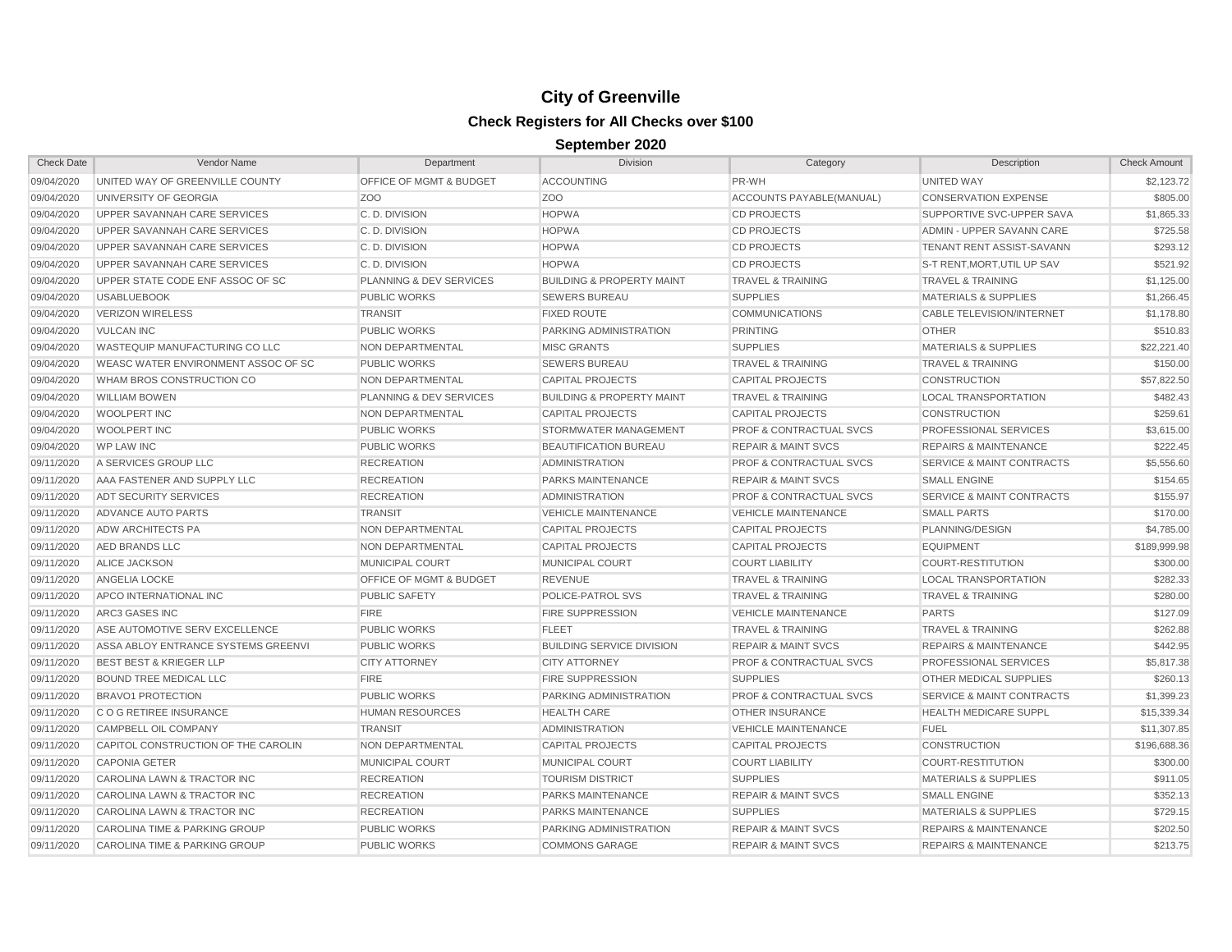| <b>Check Date</b> | Vendor Name                              | Department                         | Division                             | Category                           | Description                          | <b>Check Amount</b> |
|-------------------|------------------------------------------|------------------------------------|--------------------------------------|------------------------------------|--------------------------------------|---------------------|
| 09/04/2020        | UNITED WAY OF GREENVILLE COUNTY          | <b>OFFICE OF MGMT &amp; BUDGET</b> | <b>ACCOUNTING</b>                    | PR-WH                              | <b>UNITED WAY</b>                    | \$2,123.72          |
| 09/04/2020        | UNIVERSITY OF GEORGIA                    | Z <sub>O</sub> O                   | Z <sub>O</sub> O                     | ACCOUNTS PAYABLE(MANUAL)           | <b>CONSERVATION EXPENSE</b>          | \$805.00            |
| 09/04/2020        | UPPER SAVANNAH CARE SERVICES             | C.D. DIVISION                      | <b>HOPWA</b>                         | <b>CD PROJECTS</b>                 | SUPPORTIVE SVC-UPPER SAVA            | \$1,865.33          |
| 09/04/2020        | UPPER SAVANNAH CARE SERVICES             | C.D. DIVISION                      | <b>HOPWA</b>                         | <b>CD PROJECTS</b>                 | ADMIN - UPPER SAVANN CARE            | \$725.58            |
| 09/04/2020        | UPPER SAVANNAH CARE SERVICES             | C. D. DIVISION                     | <b>HOPWA</b>                         | <b>CD PROJECTS</b>                 | <b>TENANT RENT ASSIST-SAVANN</b>     | \$293.12            |
| 09/04/2020        | UPPER SAVANNAH CARE SERVICES             | C.D. DIVISION                      | <b>HOPWA</b>                         | <b>CD PROJECTS</b>                 | S-T RENT.MORT.UTIL UP SAV            | \$521.92            |
| 09/04/2020        | UPPER STATE CODE ENF ASSOC OF SC         | <b>PLANNING &amp; DEV SERVICES</b> | <b>BUILDING &amp; PROPERTY MAINT</b> | <b>TRAVEL &amp; TRAINING</b>       | <b>TRAVEL &amp; TRAINING</b>         | \$1,125.00          |
| 09/04/2020        | <b>USABLUEBOOK</b>                       | <b>PUBLIC WORKS</b>                | <b>SEWERS BUREAU</b>                 | <b>SUPPLIES</b>                    | <b>MATERIALS &amp; SUPPLIES</b>      | \$1,266.45          |
| 09/04/2020        | <b>VERIZON WIRELESS</b>                  | <b>TRANSIT</b>                     | <b>FIXED ROUTE</b>                   | <b>COMMUNICATIONS</b>              | <b>CABLE TELEVISION/INTERNET</b>     | \$1,178.80          |
| 09/04/2020        | <b>VULCAN INC</b>                        | <b>PUBLIC WORKS</b>                | PARKING ADMINISTRATION               | <b>PRINTING</b>                    | <b>OTHER</b>                         | \$510.83            |
| 09/04/2020        | <b>WASTEQUIP MANUFACTURING CO LLC</b>    | <b>NON DEPARTMENTAL</b>            | <b>MISC GRANTS</b>                   | <b>SUPPLIES</b>                    | <b>MATERIALS &amp; SUPPLIES</b>      | \$22,221.40         |
| 09/04/2020        | WEASC WATER ENVIRONMENT ASSOC OF SC      | <b>PUBLIC WORKS</b>                | <b>SEWERS BUREAU</b>                 | <b>TRAVEL &amp; TRAINING</b>       | <b>TRAVEL &amp; TRAINING</b>         | \$150.00            |
| 09/04/2020        | WHAM BROS CONSTRUCTION CO                | NON DEPARTMENTAL                   | <b>CAPITAL PROJECTS</b>              | <b>CAPITAL PROJECTS</b>            | <b>CONSTRUCTION</b>                  | \$57,822.50         |
| 09/04/2020        | <b>WILLIAM BOWEN</b>                     | <b>PLANNING &amp; DEV SERVICES</b> | <b>BUILDING &amp; PROPERTY MAINT</b> | <b>TRAVEL &amp; TRAINING</b>       | <b>LOCAL TRANSPORTATION</b>          | \$482.43            |
| 09/04/2020        | <b>WOOLPERT INC</b>                      | <b>NON DEPARTMENTAL</b>            | <b>CAPITAL PROJECTS</b>              | <b>CAPITAL PROJECTS</b>            | <b>CONSTRUCTION</b>                  | \$259.61            |
| 09/04/2020        | <b>WOOLPERT INC</b>                      | <b>PUBLIC WORKS</b>                | STORMWATER MANAGEMENT                | <b>PROF &amp; CONTRACTUAL SVCS</b> | PROFESSIONAL SERVICES                | \$3,615.00          |
| 09/04/2020        | <b>WP LAW INC</b>                        | <b>PUBLIC WORKS</b>                | <b>BEAUTIFICATION BUREAU</b>         | <b>REPAIR &amp; MAINT SVCS</b>     | <b>REPAIRS &amp; MAINTENANCE</b>     | \$222.45            |
| 09/11/2020        | A SERVICES GROUP LLC                     | <b>RECREATION</b>                  | <b>ADMINISTRATION</b>                | PROF & CONTRACTUAL SVCS            | <b>SERVICE &amp; MAINT CONTRACTS</b> | \$5,556.60          |
| 09/11/2020        | AAA FASTENER AND SUPPLY LLC              | <b>RECREATION</b>                  | PARKS MAINTENANCE                    | <b>REPAIR &amp; MAINT SVCS</b>     | <b>SMALL ENGINE</b>                  | \$154.65            |
| 09/11/2020        | <b>ADT SECURITY SERVICES</b>             | <b>RECREATION</b>                  | <b>ADMINISTRATION</b>                | <b>PROF &amp; CONTRACTUAL SVCS</b> | <b>SERVICE &amp; MAINT CONTRACTS</b> | \$155.97            |
| 09/11/2020        | ADVANCE AUTO PARTS                       | <b>TRANSIT</b>                     | <b>VEHICLE MAINTENANCE</b>           | <b>VEHICLE MAINTENANCE</b>         | <b>SMALL PARTS</b>                   | \$170.00            |
| 09/11/2020        | <b>ADW ARCHITECTS PA</b>                 | NON DEPARTMENTAL                   | <b>CAPITAL PROJECTS</b>              | <b>CAPITAL PROJECTS</b>            | PLANNING/DESIGN                      | \$4,785.00          |
| 09/11/2020        | AED BRANDS LLC                           | NON DEPARTMENTAL                   | <b>CAPITAL PROJECTS</b>              | <b>CAPITAL PROJECTS</b>            | <b>EQUIPMENT</b>                     | \$189,999.98        |
| 09/11/2020        | ALICE JACKSON                            | MUNICIPAL COURT                    | MUNICIPAL COURT                      | <b>COURT LIABILITY</b>             | <b>COURT-RESTITUTION</b>             | \$300.00            |
| 09/11/2020        | ANGELIA LOCKE                            | OFFICE OF MGMT & BUDGET            | <b>REVENUE</b>                       | <b>TRAVEL &amp; TRAINING</b>       | <b>LOCAL TRANSPORTATION</b>          | \$282.33            |
| 09/11/2020        | APCO INTERNATIONAL INC                   | <b>PUBLIC SAFETY</b>               | POLICE-PATROL SVS                    | <b>TRAVEL &amp; TRAINING</b>       | <b>TRAVEL &amp; TRAINING</b>         | \$280.00            |
| 09/11/2020        | ARC3 GASES INC                           | <b>FIRE</b>                        | <b>FIRE SUPPRESSION</b>              | <b>VEHICLE MAINTENANCE</b>         | <b>PARTS</b>                         | \$127.09            |
| 09/11/2020        | ASE AUTOMOTIVE SERV EXCELLENCE           | <b>PUBLIC WORKS</b>                | <b>FLEET</b>                         | <b>TRAVEL &amp; TRAINING</b>       | <b>TRAVEL &amp; TRAINING</b>         | \$262.88            |
| 09/11/2020        | ASSA ABLOY ENTRANCE SYSTEMS GREENVI      | <b>PUBLIC WORKS</b>                | <b>BUILDING SERVICE DIVISION</b>     | <b>REPAIR &amp; MAINT SVCS</b>     | <b>REPAIRS &amp; MAINTENANCE</b>     | \$442.95            |
| 09/11/2020        | <b>BEST BEST &amp; KRIEGER LLP</b>       | <b>CITY ATTORNEY</b>               | <b>CITY ATTORNEY</b>                 | <b>PROF &amp; CONTRACTUAL SVCS</b> | PROFESSIONAL SERVICES                | \$5,817.38          |
| 09/11/2020        | <b>BOUND TREE MEDICAL LLC</b>            | <b>FIRE</b>                        | <b>FIRE SUPPRESSION</b>              | <b>SUPPLIES</b>                    | OTHER MEDICAL SUPPLIES               | \$260.13            |
| 09/11/2020        | <b>BRAVO1 PROTECTION</b>                 | <b>PUBLIC WORKS</b>                | PARKING ADMINISTRATION               | <b>PROF &amp; CONTRACTUAL SVCS</b> | <b>SERVICE &amp; MAINT CONTRACTS</b> | \$1,399.23          |
| 09/11/2020        | C O G RETIREE INSURANCE                  | <b>HUMAN RESOURCES</b>             | <b>HEALTH CARE</b>                   | <b>OTHER INSURANCE</b>             | <b>HEALTH MEDICARE SUPPL</b>         | \$15,339.34         |
| 09/11/2020        | CAMPBELL OIL COMPANY                     | <b>TRANSIT</b>                     | <b>ADMINISTRATION</b>                | <b>VEHICLE MAINTENANCE</b>         | <b>FUEL</b>                          | \$11,307.85         |
| 09/11/2020        | CAPITOL CONSTRUCTION OF THE CAROLIN      | NON DEPARTMENTAL                   | <b>CAPITAL PROJECTS</b>              | <b>CAPITAL PROJECTS</b>            | <b>CONSTRUCTION</b>                  | \$196,688.36        |
| 09/11/2020        | <b>CAPONIA GETER</b>                     | <b>MUNICIPAL COURT</b>             | MUNICIPAL COURT                      | <b>COURT LIABILITY</b>             | <b>COURT-RESTITUTION</b>             | \$300.00            |
| 09/11/2020        | CAROLINA LAWN & TRACTOR INC              | <b>RECREATION</b>                  | <b>TOURISM DISTRICT</b>              | <b>SUPPLIES</b>                    | <b>MATERIALS &amp; SUPPLIES</b>      | \$911.05            |
| 09/11/2020        | CAROLINA LAWN & TRACTOR INC              | <b>RECREATION</b>                  | PARKS MAINTENANCE                    | <b>REPAIR &amp; MAINT SVCS</b>     | <b>SMALL ENGINE</b>                  | \$352.13            |
| 09/11/2020        | CAROLINA LAWN & TRACTOR INC              | <b>RECREATION</b>                  | <b>PARKS MAINTENANCE</b>             | <b>SUPPLIES</b>                    | <b>MATERIALS &amp; SUPPLIES</b>      | \$729.15            |
| 09/11/2020        | CAROLINA TIME & PARKING GROUP            | <b>PUBLIC WORKS</b>                | PARKING ADMINISTRATION               | <b>REPAIR &amp; MAINT SVCS</b>     | <b>REPAIRS &amp; MAINTENANCE</b>     | \$202.50            |
| 09/11/2020        | <b>CAROLINA TIME &amp; PARKING GROUP</b> | <b>PUBLIC WORKS</b>                | <b>COMMONS GARAGE</b>                | <b>REPAIR &amp; MAINT SVCS</b>     | <b>REPAIRS &amp; MAINTENANCE</b>     | \$213.75            |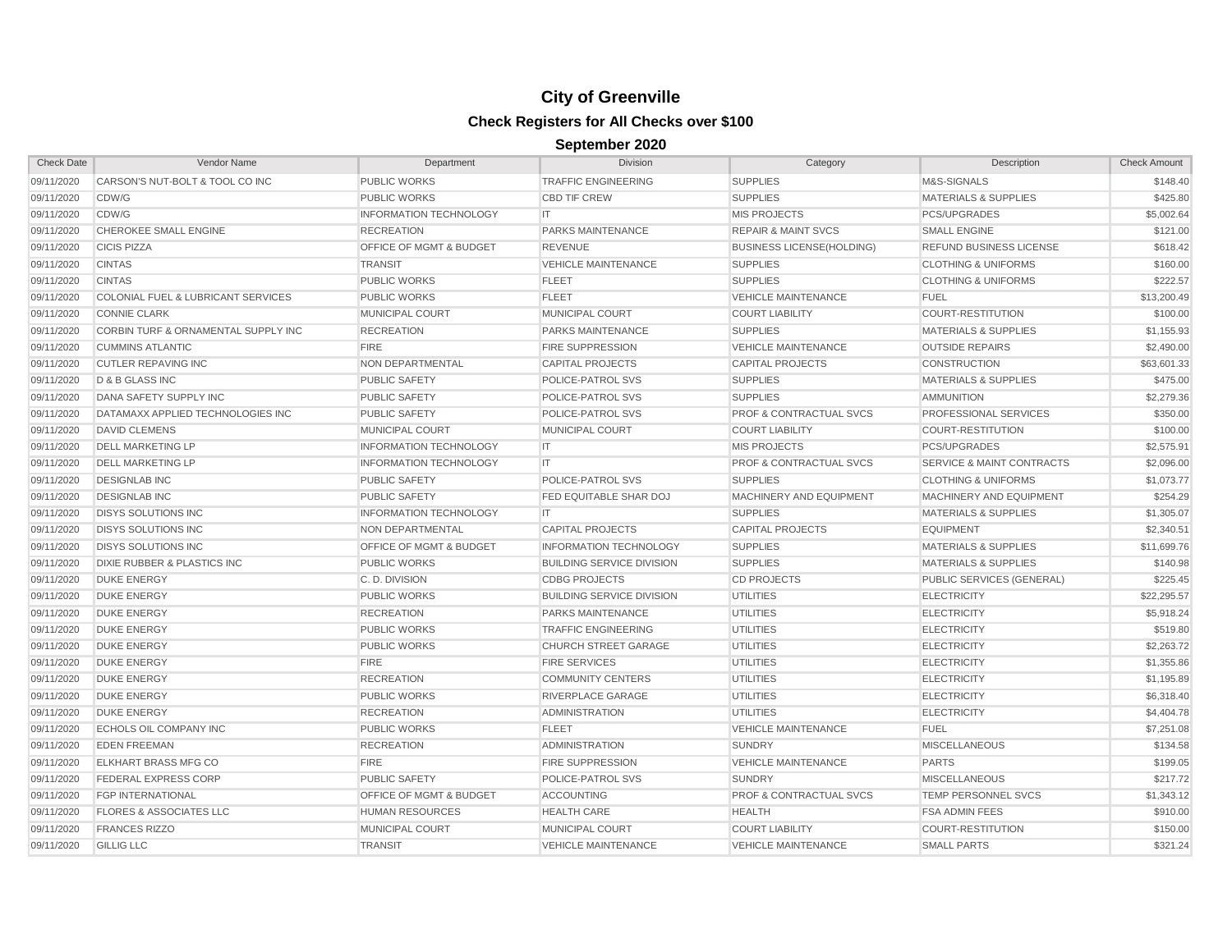| <b>Check Date</b> | Vendor Name                                   | Department                         | <b>Division</b>                  | Category                           | Description                          | <b>Check Amount</b> |
|-------------------|-----------------------------------------------|------------------------------------|----------------------------------|------------------------------------|--------------------------------------|---------------------|
| 09/11/2020        | CARSON'S NUT-BOLT & TOOL CO INC               | <b>PUBLIC WORKS</b>                | <b>TRAFFIC ENGINEERING</b>       | <b>SUPPLIES</b>                    | M&S-SIGNALS                          | \$148.40            |
| 09/11/2020        | CDW/G                                         | <b>PUBLIC WORKS</b>                | <b>CBD TIF CREW</b>              | <b>SUPPLIES</b>                    | <b>MATERIALS &amp; SUPPLIES</b>      | \$425.80            |
| 09/11/2020        | CDW/G                                         | <b>INFORMATION TECHNOLOGY</b>      | IT                               | <b>MIS PROJECTS</b>                | PCS/UPGRADES                         | \$5,002.64          |
| 09/11/2020        | CHEROKEE SMALL ENGINE                         | <b>RECREATION</b>                  | PARKS MAINTENANCE                | <b>REPAIR &amp; MAINT SVCS</b>     | <b>SMALL ENGINE</b>                  | \$121.00            |
| 09/11/2020        | <b>CICIS PIZZA</b>                            | OFFICE OF MGMT & BUDGET            | <b>REVENUE</b>                   | <b>BUSINESS LICENSE(HOLDING)</b>   | REFUND BUSINESS LICENSE              | \$618.42            |
| 09/11/2020        | <b>CINTAS</b>                                 | <b>TRANSIT</b>                     | <b>VEHICLE MAINTENANCE</b>       | <b>SUPPLIES</b>                    | <b>CLOTHING &amp; UNIFORMS</b>       | \$160.00            |
| 09/11/2020        | <b>CINTAS</b>                                 | <b>PUBLIC WORKS</b>                | <b>FLEET</b>                     | <b>SUPPLIES</b>                    | <b>CLOTHING &amp; UNIFORMS</b>       | \$222.57            |
| 09/11/2020        | <b>COLONIAL FUEL &amp; LUBRICANT SERVICES</b> | <b>PUBLIC WORKS</b>                | <b>FLEET</b>                     | <b>VEHICLE MAINTENANCE</b>         | <b>FUEL</b>                          | \$13,200.49         |
| 09/11/2020        | <b>CONNIE CLARK</b>                           | <b>MUNICIPAL COURT</b>             | MUNICIPAL COURT                  | <b>COURT LIABILITY</b>             | <b>COURT-RESTITUTION</b>             | \$100.00            |
| 09/11/2020        | CORBIN TURF & ORNAMENTAL SUPPLY INC           | <b>RECREATION</b>                  | <b>PARKS MAINTENANCE</b>         | <b>SUPPLIES</b>                    | <b>MATERIALS &amp; SUPPLIES</b>      | \$1,155.93          |
| 09/11/2020        | <b>CUMMINS ATLANTIC</b>                       | <b>FIRE</b>                        | <b>FIRE SUPPRESSION</b>          | <b>VEHICLE MAINTENANCE</b>         | <b>OUTSIDE REPAIRS</b>               | \$2,490.00          |
| 09/11/2020        | <b>CUTLER REPAVING INC</b>                    | <b>NON DEPARTMENTAL</b>            | <b>CAPITAL PROJECTS</b>          | <b>CAPITAL PROJECTS</b>            | <b>CONSTRUCTION</b>                  | \$63,601.33         |
| 09/11/2020        | D & B GLASS INC                               | <b>PUBLIC SAFETY</b>               | POLICE-PATROL SVS                | <b>SUPPLIES</b>                    | <b>MATERIALS &amp; SUPPLIES</b>      | \$475.00            |
| 09/11/2020        | DANA SAFETY SUPPLY INC                        | <b>PUBLIC SAFETY</b>               | POLICE-PATROL SVS                | <b>SUPPLIES</b>                    | <b>AMMUNITION</b>                    | \$2,279.36          |
| 09/11/2020        | DATAMAXX APPLIED TECHNOLOGIES INC             | <b>PUBLIC SAFETY</b>               | <b>POLICE-PATROL SVS</b>         | <b>PROF &amp; CONTRACTUAL SVCS</b> | <b>PROFESSIONAL SERVICES</b>         | \$350.00            |
| 09/11/2020        | <b>DAVID CLEMENS</b>                          | <b>MUNICIPAL COURT</b>             | MUNICIPAL COURT                  | <b>COURT LIABILITY</b>             | <b>COURT-RESTITUTION</b>             | \$100.00            |
| 09/11/2020        | <b>DELL MARKETING LP</b>                      | <b>INFORMATION TECHNOLOGY</b>      | IT                               | <b>MIS PROJECTS</b>                | <b>PCS/UPGRADES</b>                  | \$2,575.91          |
| 09/11/2020        | <b>DELL MARKETING LP</b>                      | <b>INFORMATION TECHNOLOGY</b>      | IT                               | PROF & CONTRACTUAL SVCS            | <b>SERVICE &amp; MAINT CONTRACTS</b> | \$2,096.00          |
| 09/11/2020        | <b>DESIGNLAB INC</b>                          | <b>PUBLIC SAFETY</b>               | POLICE-PATROL SVS                | <b>SUPPLIES</b>                    | <b>CLOTHING &amp; UNIFORMS</b>       | \$1,073.77          |
| 09/11/2020        | <b>DESIGNLAB INC</b>                          | <b>PUBLIC SAFETY</b>               | FED EQUITABLE SHAR DOJ           | MACHINERY AND EQUIPMENT            | MACHINERY AND EQUIPMENT              | \$254.29            |
| 09/11/2020        | <b>DISYS SOLUTIONS INC</b>                    | <b>INFORMATION TECHNOLOGY</b>      | <b>IT</b>                        | <b>SUPPLIES</b>                    | <b>MATERIALS &amp; SUPPLIES</b>      | \$1,305.07          |
| 09/11/2020        | <b>DISYS SOLUTIONS INC</b>                    | NON DEPARTMENTAL                   | <b>CAPITAL PROJECTS</b>          | <b>CAPITAL PROJECTS</b>            | <b>EQUIPMENT</b>                     | \$2,340.51          |
| 09/11/2020        | <b>DISYS SOLUTIONS INC</b>                    | <b>OFFICE OF MGMT &amp; BUDGET</b> | <b>INFORMATION TECHNOLOGY</b>    | <b>SUPPLIES</b>                    | <b>MATERIALS &amp; SUPPLIES</b>      | \$11,699.76         |
| 09/11/2020        | <b>DIXIE RUBBER &amp; PLASTICS INC</b>        | <b>PUBLIC WORKS</b>                | <b>BUILDING SERVICE DIVISION</b> | <b>SUPPLIES</b>                    | <b>MATERIALS &amp; SUPPLIES</b>      | \$140.98            |
| 09/11/2020        | <b>DUKE ENERGY</b>                            | C.D. DIVISION                      | <b>CDBG PROJECTS</b>             | <b>CD PROJECTS</b>                 | PUBLIC SERVICES (GENERAL)            | \$225.45            |
| 09/11/2020        | <b>DUKE ENERGY</b>                            | <b>PUBLIC WORKS</b>                | <b>BUILDING SERVICE DIVISION</b> | <b>UTILITIES</b>                   | <b>ELECTRICITY</b>                   | \$22,295.57         |
| 09/11/2020        | <b>DUKE ENERGY</b>                            | <b>RECREATION</b>                  | <b>PARKS MAINTENANCE</b>         | <b>UTILITIES</b>                   | <b>ELECTRICITY</b>                   | \$5,918.24          |
| 09/11/2020        | <b>DUKE ENERGY</b>                            | <b>PUBLIC WORKS</b>                | <b>TRAFFIC ENGINEERING</b>       | <b>UTILITIES</b>                   | <b>ELECTRICITY</b>                   | \$519.80            |
| 09/11/2020        | <b>DUKE ENERGY</b>                            | <b>PUBLIC WORKS</b>                | <b>CHURCH STREET GARAGE</b>      | <b>UTILITIES</b>                   | <b>ELECTRICITY</b>                   | \$2,263.72          |
| 09/11/2020        | <b>DUKE ENERGY</b>                            | <b>FIRE</b>                        | <b>FIRE SERVICES</b>             | <b>UTILITIES</b>                   | <b>ELECTRICITY</b>                   | \$1,355.86          |
| 09/11/2020        | <b>DUKE ENERGY</b>                            | <b>RECREATION</b>                  | <b>COMMUNITY CENTERS</b>         | <b>UTILITIES</b>                   | <b>ELECTRICITY</b>                   | \$1,195.89          |
| 09/11/2020        | <b>DUKE ENERGY</b>                            | <b>PUBLIC WORKS</b>                | RIVERPLACE GARAGE                | <b>UTILITIES</b>                   | <b>ELECTRICITY</b>                   | \$6,318.40          |
| 09/11/2020        | <b>DUKE ENERGY</b>                            | <b>RECREATION</b>                  | <b>ADMINISTRATION</b>            | <b>UTILITIES</b>                   | <b>ELECTRICITY</b>                   | \$4,404.78          |
| 09/11/2020        | ECHOLS OIL COMPANY INC                        | <b>PUBLIC WORKS</b>                | <b>FLEET</b>                     | <b>VEHICLE MAINTENANCE</b>         | <b>FUEL</b>                          | \$7,251.08          |
| 09/11/2020        | <b>EDEN FREEMAN</b>                           | <b>RECREATION</b>                  | <b>ADMINISTRATION</b>            | <b>SUNDRY</b>                      | <b>MISCELLANEOUS</b>                 | \$134.58            |
| 09/11/2020        | ELKHART BRASS MFG CO                          | <b>FIRE</b>                        | <b>FIRE SUPPRESSION</b>          | <b>VEHICLE MAINTENANCE</b>         | <b>PARTS</b>                         | \$199.05            |
| 09/11/2020        | FEDERAL EXPRESS CORP                          | <b>PUBLIC SAFETY</b>               | POLICE-PATROL SVS                | <b>SUNDRY</b>                      | <b>MISCELLANEOUS</b>                 | \$217.72            |
| 09/11/2020        | <b>FGP INTERNATIONAL</b>                      | OFFICE OF MGMT & BUDGET            | <b>ACCOUNTING</b>                | <b>PROF &amp; CONTRACTUAL SVCS</b> | <b>TEMP PERSONNEL SVCS</b>           | \$1,343.12          |
| 09/11/2020        | <b>FLORES &amp; ASSOCIATES LLC</b>            | <b>HUMAN RESOURCES</b>             | <b>HEALTH CARE</b>               | <b>HEALTH</b>                      | <b>FSA ADMIN FEES</b>                | \$910.00            |
| 09/11/2020        | <b>FRANCES RIZZO</b>                          | MUNICIPAL COURT                    | <b>MUNICIPAL COURT</b>           | <b>COURT LIABILITY</b>             | <b>COURT-RESTITUTION</b>             | \$150.00            |
| 09/11/2020        | <b>GILLIG LLC</b>                             | <b>TRANSIT</b>                     | <b>VEHICLE MAINTENANCE</b>       | <b>VEHICLE MAINTENANCE</b>         | <b>SMALL PARTS</b>                   | \$321.24            |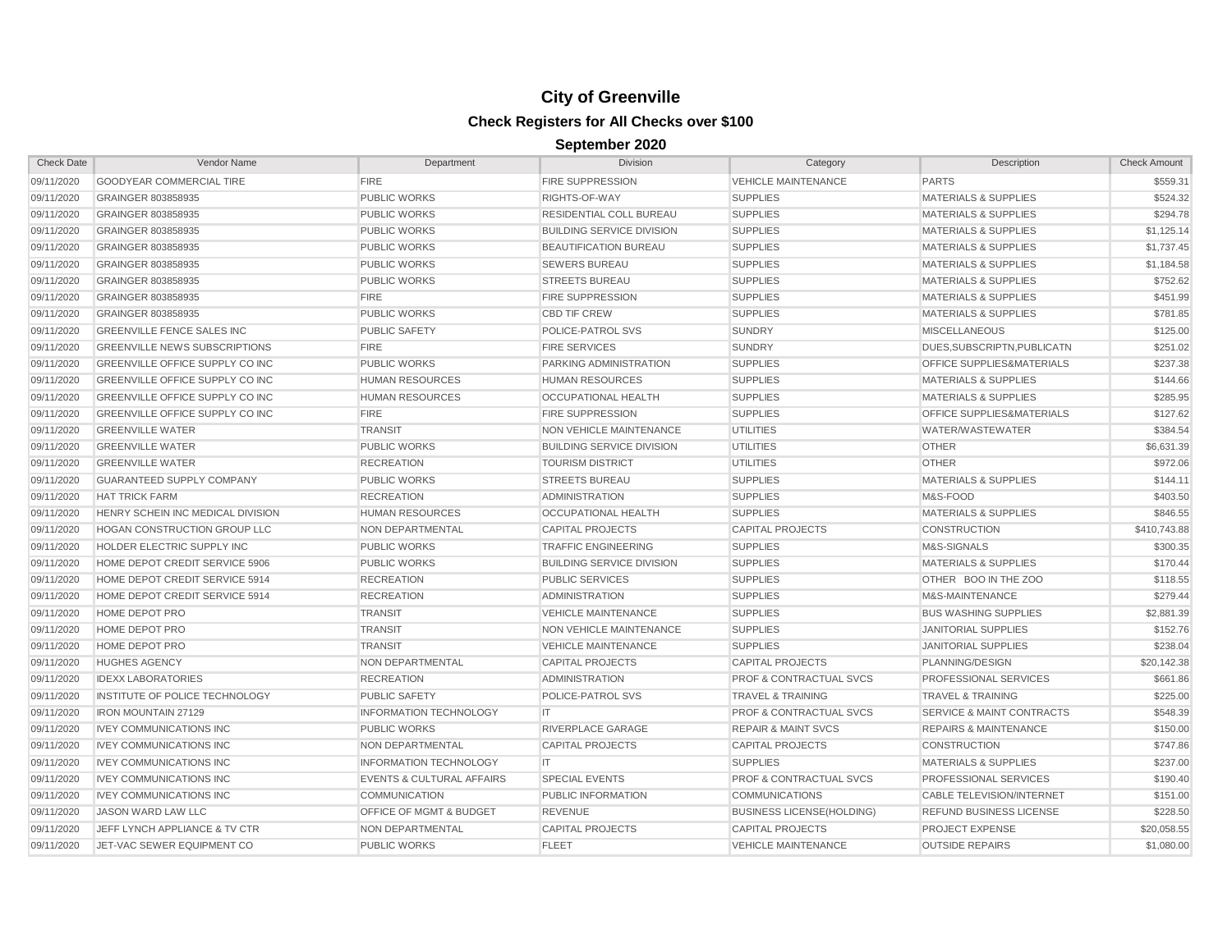| <b>Check Date</b> | Vendor Name                          | Department                           | Division                         | Category                           | Description                          | <b>Check Amount</b> |
|-------------------|--------------------------------------|--------------------------------------|----------------------------------|------------------------------------|--------------------------------------|---------------------|
| 09/11/2020        | <b>GOODYEAR COMMERCIAL TIRE</b>      | <b>FIRE</b>                          | <b>FIRE SUPPRESSION</b>          | <b>VEHICLE MAINTENANCE</b>         | <b>PARTS</b>                         | \$559.31            |
| 09/11/2020        | GRAINGER 803858935                   | <b>PUBLIC WORKS</b>                  | RIGHTS-OF-WAY                    | <b>SUPPLIES</b>                    | <b>MATERIALS &amp; SUPPLIES</b>      | \$524.32            |
| 09/11/2020        | GRAINGER 803858935                   | <b>PUBLIC WORKS</b>                  | RESIDENTIAL COLL BUREAU          | <b>SUPPLIES</b>                    | <b>MATERIALS &amp; SUPPLIES</b>      | \$294.78            |
| 09/11/2020        | GRAINGER 803858935                   | <b>PUBLIC WORKS</b>                  | <b>BUILDING SERVICE DIVISION</b> | <b>SUPPLIES</b>                    | <b>MATERIALS &amp; SUPPLIES</b>      | \$1,125.14          |
| 09/11/2020        | GRAINGER 803858935                   | <b>PUBLIC WORKS</b>                  | <b>BEAUTIFICATION BUREAU</b>     | <b>SUPPLIES</b>                    | <b>MATERIALS &amp; SUPPLIES</b>      | \$1,737.45          |
| 09/11/2020        | GRAINGER 803858935                   | <b>PUBLIC WORKS</b>                  | <b>SEWERS BUREAU</b>             | <b>SUPPLIES</b>                    | <b>MATERIALS &amp; SUPPLIES</b>      | \$1,184.58          |
| 09/11/2020        | GRAINGER 803858935                   | <b>PUBLIC WORKS</b>                  | <b>STREETS BUREAU</b>            | <b>SUPPLIES</b>                    | <b>MATERIALS &amp; SUPPLIES</b>      | \$752.62            |
| 09/11/2020        | GRAINGER 803858935                   | <b>FIRE</b>                          | <b>FIRE SUPPRESSION</b>          | <b>SUPPLIES</b>                    | MATERIALS & SUPPLIES                 | \$451.99            |
| 09/11/2020        | GRAINGER 803858935                   | <b>PUBLIC WORKS</b>                  | <b>CBD TIF CREW</b>              | <b>SUPPLIES</b>                    | <b>MATERIALS &amp; SUPPLIES</b>      | \$781.85            |
| 09/11/2020        | <b>GREENVILLE FENCE SALES INC</b>    | <b>PUBLIC SAFETY</b>                 | POLICE-PATROL SVS                | <b>SUNDRY</b>                      | <b>MISCELLANEOUS</b>                 | \$125.00            |
| 09/11/2020        | <b>GREENVILLE NEWS SUBSCRIPTIONS</b> | <b>FIRE</b>                          | <b>FIRE SERVICES</b>             | <b>SUNDRY</b>                      | DUES.SUBSCRIPTN.PUBLICATN            | \$251.02            |
| 09/11/2020        | GREENVILLE OFFICE SUPPLY CO INC      | <b>PUBLIC WORKS</b>                  | PARKING ADMINISTRATION           | <b>SUPPLIES</b>                    | OFFICE SUPPLIES&MATERIALS            | \$237.38            |
| 09/11/2020        | GREENVILLE OFFICE SUPPLY CO INC      | <b>HUMAN RESOURCES</b>               | <b>HUMAN RESOURCES</b>           | <b>SUPPLIES</b>                    | <b>MATERIALS &amp; SUPPLIES</b>      | \$144.66            |
| 09/11/2020        | GREENVILLE OFFICE SUPPLY CO INC      | <b>HUMAN RESOURCES</b>               | <b>OCCUPATIONAL HEALTH</b>       | <b>SUPPLIES</b>                    | <b>MATERIALS &amp; SUPPLIES</b>      | \$285.95            |
| 09/11/2020        | GREENVILLE OFFICE SUPPLY CO INC      | <b>FIRE</b>                          | <b>FIRE SUPPRESSION</b>          | <b>SUPPLIES</b>                    | OFFICE SUPPLIES&MATERIALS            | \$127.62            |
| 09/11/2020        | <b>GREENVILLE WATER</b>              | <b>TRANSIT</b>                       | NON VEHICLE MAINTENANCE          | <b>UTILITIES</b>                   | WATER/WASTEWATER                     | \$384.54            |
| 09/11/2020        | <b>GREENVILLE WATER</b>              | <b>PUBLIC WORKS</b>                  | <b>BUILDING SERVICE DIVISION</b> | <b>UTILITIES</b>                   | <b>OTHER</b>                         | \$6,631.39          |
| 09/11/2020        | <b>GREENVILLE WATER</b>              | <b>RECREATION</b>                    | <b>TOURISM DISTRICT</b>          | <b>UTILITIES</b>                   | <b>OTHER</b>                         | \$972.06            |
| 09/11/2020        | <b>GUARANTEED SUPPLY COMPANY</b>     | <b>PUBLIC WORKS</b>                  | <b>STREETS BUREAU</b>            | <b>SUPPLIES</b>                    | <b>MATERIALS &amp; SUPPLIES</b>      | \$144.11            |
| 09/11/2020        | <b>HAT TRICK FARM</b>                | <b>RECREATION</b>                    | <b>ADMINISTRATION</b>            | <b>SUPPLIES</b>                    | M&S-FOOD                             | \$403.50            |
| 09/11/2020        | HENRY SCHEIN INC MEDICAL DIVISION    | <b>HUMAN RESOURCES</b>               | <b>OCCUPATIONAL HEALTH</b>       | <b>SUPPLIES</b>                    | <b>MATERIALS &amp; SUPPLIES</b>      | \$846.55            |
| 09/11/2020        | HOGAN CONSTRUCTION GROUP LLC         | NON DEPARTMENTAL                     | <b>CAPITAL PROJECTS</b>          | <b>CAPITAL PROJECTS</b>            | <b>CONSTRUCTION</b>                  | \$410,743.88        |
| 09/11/2020        | HOLDER ELECTRIC SUPPLY INC           | <b>PUBLIC WORKS</b>                  | <b>TRAFFIC ENGINEERING</b>       | <b>SUPPLIES</b>                    | M&S-SIGNALS                          | \$300.35            |
| 09/11/2020        | HOME DEPOT CREDIT SERVICE 5906       | <b>PUBLIC WORKS</b>                  | <b>BUILDING SERVICE DIVISION</b> | <b>SUPPLIES</b>                    | <b>MATERIALS &amp; SUPPLIES</b>      | \$170.44            |
| 09/11/2020        | HOME DEPOT CREDIT SERVICE 5914       | <b>RECREATION</b>                    | <b>PUBLIC SERVICES</b>           | <b>SUPPLIES</b>                    | OTHER BOO IN THE ZOO                 | \$118.55            |
| 09/11/2020        | HOME DEPOT CREDIT SERVICE 5914       | <b>RECREATION</b>                    | <b>ADMINISTRATION</b>            | <b>SUPPLIES</b>                    | M&S-MAINTENANCE                      | \$279.44            |
| 09/11/2020        | <b>HOME DEPOT PRO</b>                | <b>TRANSIT</b>                       | <b>VEHICLE MAINTENANCE</b>       | <b>SUPPLIES</b>                    | <b>BUS WASHING SUPPLIES</b>          | \$2,881.39          |
| 09/11/2020        | HOME DEPOT PRO                       | <b>TRANSIT</b>                       | NON VEHICLE MAINTENANCE          | <b>SUPPLIES</b>                    | <b>JANITORIAL SUPPLIES</b>           | \$152.76            |
| 09/11/2020        | <b>HOME DEPOT PRO</b>                | <b>TRANSIT</b>                       | <b>VEHICLE MAINTENANCE</b>       | <b>SUPPLIES</b>                    | <b>JANITORIAL SUPPLIES</b>           | \$238.04            |
| 09/11/2020        | <b>HUGHES AGENCY</b>                 | NON DEPARTMENTAL                     | <b>CAPITAL PROJECTS</b>          | <b>CAPITAL PROJECTS</b>            | PLANNING/DESIGN                      | \$20,142.38         |
| 09/11/2020        | <b>IDEXX LABORATORIES</b>            | <b>RECREATION</b>                    | <b>ADMINISTRATION</b>            | <b>PROF &amp; CONTRACTUAL SVCS</b> | PROFESSIONAL SERVICES                | \$661.86            |
| 09/11/2020        | INSTITUTE OF POLICE TECHNOLOGY       | <b>PUBLIC SAFETY</b>                 | POLICE-PATROL SVS                | <b>TRAVEL &amp; TRAINING</b>       | <b>TRAVEL &amp; TRAINING</b>         | \$225.00            |
| 09/11/2020        | <b>IRON MOUNTAIN 27129</b>           | <b>INFORMATION TECHNOLOGY</b>        | IT.                              | <b>PROF &amp; CONTRACTUAL SVCS</b> | <b>SERVICE &amp; MAINT CONTRACTS</b> | \$548.39            |
| 09/11/2020        | <b>IVEY COMMUNICATIONS INC</b>       | <b>PUBLIC WORKS</b>                  | RIVERPLACE GARAGE                | <b>REPAIR &amp; MAINT SVCS</b>     | <b>REPAIRS &amp; MAINTENANCE</b>     | \$150.00            |
| 09/11/2020        | <b>IVEY COMMUNICATIONS INC</b>       | NON DEPARTMENTAL                     | <b>CAPITAL PROJECTS</b>          | <b>CAPITAL PROJECTS</b>            | CONSTRUCTION                         | \$747.86            |
| 09/11/2020        | <b>IVEY COMMUNICATIONS INC</b>       | <b>INFORMATION TECHNOLOGY</b>        | IT.                              | <b>SUPPLIES</b>                    | <b>MATERIALS &amp; SUPPLIES</b>      | \$237.00            |
| 09/11/2020        | <b>IVEY COMMUNICATIONS INC</b>       | <b>EVENTS &amp; CULTURAL AFFAIRS</b> | <b>SPECIAL EVENTS</b>            | <b>PROF &amp; CONTRACTUAL SVCS</b> | PROFESSIONAL SERVICES                | \$190.40            |
| 09/11/2020        | <b>IVEY COMMUNICATIONS INC</b>       | <b>COMMUNICATION</b>                 | PUBLIC INFORMATION               | <b>COMMUNICATIONS</b>              | <b>CABLE TELEVISION/INTERNET</b>     | \$151.00            |
| 09/11/2020        | <b>JASON WARD LAW LLC</b>            | <b>OFFICE OF MGMT &amp; BUDGET</b>   | <b>REVENUE</b>                   | <b>BUSINESS LICENSE (HOLDING)</b>  | REFUND BUSINESS LICENSE              | \$228.50            |
| 09/11/2020        | JEFF LYNCH APPLIANCE & TV CTR        | NON DEPARTMENTAL                     | <b>CAPITAL PROJECTS</b>          | <b>CAPITAL PROJECTS</b>            | PROJECT EXPENSE                      | \$20,058.55         |
| 09/11/2020        | JET-VAC SEWER EQUIPMENT CO           | <b>PUBLIC WORKS</b>                  | <b>FLEET</b>                     | <b>VEHICLE MAINTENANCE</b>         | <b>OUTSIDE REPAIRS</b>               | \$1,080.00          |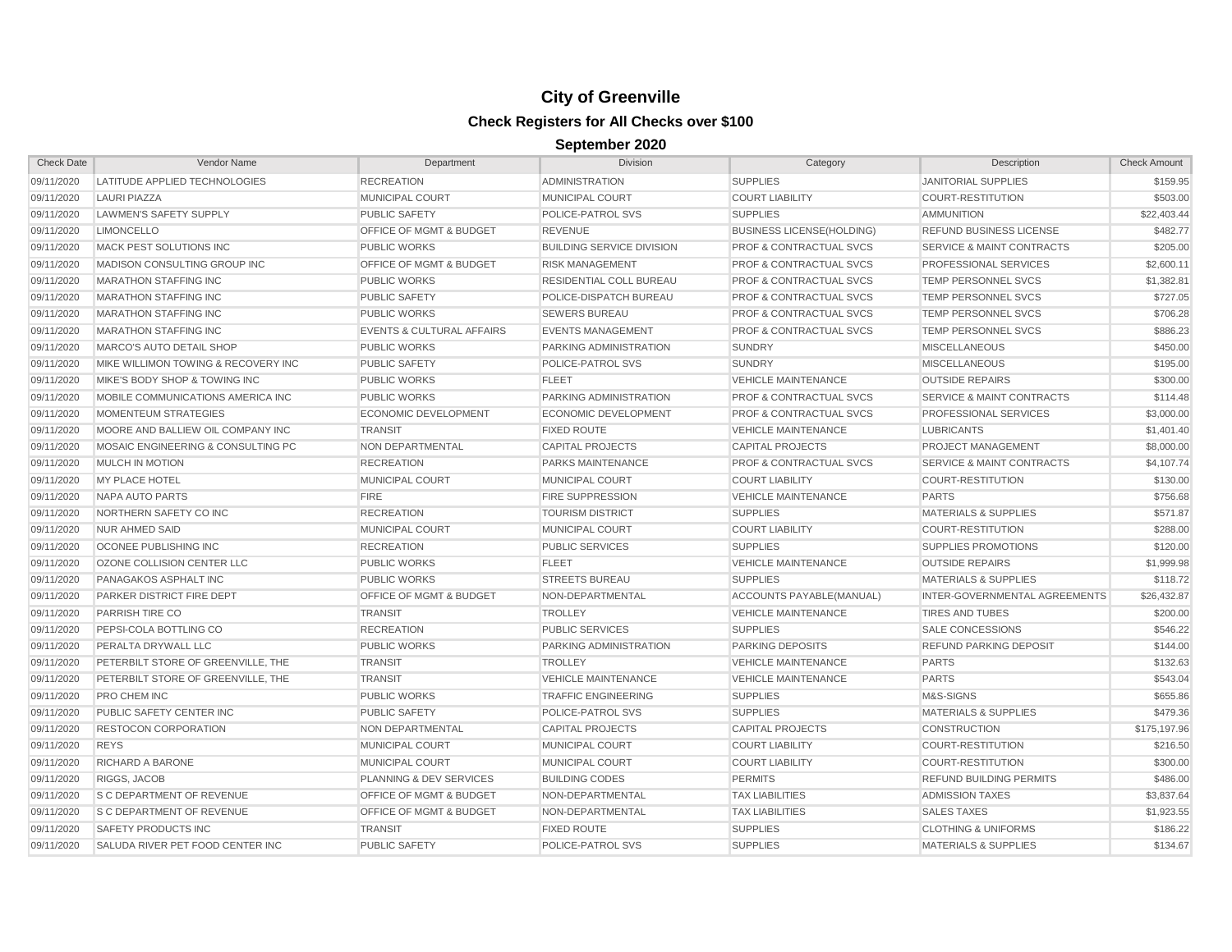| <b>Check Date</b> | Vendor Name                         | Department                           | <b>Division</b>                  | Category                           | Description                          | <b>Check Amount</b> |
|-------------------|-------------------------------------|--------------------------------------|----------------------------------|------------------------------------|--------------------------------------|---------------------|
| 09/11/2020        | LATITUDE APPLIED TECHNOLOGIES       | <b>RECREATION</b>                    | <b>ADMINISTRATION</b>            | <b>SUPPLIES</b>                    | <b>JANITORIAL SUPPLIES</b>           | \$159.95            |
| 09/11/2020        | <b>LAURI PIAZZA</b>                 | <b>MUNICIPAL COURT</b>               | MUNICIPAL COURT                  | <b>COURT LIABILITY</b>             | <b>COURT-RESTITUTION</b>             | \$503.00            |
| 09/11/2020        | LAWMEN'S SAFETY SUPPLY              | <b>PUBLIC SAFETY</b>                 | POLICE-PATROL SVS                | <b>SUPPLIES</b>                    | <b>AMMUNITION</b>                    | \$22,403.44         |
| 09/11/2020        | <b>LIMONCELLO</b>                   | OFFICE OF MGMT & BUDGET              | <b>REVENUE</b>                   | <b>BUSINESS LICENSE(HOLDING)</b>   | REFUND BUSINESS LICENSE              | \$482.77            |
| 09/11/2020        | MACK PEST SOLUTIONS INC             | <b>PUBLIC WORKS</b>                  | <b>BUILDING SERVICE DIVISION</b> | <b>PROF &amp; CONTRACTUAL SVCS</b> | <b>SERVICE &amp; MAINT CONTRACTS</b> | \$205.00            |
| 09/11/2020        | MADISON CONSULTING GROUP INC        | OFFICE OF MGMT & BUDGET              | <b>RISK MANAGEMENT</b>           | <b>PROF &amp; CONTRACTUAL SVCS</b> | PROFESSIONAL SERVICES                | \$2,600.11          |
| 09/11/2020        | <b>MARATHON STAFFING INC</b>        | <b>PUBLIC WORKS</b>                  | <b>RESIDENTIAL COLL BUREAU</b>   | <b>PROF &amp; CONTRACTUAL SVCS</b> | <b>TEMP PERSONNEL SVCS</b>           | \$1,382.81          |
| 09/11/2020        | <b>MARATHON STAFFING INC</b>        | <b>PUBLIC SAFETY</b>                 | POLICE-DISPATCH BUREAU           | <b>PROF &amp; CONTRACTUAL SVCS</b> | <b>TEMP PERSONNEL SVCS</b>           | \$727.05            |
| 09/11/2020        | <b>MARATHON STAFFING INC</b>        | <b>PUBLIC WORKS</b>                  | <b>SEWERS BUREAU</b>             | <b>PROF &amp; CONTRACTUAL SVCS</b> | <b>TEMP PERSONNEL SVCS</b>           | \$706.28            |
| 09/11/2020        | <b>MARATHON STAFFING INC</b>        | <b>EVENTS &amp; CULTURAL AFFAIRS</b> | <b>EVENTS MANAGEMENT</b>         | <b>PROF &amp; CONTRACTUAL SVCS</b> | <b>TEMP PERSONNEL SVCS</b>           | \$886.23            |
| 09/11/2020        | MARCO'S AUTO DETAIL SHOP            | <b>PUBLIC WORKS</b>                  | PARKING ADMINISTRATION           | <b>SUNDRY</b>                      | <b>MISCELLANEOUS</b>                 | \$450.00            |
| 09/11/2020        | MIKE WILLIMON TOWING & RECOVERY INC | <b>PUBLIC SAFETY</b>                 | POLICE-PATROL SVS                | <b>SUNDRY</b>                      | <b>MISCELLANEOUS</b>                 | \$195.00            |
| 09/11/2020        | MIKE'S BODY SHOP & TOWING INC       | <b>PUBLIC WORKS</b>                  | <b>FLEET</b>                     | <b>VEHICLE MAINTENANCE</b>         | <b>OUTSIDE REPAIRS</b>               | \$300.00            |
| 09/11/2020        | MOBILE COMMUNICATIONS AMERICA INC   | <b>PUBLIC WORKS</b>                  | PARKING ADMINISTRATION           | <b>PROF &amp; CONTRACTUAL SVCS</b> | <b>SERVICE &amp; MAINT CONTRACTS</b> | \$114.48            |
| 09/11/2020        | <b>MOMENTEUM STRATEGIES</b>         | <b>ECONOMIC DEVELOPMENT</b>          | <b>ECONOMIC DEVELOPMENT</b>      | <b>PROF &amp; CONTRACTUAL SVCS</b> | <b>PROFESSIONAL SERVICES</b>         | \$3,000.00          |
| 09/11/2020        | MOORE AND BALLIEW OIL COMPANY INC   | <b>TRANSIT</b>                       | <b>FIXED ROUTE</b>               | <b>VEHICLE MAINTENANCE</b>         | <b>LUBRICANTS</b>                    | \$1,401.40          |
| 09/11/2020        | MOSAIC ENGINEERING & CONSULTING PC  | <b>NON DEPARTMENTAL</b>              | <b>CAPITAL PROJECTS</b>          | <b>CAPITAL PROJECTS</b>            | <b>PROJECT MANAGEMENT</b>            | \$8,000.00          |
| 09/11/2020        | <b>MULCH IN MOTION</b>              | <b>RECREATION</b>                    | PARKS MAINTENANCE                | <b>PROF &amp; CONTRACTUAL SVCS</b> | <b>SERVICE &amp; MAINT CONTRACTS</b> | \$4,107.74          |
| 09/11/2020        | <b>MY PLACE HOTEL</b>               | <b>MUNICIPAL COURT</b>               | <b>MUNICIPAL COURT</b>           | <b>COURT LIABILITY</b>             | <b>COURT-RESTITUTION</b>             | \$130.00            |
| 09/11/2020        | <b>NAPA AUTO PARTS</b>              | <b>FIRE</b>                          | <b>FIRE SUPPRESSION</b>          | <b>VEHICLE MAINTENANCE</b>         | <b>PARTS</b>                         | \$756.68            |
| 09/11/2020        | NORTHERN SAFETY CO INC              | <b>RECREATION</b>                    | <b>TOURISM DISTRICT</b>          | <b>SUPPLIES</b>                    | <b>MATERIALS &amp; SUPPLIES</b>      | \$571.87            |
| 09/11/2020        | <b>NUR AHMED SAID</b>               | MUNICIPAL COURT                      | MUNICIPAL COURT                  | <b>COURT LIABILITY</b>             | <b>COURT-RESTITUTION</b>             | \$288.00            |
| 09/11/2020        | OCONEE PUBLISHING INC               | <b>RECREATION</b>                    | <b>PUBLIC SERVICES</b>           | <b>SUPPLIES</b>                    | <b>SUPPLIES PROMOTIONS</b>           | \$120.00            |
| 09/11/2020        | OZONE COLLISION CENTER LLC          | <b>PUBLIC WORKS</b>                  | <b>FLEET</b>                     | <b>VEHICLE MAINTENANCE</b>         | <b>OUTSIDE REPAIRS</b>               | \$1,999.98          |
| 09/11/2020        | PANAGAKOS ASPHALT INC               | <b>PUBLIC WORKS</b>                  | <b>STREETS BUREAU</b>            | <b>SUPPLIES</b>                    | <b>MATERIALS &amp; SUPPLIES</b>      | \$118.72            |
| 09/11/2020        | PARKER DISTRICT FIRE DEPT           | OFFICE OF MGMT & BUDGET              | NON-DEPARTMENTAL                 | ACCOUNTS PAYABLE(MANUAL)           | INTER-GOVERNMENTAL AGREEMENTS        | \$26,432.87         |
| 09/11/2020        | PARRISH TIRE CO                     | <b>TRANSIT</b>                       | <b>TROLLEY</b>                   | <b>VEHICLE MAINTENANCE</b>         | <b>TIRES AND TUBES</b>               | \$200.00            |
| 09/11/2020        | PEPSI-COLA BOTTLING CO              | <b>RECREATION</b>                    | <b>PUBLIC SERVICES</b>           | <b>SUPPLIES</b>                    | <b>SALE CONCESSIONS</b>              | \$546.22            |
| 09/11/2020        | PERALTA DRYWALL LLC                 | <b>PUBLIC WORKS</b>                  | PARKING ADMINISTRATION           | <b>PARKING DEPOSITS</b>            | <b>REFUND PARKING DEPOSIT</b>        | \$144.00            |
| 09/11/2020        | PETERBILT STORE OF GREENVILLE, THE  | <b>TRANSIT</b>                       | <b>TROLLEY</b>                   | <b>VEHICLE MAINTENANCE</b>         | <b>PARTS</b>                         | \$132.63            |
| 09/11/2020        | PETERBILT STORE OF GREENVILLE, THE  | <b>TRANSIT</b>                       | <b>VEHICLE MAINTENANCE</b>       | <b>VEHICLE MAINTENANCE</b>         | <b>PARTS</b>                         | \$543.04            |
| 09/11/2020        | <b>PRO CHEM INC</b>                 | <b>PUBLIC WORKS</b>                  | <b>TRAFFIC ENGINEERING</b>       | <b>SUPPLIES</b>                    | M&S-SIGNS                            | \$655.86            |
| 09/11/2020        | PUBLIC SAFETY CENTER INC            | <b>PUBLIC SAFETY</b>                 | POLICE-PATROL SVS                | <b>SUPPLIES</b>                    | <b>MATERIALS &amp; SUPPLIES</b>      | \$479.36            |
| 09/11/2020        | <b>RESTOCON CORPORATION</b>         | NON DEPARTMENTAL                     | <b>CAPITAL PROJECTS</b>          | <b>CAPITAL PROJECTS</b>            | <b>CONSTRUCTION</b>                  | \$175,197.96        |
| 09/11/2020        | <b>REYS</b>                         | <b>MUNICIPAL COURT</b>               | <b>MUNICIPAL COURT</b>           | <b>COURT LIABILITY</b>             | <b>COURT-RESTITUTION</b>             | \$216.50            |
| 09/11/2020        | <b>RICHARD A BARONE</b>             | <b>MUNICIPAL COURT</b>               | <b>MUNICIPAL COURT</b>           | <b>COURT LIABILITY</b>             | <b>COURT-RESTITUTION</b>             | \$300.00            |
| 09/11/2020        | RIGGS, JACOB                        | <b>PLANNING &amp; DEV SERVICES</b>   | <b>BUILDING CODES</b>            | <b>PERMITS</b>                     | <b>REFUND BUILDING PERMITS</b>       | \$486.00            |
| 09/11/2020        | <b>S C DEPARTMENT OF REVENUE</b>    | <b>OFFICE OF MGMT &amp; BUDGET</b>   | NON-DEPARTMENTAL                 | <b>TAX LIABILITIES</b>             | <b>ADMISSION TAXES</b>               | \$3,837.64          |
| 09/11/2020        | <b>S C DEPARTMENT OF REVENUE</b>    | <b>OFFICE OF MGMT &amp; BUDGET</b>   | NON-DEPARTMENTAL                 | <b>TAX LIABILITIES</b>             | <b>SALES TAXES</b>                   | \$1,923.55          |
| 09/11/2020        | <b>SAFETY PRODUCTS INC</b>          | <b>TRANSIT</b>                       | <b>FIXED ROUTE</b>               | <b>SUPPLIES</b>                    | <b>CLOTHING &amp; UNIFORMS</b>       | \$186.22            |
| 09/11/2020        | SALUDA RIVER PET FOOD CENTER INC    | <b>PUBLIC SAFETY</b>                 | POLICE-PATROL SVS                | <b>SUPPLIES</b>                    | <b>MATERIALS &amp; SUPPLIES</b>      | \$134.67            |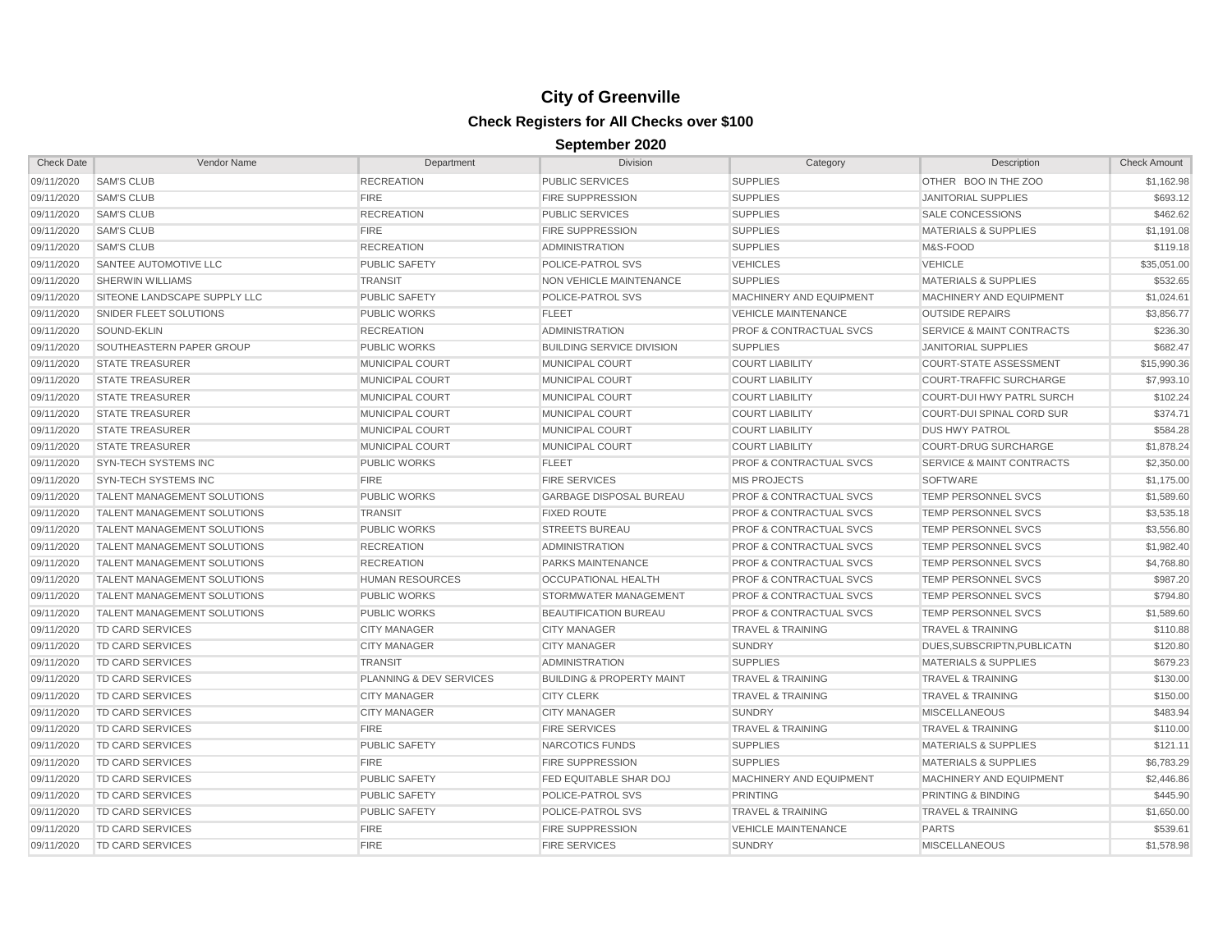| <b>Check Date</b> | Vendor Name                        | Department              | Division                             | Category                           | Description                          | <b>Check Amount</b> |
|-------------------|------------------------------------|-------------------------|--------------------------------------|------------------------------------|--------------------------------------|---------------------|
| 09/11/2020        | <b>SAM'S CLUB</b>                  | <b>RECREATION</b>       | <b>PUBLIC SERVICES</b>               | <b>SUPPLIES</b>                    | OTHER BOO IN THE ZOO                 | \$1,162.98          |
| 09/11/2020        | <b>SAM'S CLUB</b>                  | <b>FIRE</b>             | <b>FIRE SUPPRESSION</b>              | <b>SUPPLIES</b>                    | <b>JANITORIAL SUPPLIES</b>           | \$693.12            |
| 09/11/2020        | <b>SAM'S CLUB</b>                  | <b>RECREATION</b>       | <b>PUBLIC SERVICES</b>               | <b>SUPPLIES</b>                    | <b>SALE CONCESSIONS</b>              | \$462.62            |
| 09/11/2020        | <b>SAM'S CLUB</b>                  | <b>FIRE</b>             | <b>FIRE SUPPRESSION</b>              | <b>SUPPLIES</b>                    | <b>MATERIALS &amp; SUPPLIES</b>      | \$1,191.08          |
| 09/11/2020        | <b>SAM'S CLUB</b>                  | <b>RECREATION</b>       | <b>ADMINISTRATION</b>                | <b>SUPPLIES</b>                    | M&S-FOOD                             | \$119.18            |
| 09/11/2020        | SANTEE AUTOMOTIVE LLC              | PUBLIC SAFETY           | POLICE-PATROL SVS                    | <b>VEHICLES</b>                    | <b>VEHICLE</b>                       | \$35,051.00         |
| 09/11/2020        | <b>SHERWIN WILLIAMS</b>            | <b>TRANSIT</b>          | NON VEHICLE MAINTENANCE              | <b>SUPPLIES</b>                    | <b>MATERIALS &amp; SUPPLIES</b>      | \$532.65            |
| 09/11/2020        | SITEONE LANDSCAPE SUPPLY LLC       | <b>PUBLIC SAFETY</b>    | POLICE-PATROL SVS                    | MACHINERY AND EQUIPMENT            | MACHINERY AND EQUIPMENT              | \$1,024.61          |
| 09/11/2020        | SNIDER FLEET SOLUTIONS             | <b>PUBLIC WORKS</b>     | <b>FLEET</b>                         | <b>VEHICLE MAINTENANCE</b>         | <b>OUTSIDE REPAIRS</b>               | \$3,856.77          |
| 09/11/2020        | SOUND-EKLIN                        | <b>RECREATION</b>       | <b>ADMINISTRATION</b>                | PROF & CONTRACTUAL SVCS            | <b>SERVICE &amp; MAINT CONTRACTS</b> | \$236.30            |
| 09/11/2020        | SOUTHEASTERN PAPER GROUP           | <b>PUBLIC WORKS</b>     | <b>BUILDING SERVICE DIVISION</b>     | <b>SUPPLIES</b>                    | <b>JANITORIAL SUPPLIES</b>           | \$682.47            |
| 09/11/2020        | <b>STATE TREASURER</b>             | <b>MUNICIPAL COURT</b>  | <b>MUNICIPAL COURT</b>               | <b>COURT LIABILITY</b>             | <b>COURT-STATE ASSESSMENT</b>        | \$15,990.36         |
| 09/11/2020        | <b>STATE TREASURER</b>             | <b>MUNICIPAL COURT</b>  | <b>MUNICIPAL COURT</b>               | <b>COURT LIABILITY</b>             | <b>COURT-TRAFFIC SURCHARGE</b>       | \$7,993.10          |
| 09/11/2020        | <b>STATE TREASURER</b>             | <b>MUNICIPAL COURT</b>  | <b>MUNICIPAL COURT</b>               | <b>COURT LIABILITY</b>             | <b>COURT-DUI HWY PATRL SURCH</b>     | \$102.24            |
| 09/11/2020        | <b>STATE TREASURER</b>             | MUNICIPAL COURT         | <b>MUNICIPAL COURT</b>               | <b>COURT LIABILITY</b>             | COURT-DUI SPINAL CORD SUR            | \$374.71            |
| 09/11/2020        | <b>STATE TREASURER</b>             | MUNICIPAL COURT         | MUNICIPAL COURT                      | <b>COURT LIABILITY</b>             | <b>DUS HWY PATROL</b>                | \$584.28            |
| 09/11/2020        | <b>STATE TREASURER</b>             | MUNICIPAL COURT         | MUNICIPAL COURT                      | <b>COURT LIABILITY</b>             | <b>COURT-DRUG SURCHARGE</b>          | \$1,878.24          |
| 09/11/2020        | SYN-TECH SYSTEMS INC               | <b>PUBLIC WORKS</b>     | <b>FLEET</b>                         | <b>PROF &amp; CONTRACTUAL SVCS</b> | <b>SERVICE &amp; MAINT CONTRACTS</b> | \$2,350.00          |
| 09/11/2020        | <b>SYN-TECH SYSTEMS INC</b>        | <b>FIRE</b>             | <b>FIRE SERVICES</b>                 | <b>MIS PROJECTS</b>                | <b>SOFTWARE</b>                      | \$1,175.00          |
| 09/11/2020        | <b>TALENT MANAGEMENT SOLUTIONS</b> | <b>PUBLIC WORKS</b>     | <b>GARBAGE DISPOSAL BUREAU</b>       | <b>PROF &amp; CONTRACTUAL SVCS</b> | <b>TEMP PERSONNEL SVCS</b>           | \$1,589.60          |
| 09/11/2020        | <b>TALENT MANAGEMENT SOLUTIONS</b> | <b>TRANSIT</b>          | <b>FIXED ROUTE</b>                   | <b>PROF &amp; CONTRACTUAL SVCS</b> | <b>TEMP PERSONNEL SVCS</b>           | \$3,535.18          |
| 09/11/2020        | <b>TALENT MANAGEMENT SOLUTIONS</b> | <b>PUBLIC WORKS</b>     | <b>STREETS BUREAU</b>                | <b>PROF &amp; CONTRACTUAL SVCS</b> | <b>TEMP PERSONNEL SVCS</b>           | \$3,556.80          |
| 09/11/2020        | <b>TALENT MANAGEMENT SOLUTIONS</b> | <b>RECREATION</b>       | <b>ADMINISTRATION</b>                | <b>PROF &amp; CONTRACTUAL SVCS</b> | <b>TEMP PERSONNEL SVCS</b>           | \$1,982.40          |
| 09/11/2020        | <b>TALENT MANAGEMENT SOLUTIONS</b> | <b>RECREATION</b>       | <b>PARKS MAINTENANCE</b>             | <b>PROF &amp; CONTRACTUAL SVCS</b> | <b>TEMP PERSONNEL SVCS</b>           | \$4,768.80          |
| 09/11/2020        | <b>TALENT MANAGEMENT SOLUTIONS</b> | <b>HUMAN RESOURCES</b>  | <b>OCCUPATIONAL HEALTH</b>           | <b>PROF &amp; CONTRACTUAL SVCS</b> | <b>TEMP PERSONNEL SVCS</b>           | \$987.20            |
| 09/11/2020        | <b>TALENT MANAGEMENT SOLUTIONS</b> | <b>PUBLIC WORKS</b>     | STORMWATER MANAGEMENT                | <b>PROF &amp; CONTRACTUAL SVCS</b> | <b>TEMP PERSONNEL SVCS</b>           | \$794.80            |
| 09/11/2020        | <b>TALENT MANAGEMENT SOLUTIONS</b> | <b>PUBLIC WORKS</b>     | <b>BEAUTIFICATION BUREAU</b>         | <b>PROF &amp; CONTRACTUAL SVCS</b> | <b>TEMP PERSONNEL SVCS</b>           | \$1,589.60          |
| 09/11/2020        | <b>TD CARD SERVICES</b>            | <b>CITY MANAGER</b>     | <b>CITY MANAGER</b>                  | <b>TRAVEL &amp; TRAINING</b>       | <b>TRAVEL &amp; TRAINING</b>         | \$110.88            |
| 09/11/2020        | TD CARD SERVICES                   | <b>CITY MANAGER</b>     | <b>CITY MANAGER</b>                  | <b>SUNDRY</b>                      | DUES, SUBSCRIPTN, PUBLICATN          | \$120.80            |
| 09/11/2020        | TD CARD SERVICES                   | <b>TRANSIT</b>          | <b>ADMINISTRATION</b>                | <b>SUPPLIES</b>                    | <b>MATERIALS &amp; SUPPLIES</b>      | \$679.23            |
| 09/11/2020        | TD CARD SERVICES                   | PLANNING & DEV SERVICES | <b>BUILDING &amp; PROPERTY MAINT</b> | <b>TRAVEL &amp; TRAINING</b>       | <b>TRAVEL &amp; TRAINING</b>         | \$130.00            |
| 09/11/2020        | <b>TD CARD SERVICES</b>            | <b>CITY MANAGER</b>     | <b>CITY CLERK</b>                    | <b>TRAVEL &amp; TRAINING</b>       | <b>TRAVEL &amp; TRAINING</b>         | \$150.00            |
| 09/11/2020        | <b>TD CARD SERVICES</b>            | <b>CITY MANAGER</b>     | <b>CITY MANAGER</b>                  | <b>SUNDRY</b>                      | <b>MISCELLANEOUS</b>                 | \$483.94            |
| 09/11/2020        | <b>TD CARD SERVICES</b>            | <b>FIRE</b>             | <b>FIRE SERVICES</b>                 | <b>TRAVEL &amp; TRAINING</b>       | <b>TRAVEL &amp; TRAINING</b>         | \$110.00            |
| 09/11/2020        | <b>TD CARD SERVICES</b>            | <b>PUBLIC SAFETY</b>    | NARCOTICS FUNDS                      | <b>SUPPLIES</b>                    | <b>MATERIALS &amp; SUPPLIES</b>      | \$121.11            |
| 09/11/2020        | TD CARD SERVICES                   | <b>FIRE</b>             | <b>FIRE SUPPRESSION</b>              | <b>SUPPLIES</b>                    | <b>MATERIALS &amp; SUPPLIES</b>      | \$6,783.29          |
| 09/11/2020        | TD CARD SERVICES                   | <b>PUBLIC SAFETY</b>    | FED EQUITABLE SHAR DOJ               | MACHINERY AND EQUIPMENT            | MACHINERY AND EQUIPMENT              | \$2,446.86          |
| 09/11/2020        | <b>TD CARD SERVICES</b>            | <b>PUBLIC SAFETY</b>    | POLICE-PATROL SVS                    | <b>PRINTING</b>                    | PRINTING & BINDING                   | \$445.90            |
| 09/11/2020        | <b>TD CARD SERVICES</b>            | <b>PUBLIC SAFETY</b>    | POLICE-PATROL SVS                    | <b>TRAVEL &amp; TRAINING</b>       | <b>TRAVEL &amp; TRAINING</b>         | \$1,650.00          |
| 09/11/2020        | <b>TD CARD SERVICES</b>            | <b>FIRE</b>             | <b>FIRE SUPPRESSION</b>              | <b>VEHICLE MAINTENANCE</b>         | <b>PARTS</b>                         | \$539.61            |
| 09/11/2020        | <b>TD CARD SERVICES</b>            | <b>FIRE</b>             | <b>FIRE SERVICES</b>                 | <b>SUNDRY</b>                      | <b>MISCELLANEOUS</b>                 | \$1,578.98          |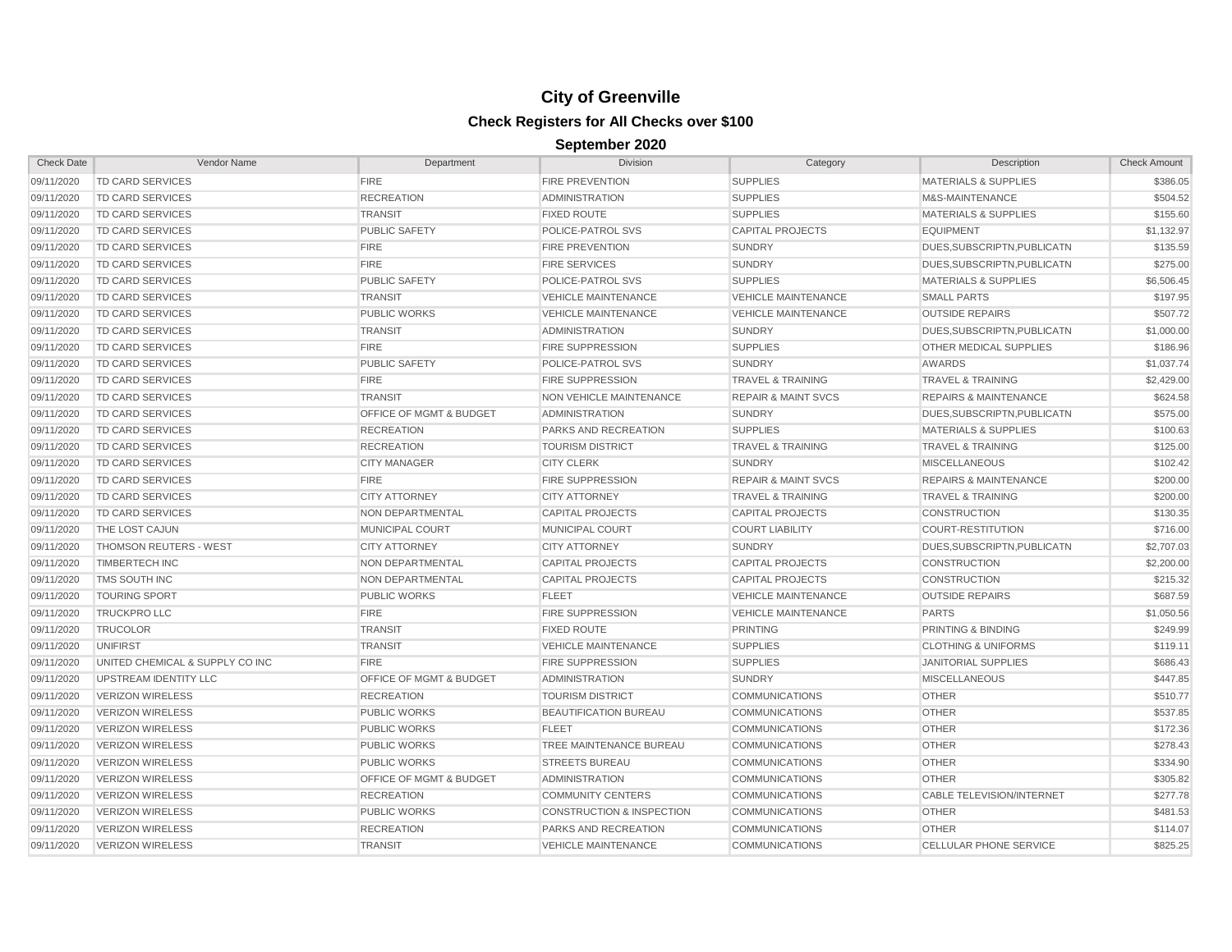| <b>Check Date</b> | Vendor Name                     | Department                         | <b>Division</b>                      | Category                       | Description                      | <b>Check Amount</b> |
|-------------------|---------------------------------|------------------------------------|--------------------------------------|--------------------------------|----------------------------------|---------------------|
| 09/11/2020        | TD CARD SERVICES                | <b>FIRE</b>                        | <b>FIRE PREVENTION</b>               | <b>SUPPLIES</b>                | <b>MATERIALS &amp; SUPPLIES</b>  | \$386.05            |
| 09/11/2020        | TD CARD SERVICES                | <b>RECREATION</b>                  | <b>ADMINISTRATION</b>                | <b>SUPPLIES</b>                | M&S-MAINTENANCE                  | \$504.52            |
| 09/11/2020        | TD CARD SERVICES                | <b>TRANSIT</b>                     | <b>FIXED ROUTE</b>                   | <b>SUPPLIES</b>                | <b>MATERIALS &amp; SUPPLIES</b>  | \$155.60            |
| 09/11/2020        | TD CARD SERVICES                | <b>PUBLIC SAFETY</b>               | POLICE-PATROL SVS                    | <b>CAPITAL PROJECTS</b>        | <b>EQUIPMENT</b>                 | \$1,132.97          |
| 09/11/2020        | TD CARD SERVICES                | <b>FIRE</b>                        | <b>FIRE PREVENTION</b>               | <b>SUNDRY</b>                  | DUES, SUBSCRIPTN, PUBLICATN      | \$135.59            |
| 09/11/2020        | TD CARD SERVICES                | <b>FIRE</b>                        | <b>FIRE SERVICES</b>                 | <b>SUNDRY</b>                  | DUES, SUBSCRIPTN, PUBLICATN      | \$275.00            |
| 09/11/2020        | TD CARD SERVICES                | <b>PUBLIC SAFETY</b>               | POLICE-PATROL SVS                    | <b>SUPPLIES</b>                | <b>MATERIALS &amp; SUPPLIES</b>  | \$6,506.45          |
| 09/11/2020        | TD CARD SERVICES                | <b>TRANSIT</b>                     | <b>VEHICLE MAINTENANCE</b>           | <b>VEHICLE MAINTENANCE</b>     | <b>SMALL PARTS</b>               | \$197.95            |
| 09/11/2020        | TD CARD SERVICES                | <b>PUBLIC WORKS</b>                | <b>VEHICLE MAINTENANCE</b>           | <b>VEHICLE MAINTENANCE</b>     | <b>OUTSIDE REPAIRS</b>           | \$507.72            |
| 09/11/2020        | <b>TD CARD SERVICES</b>         | <b>TRANSIT</b>                     | ADMINISTRATION                       | <b>SUNDRY</b>                  | DUES, SUBSCRIPTN, PUBLICATN      | \$1,000.00          |
| 09/11/2020        | <b>TD CARD SERVICES</b>         | <b>FIRE</b>                        | <b>FIRE SUPPRESSION</b>              | <b>SUPPLIES</b>                | OTHER MEDICAL SUPPLIES           | \$186.96            |
| 09/11/2020        | <b>TD CARD SERVICES</b>         | <b>PUBLIC SAFETY</b>               | POLICE-PATROL SVS                    | <b>SUNDRY</b>                  | <b>AWARDS</b>                    | \$1,037.74          |
| 09/11/2020        | <b>TD CARD SERVICES</b>         | <b>FIRE</b>                        | <b>FIRE SUPPRESSION</b>              | <b>TRAVEL &amp; TRAINING</b>   | <b>TRAVEL &amp; TRAINING</b>     | \$2,429.00          |
| 09/11/2020        | TD CARD SERVICES                | <b>TRANSIT</b>                     | NON VEHICLE MAINTENANCE              | <b>REPAIR &amp; MAINT SVCS</b> | <b>REPAIRS &amp; MAINTENANCE</b> | \$624.58            |
| 09/11/2020        | TD CARD SERVICES                | OFFICE OF MGMT & BUDGET            | <b>ADMINISTRATION</b>                | <b>SUNDRY</b>                  | DUES, SUBSCRIPTN, PUBLICATN      | \$575.00            |
| 09/11/2020        | TD CARD SERVICES                | <b>RECREATION</b>                  | PARKS AND RECREATION                 | <b>SUPPLIES</b>                | <b>MATERIALS &amp; SUPPLIES</b>  | \$100.63            |
| 09/11/2020        | TD CARD SERVICES                | <b>RECREATION</b>                  | <b>TOURISM DISTRICT</b>              | <b>TRAVEL &amp; TRAINING</b>   | <b>TRAVEL &amp; TRAINING</b>     | \$125.00            |
| 09/11/2020        | TD CARD SERVICES                | <b>CITY MANAGER</b>                | <b>CITY CLERK</b>                    | <b>SUNDRY</b>                  | <b>MISCELLANEOUS</b>             | \$102.42            |
| 09/11/2020        | <b>TD CARD SERVICES</b>         | <b>FIRE</b>                        | <b>FIRE SUPPRESSION</b>              | <b>REPAIR &amp; MAINT SVCS</b> | <b>REPAIRS &amp; MAINTENANCE</b> | \$200.00            |
| 09/11/2020        | TD CARD SERVICES                | <b>CITY ATTORNEY</b>               | <b>CITY ATTORNEY</b>                 | <b>TRAVEL &amp; TRAINING</b>   | <b>TRAVEL &amp; TRAINING</b>     | \$200.00            |
| 09/11/2020        | <b>TD CARD SERVICES</b>         | NON DEPARTMENTAL                   | <b>CAPITAL PROJECTS</b>              | <b>CAPITAL PROJECTS</b>        | CONSTRUCTION                     | \$130.35            |
| 09/11/2020        | THE LOST CAJUN                  | <b>MUNICIPAL COURT</b>             | <b>MUNICIPAL COURT</b>               | <b>COURT LIABILITY</b>         | <b>COURT-RESTITUTION</b>         | \$716.00            |
| 09/11/2020        | THOMSON REUTERS - WEST          | <b>CITY ATTORNEY</b>               | <b>CITY ATTORNEY</b>                 | <b>SUNDRY</b>                  | DUES, SUBSCRIPTN, PUBLICATN      | \$2,707.03          |
| 09/11/2020        | <b>TIMBERTECH INC</b>           | NON DEPARTMENTAL                   | <b>CAPITAL PROJECTS</b>              | <b>CAPITAL PROJECTS</b>        | <b>CONSTRUCTION</b>              | \$2,200.00          |
| 09/11/2020        | TMS SOUTH INC                   | NON DEPARTMENTAL                   | <b>CAPITAL PROJECTS</b>              | <b>CAPITAL PROJECTS</b>        | <b>CONSTRUCTION</b>              | \$215.32            |
| 09/11/2020        | <b>TOURING SPORT</b>            | <b>PUBLIC WORKS</b>                | <b>FLEET</b>                         | <b>VEHICLE MAINTENANCE</b>     | <b>OUTSIDE REPAIRS</b>           | \$687.59            |
| 09/11/2020        | <b>TRUCKPRO LLC</b>             | <b>FIRE</b>                        | <b>FIRE SUPPRESSION</b>              | <b>VEHICLE MAINTENANCE</b>     | <b>PARTS</b>                     | \$1,050.56          |
| 09/11/2020        | <b>TRUCOLOR</b>                 | <b>TRANSIT</b>                     | <b>FIXED ROUTE</b>                   | <b>PRINTING</b>                | PRINTING & BINDING               | \$249.99            |
| 09/11/2020        | <b>UNIFIRST</b>                 | <b>TRANSIT</b>                     | <b>VEHICLE MAINTENANCE</b>           | <b>SUPPLIES</b>                | <b>CLOTHING &amp; UNIFORMS</b>   | \$119.11            |
| 09/11/2020        | UNITED CHEMICAL & SUPPLY CO INC | <b>FIRE</b>                        | <b>FIRE SUPPRESSION</b>              | <b>SUPPLIES</b>                | <b>JANITORIAL SUPPLIES</b>       | \$686.43            |
| 09/11/2020        | UPSTREAM IDENTITY LLC           | OFFICE OF MGMT & BUDGET            | <b>ADMINISTRATION</b>                | <b>SUNDRY</b>                  | <b>MISCELLANEOUS</b>             | \$447.85            |
| 09/11/2020        | <b>VERIZON WIRELESS</b>         | <b>RECREATION</b>                  | <b>TOURISM DISTRICT</b>              | <b>COMMUNICATIONS</b>          | <b>OTHER</b>                     | \$510.77            |
| 09/11/2020        | <b>VERIZON WIRELESS</b>         | <b>PUBLIC WORKS</b>                | <b>BEAUTIFICATION BUREAU</b>         | <b>COMMUNICATIONS</b>          | <b>OTHER</b>                     | \$537.85            |
| 09/11/2020        | <b>VERIZON WIRELESS</b>         | <b>PUBLIC WORKS</b>                | <b>FLEET</b>                         | <b>COMMUNICATIONS</b>          | <b>OTHER</b>                     | \$172.36            |
| 09/11/2020        | <b>VERIZON WIRELESS</b>         | <b>PUBLIC WORKS</b>                | TREE MAINTENANCE BUREAU              | <b>COMMUNICATIONS</b>          | <b>OTHER</b>                     | \$278.43            |
| 09/11/2020        | <b>VERIZON WIRELESS</b>         | <b>PUBLIC WORKS</b>                | <b>STREETS BUREAU</b>                | <b>COMMUNICATIONS</b>          | <b>OTHER</b>                     | \$334.90            |
| 09/11/2020        | <b>VERIZON WIRELESS</b>         | <b>OFFICE OF MGMT &amp; BUDGET</b> | <b>ADMINISTRATION</b>                | <b>COMMUNICATIONS</b>          | <b>OTHER</b>                     | \$305.82            |
| 09/11/2020        | <b>VERIZON WIRELESS</b>         | <b>RECREATION</b>                  | <b>COMMUNITY CENTERS</b>             | <b>COMMUNICATIONS</b>          | <b>CABLE TELEVISION/INTERNET</b> | \$277.78            |
| 09/11/2020        | <b>VERIZON WIRELESS</b>         | <b>PUBLIC WORKS</b>                | <b>CONSTRUCTION &amp; INSPECTION</b> | <b>COMMUNICATIONS</b>          | <b>OTHER</b>                     | \$481.53            |
| 09/11/2020        | <b>VERIZON WIRELESS</b>         | <b>RECREATION</b>                  | PARKS AND RECREATION                 | <b>COMMUNICATIONS</b>          | <b>OTHER</b>                     | \$114.07            |
| 09/11/2020        | <b>VERIZON WIRELESS</b>         | <b>TRANSIT</b>                     | <b>VEHICLE MAINTENANCE</b>           | <b>COMMUNICATIONS</b>          | <b>CELLULAR PHONE SERVICE</b>    | \$825.25            |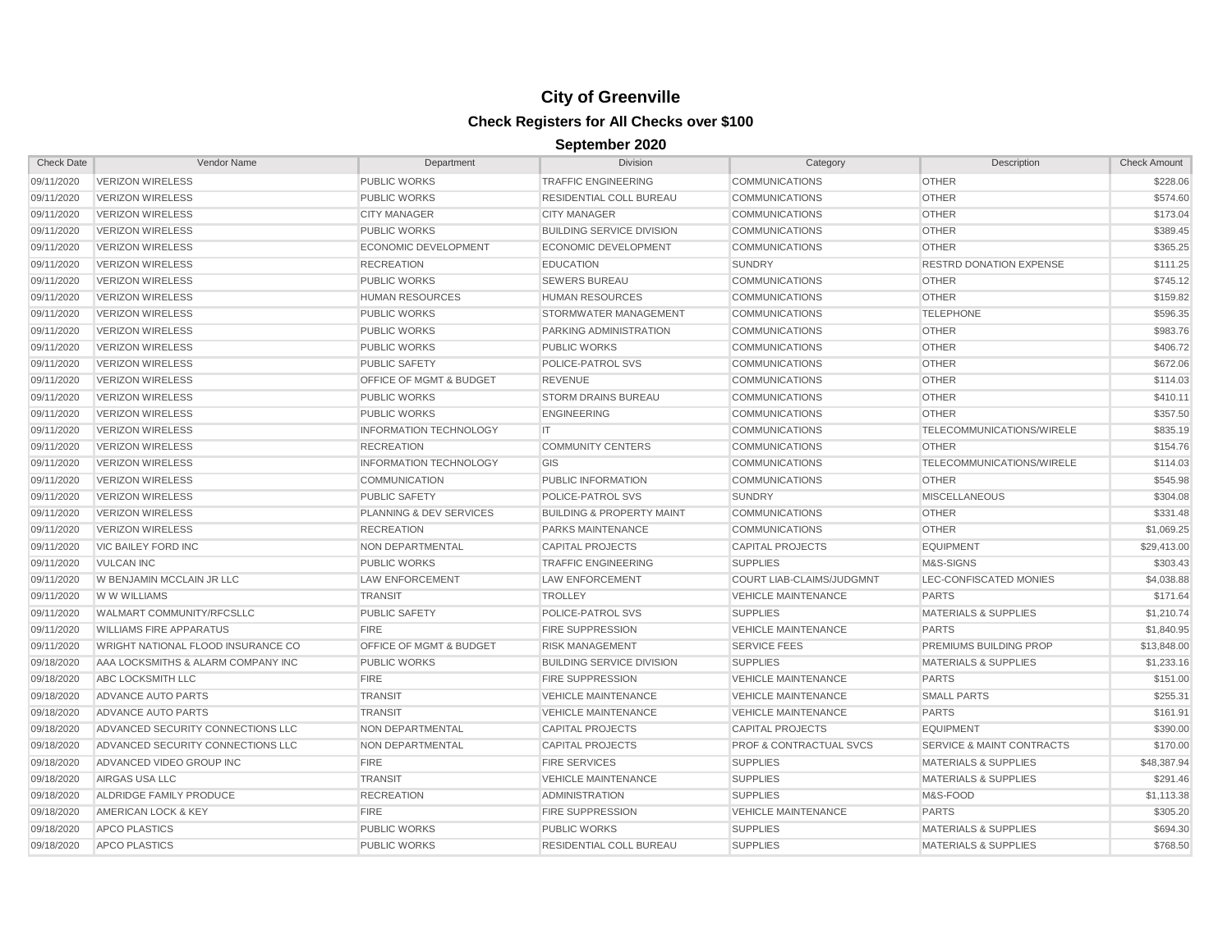| <b>Check Date</b> | Vendor Name                               | Department                         | <b>Division</b>                      | Category                           | Description                          | <b>Check Amount</b> |
|-------------------|-------------------------------------------|------------------------------------|--------------------------------------|------------------------------------|--------------------------------------|---------------------|
| 09/11/2020        | <b>VERIZON WIRELESS</b>                   | <b>PUBLIC WORKS</b>                | <b>TRAFFIC ENGINEERING</b>           | <b>COMMUNICATIONS</b>              | <b>OTHER</b>                         | \$228.06            |
| 09/11/2020        | <b>VERIZON WIRELESS</b>                   | <b>PUBLIC WORKS</b>                | <b>RESIDENTIAL COLL BUREAU</b>       | <b>COMMUNICATIONS</b>              | <b>OTHER</b>                         | \$574.60            |
| 09/11/2020        | <b>VERIZON WIRELESS</b>                   | <b>CITY MANAGER</b>                | <b>CITY MANAGER</b>                  | <b>COMMUNICATIONS</b>              | <b>OTHER</b>                         | \$173.04            |
| 09/11/2020        | <b>VERIZON WIRELESS</b>                   | <b>PUBLIC WORKS</b>                | <b>BUILDING SERVICE DIVISION</b>     | <b>COMMUNICATIONS</b>              | <b>OTHER</b>                         | \$389.45            |
| 09/11/2020        | <b>VERIZON WIRELESS</b>                   | <b>ECONOMIC DEVELOPMENT</b>        | ECONOMIC DEVELOPMENT                 | <b>COMMUNICATIONS</b>              | <b>OTHER</b>                         | \$365.25            |
| 09/11/2020        | <b>VERIZON WIRELESS</b>                   | <b>RECREATION</b>                  | <b>EDUCATION</b>                     | <b>SUNDRY</b>                      | <b>RESTRD DONATION EXPENSE</b>       | \$111.25            |
| 09/11/2020        | <b>VERIZON WIRELESS</b>                   | <b>PUBLIC WORKS</b>                | <b>SEWERS BUREAU</b>                 | <b>COMMUNICATIONS</b>              | <b>OTHER</b>                         | \$745.12            |
| 09/11/2020        | <b>VERIZON WIRELESS</b>                   | <b>HUMAN RESOURCES</b>             | <b>HUMAN RESOURCES</b>               | <b>COMMUNICATIONS</b>              | <b>OTHER</b>                         | \$159.82            |
| 09/11/2020        | <b>VERIZON WIRELESS</b>                   | <b>PUBLIC WORKS</b>                | <b>STORMWATER MANAGEMENT</b>         | <b>COMMUNICATIONS</b>              | <b>TELEPHONE</b>                     | \$596.35            |
| 09/11/2020        | <b>VERIZON WIRELESS</b>                   | <b>PUBLIC WORKS</b>                | PARKING ADMINISTRATION               | <b>COMMUNICATIONS</b>              | <b>OTHER</b>                         | \$983.76            |
| 09/11/2020        | <b>VERIZON WIRELESS</b>                   | <b>PUBLIC WORKS</b>                | <b>PUBLIC WORKS</b>                  | <b>COMMUNICATIONS</b>              | <b>OTHER</b>                         | \$406.72            |
| 09/11/2020        | <b>VERIZON WIRELESS</b>                   | <b>PUBLIC SAFETY</b>               | POLICE-PATROL SVS                    | <b>COMMUNICATIONS</b>              | <b>OTHER</b>                         | \$672.06            |
| 09/11/2020        | <b>VERIZON WIRELESS</b>                   | <b>OFFICE OF MGMT &amp; BUDGET</b> | <b>REVENUE</b>                       | <b>COMMUNICATIONS</b>              | <b>OTHER</b>                         | \$114.03            |
| 09/11/2020        | <b>VERIZON WIRELESS</b>                   | <b>PUBLIC WORKS</b>                | <b>STORM DRAINS BUREAU</b>           | <b>COMMUNICATIONS</b>              | <b>OTHER</b>                         | \$410.11            |
| 09/11/2020        | <b>VERIZON WIRELESS</b>                   | <b>PUBLIC WORKS</b>                | <b>ENGINEERING</b>                   | <b>COMMUNICATIONS</b>              | <b>OTHER</b>                         | \$357.50            |
| 09/11/2020        | <b>VERIZON WIRELESS</b>                   | <b>INFORMATION TECHNOLOGY</b>      | IT                                   | <b>COMMUNICATIONS</b>              | TELECOMMUNICATIONS/WIRELE            | \$835.19            |
| 09/11/2020        | <b>VERIZON WIRELESS</b>                   | <b>RECREATION</b>                  | <b>COMMUNITY CENTERS</b>             | <b>COMMUNICATIONS</b>              | <b>OTHER</b>                         | \$154.76            |
| 09/11/2020        | <b>VERIZON WIRELESS</b>                   | <b>INFORMATION TECHNOLOGY</b>      | GIS                                  | <b>COMMUNICATIONS</b>              | TELECOMMUNICATIONS/WIRELE            | \$114.03            |
| 09/11/2020        | <b>VERIZON WIRELESS</b>                   | <b>COMMUNICATION</b>               | PUBLIC INFORMATION                   | <b>COMMUNICATIONS</b>              | <b>OTHER</b>                         | \$545.98            |
| 09/11/2020        | <b>VERIZON WIRELESS</b>                   | <b>PUBLIC SAFETY</b>               | POLICE-PATROL SVS                    | <b>SUNDRY</b>                      | <b>MISCELLANEOUS</b>                 | \$304.08            |
| 09/11/2020        | <b>VERIZON WIRELESS</b>                   | PLANNING & DEV SERVICES            | <b>BUILDING &amp; PROPERTY MAINT</b> | <b>COMMUNICATIONS</b>              | <b>OTHER</b>                         | \$331.48            |
| 09/11/2020        | <b>VERIZON WIRELESS</b>                   | <b>RECREATION</b>                  | PARKS MAINTENANCE                    | <b>COMMUNICATIONS</b>              | <b>OTHER</b>                         | \$1,069.25          |
| 09/11/2020        | <b>VIC BAILEY FORD INC</b>                | NON DEPARTMENTAL                   | <b>CAPITAL PROJECTS</b>              | <b>CAPITAL PROJECTS</b>            | <b>EQUIPMENT</b>                     | \$29,413.00         |
| 09/11/2020        | <b>VULCAN INC</b>                         | <b>PUBLIC WORKS</b>                | <b>TRAFFIC ENGINEERING</b>           | <b>SUPPLIES</b>                    | M&S-SIGNS                            | \$303.43            |
| 09/11/2020        | W BENJAMIN MCCLAIN JR LLC                 | <b>LAW ENFORCEMENT</b>             | LAW ENFORCEMENT                      | COURT LIAB-CLAIMS/JUDGMNT          | LEC-CONFISCATED MONIES               | \$4,038.88          |
| 09/11/2020        | W W WILLIAMS                              | <b>TRANSIT</b>                     | <b>TROLLEY</b>                       | <b>VEHICLE MAINTENANCE</b>         | <b>PARTS</b>                         | \$171.64            |
| 09/11/2020        | WALMART COMMUNITY/RFCSLLC                 | <b>PUBLIC SAFETY</b>               | POLICE-PATROL SVS                    | <b>SUPPLIES</b>                    | <b>MATERIALS &amp; SUPPLIES</b>      | \$1,210.74          |
| 09/11/2020        | <b>WILLIAMS FIRE APPARATUS</b>            | <b>FIRE</b>                        | <b>FIRE SUPPRESSION</b>              | <b>VEHICLE MAINTENANCE</b>         | <b>PARTS</b>                         | \$1,840.95          |
| 09/11/2020        | <b>WRIGHT NATIONAL FLOOD INSURANCE CO</b> | <b>OFFICE OF MGMT &amp; BUDGET</b> | <b>RISK MANAGEMENT</b>               | <b>SERVICE FEES</b>                | <b>PREMIUMS BUILDING PROP</b>        | \$13,848.00         |
| 09/18/2020        | AAA LOCKSMITHS & ALARM COMPANY INC        | <b>PUBLIC WORKS</b>                | <b>BUILDING SERVICE DIVISION</b>     | <b>SUPPLIES</b>                    | <b>MATERIALS &amp; SUPPLIES</b>      | \$1,233.16          |
| 09/18/2020        | ABC LOCKSMITH LLC                         | <b>FIRE</b>                        | <b>FIRE SUPPRESSION</b>              | <b>VEHICLE MAINTENANCE</b>         | <b>PARTS</b>                         | \$151.00            |
| 09/18/2020        | ADVANCE AUTO PARTS                        | <b>TRANSIT</b>                     | <b>VEHICLE MAINTENANCE</b>           | <b>VEHICLE MAINTENANCE</b>         | <b>SMALL PARTS</b>                   | \$255.31            |
| 09/18/2020        | ADVANCE AUTO PARTS                        | <b>TRANSIT</b>                     | <b>VEHICLE MAINTENANCE</b>           | <b>VEHICLE MAINTENANCE</b>         | <b>PARTS</b>                         | \$161.91            |
| 09/18/2020        | ADVANCED SECURITY CONNECTIONS LLC         | <b>NON DEPARTMENTAL</b>            | <b>CAPITAL PROJECTS</b>              | <b>CAPITAL PROJECTS</b>            | <b>EQUIPMENT</b>                     | \$390.00            |
| 09/18/2020        | ADVANCED SECURITY CONNECTIONS LLC         | NON DEPARTMENTAL                   | <b>CAPITAL PROJECTS</b>              | <b>PROF &amp; CONTRACTUAL SVCS</b> | <b>SERVICE &amp; MAINT CONTRACTS</b> | \$170.00            |
| 09/18/2020        | ADVANCED VIDEO GROUP INC                  | <b>FIRE</b>                        | <b>FIRE SERVICES</b>                 | <b>SUPPLIES</b>                    | <b>MATERIALS &amp; SUPPLIES</b>      | \$48,387.94         |
| 09/18/2020        | AIRGAS USA LLC                            | <b>TRANSIT</b>                     | <b>VEHICLE MAINTENANCE</b>           | <b>SUPPLIES</b>                    | <b>MATERIALS &amp; SUPPLIES</b>      | \$291.46            |
| 09/18/2020        | ALDRIDGE FAMILY PRODUCE                   | <b>RECREATION</b>                  | <b>ADMINISTRATION</b>                | <b>SUPPLIES</b>                    | M&S-FOOD                             | \$1,113.38          |
| 09/18/2020        | AMERICAN LOCK & KEY                       | <b>FIRE</b>                        | <b>FIRE SUPPRESSION</b>              | <b>VEHICLE MAINTENANCE</b>         | <b>PARTS</b>                         | \$305.20            |
| 09/18/2020        | <b>APCO PLASTICS</b>                      | PUBLIC WORKS                       | <b>PUBLIC WORKS</b>                  | <b>SUPPLIES</b>                    | <b>MATERIALS &amp; SUPPLIES</b>      | \$694.30            |
| 09/18/2020        | <b>APCO PLASTICS</b>                      | <b>PUBLIC WORKS</b>                | <b>RESIDENTIAL COLL BUREAU</b>       | <b>SUPPLIES</b>                    | <b>MATERIALS &amp; SUPPLIES</b>      | \$768.50            |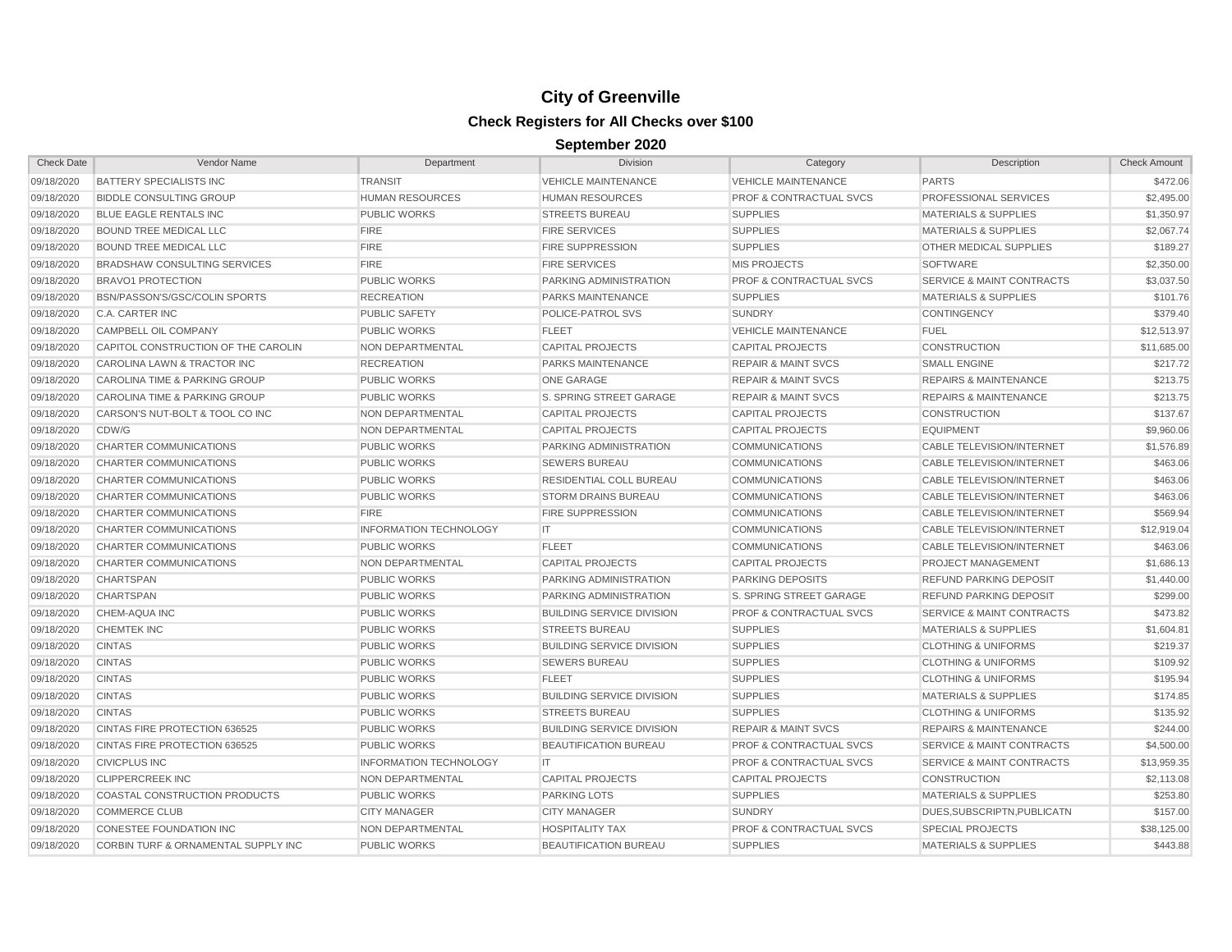| <b>Check Date</b> | Vendor Name                                    | Department                    | <b>Division</b>                  | Category                           | Description                          | <b>Check Amount</b> |
|-------------------|------------------------------------------------|-------------------------------|----------------------------------|------------------------------------|--------------------------------------|---------------------|
| 09/18/2020        | <b>BATTERY SPECIALISTS INC</b>                 | <b>TRANSIT</b>                | <b>VEHICLE MAINTENANCE</b>       | <b>VEHICLE MAINTENANCE</b>         | <b>PARTS</b>                         | \$472.06            |
| 09/18/2020        | <b>BIDDLE CONSULTING GROUP</b>                 | <b>HUMAN RESOURCES</b>        | <b>HUMAN RESOURCES</b>           | <b>PROF &amp; CONTRACTUAL SVCS</b> | PROFESSIONAL SERVICES                | \$2,495.00          |
| 09/18/2020        | BLUE EAGLE RENTALS INC                         | <b>PUBLIC WORKS</b>           | <b>STREETS BUREAU</b>            | <b>SUPPLIES</b>                    | <b>MATERIALS &amp; SUPPLIES</b>      | \$1,350.97          |
| 09/18/2020        | BOUND TREE MEDICAL LLC                         | <b>FIRE</b>                   | <b>FIRE SERVICES</b>             | <b>SUPPLIES</b>                    | <b>MATERIALS &amp; SUPPLIES</b>      | \$2,067.74          |
| 09/18/2020        | BOUND TREE MEDICAL LLC                         | <b>FIRE</b>                   | <b>FIRE SUPPRESSION</b>          | <b>SUPPLIES</b>                    | OTHER MEDICAL SUPPLIES               | \$189.27            |
| 09/18/2020        | <b>BRADSHAW CONSULTING SERVICES</b>            | <b>FIRE</b>                   | <b>FIRE SERVICES</b>             | <b>MIS PROJECTS</b>                | <b>SOFTWARE</b>                      | \$2,350.00          |
| 09/18/2020        | <b>BRAVO1 PROTECTION</b>                       | <b>PUBLIC WORKS</b>           | <b>PARKING ADMINISTRATION</b>    | <b>PROF &amp; CONTRACTUAL SVCS</b> | <b>SERVICE &amp; MAINT CONTRACTS</b> | \$3,037.50          |
| 09/18/2020        | BSN/PASSON'S/GSC/COLIN SPORTS                  | <b>RECREATION</b>             | <b>PARKS MAINTENANCE</b>         | <b>SUPPLIES</b>                    | <b>MATERIALS &amp; SUPPLIES</b>      | \$101.76            |
| 09/18/2020        | C.A. CARTER INC                                | <b>PUBLIC SAFETY</b>          | <b>POLICE-PATROL SVS</b>         | <b>SUNDRY</b>                      | <b>CONTINGENCY</b>                   | \$379.40            |
| 09/18/2020        | CAMPBELL OIL COMPANY                           | <b>PUBLIC WORKS</b>           | <b>FLEET</b>                     | <b>VEHICLE MAINTENANCE</b>         | <b>FUEL</b>                          | \$12,513.97         |
| 09/18/2020        | CAPITOL CONSTRUCTION OF THE CAROLIN            | <b>NON DEPARTMENTAL</b>       | <b>CAPITAL PROJECTS</b>          | <b>CAPITAL PROJECTS</b>            | <b>CONSTRUCTION</b>                  | \$11,685.00         |
| 09/18/2020        | CAROLINA LAWN & TRACTOR INC                    | <b>RECREATION</b>             | <b>PARKS MAINTENANCE</b>         | <b>REPAIR &amp; MAINT SVCS</b>     | <b>SMALL ENGINE</b>                  | \$217.72            |
| 09/18/2020        | CAROLINA TIME & PARKING GROUP                  | <b>PUBLIC WORKS</b>           | <b>ONE GARAGE</b>                | <b>REPAIR &amp; MAINT SVCS</b>     | <b>REPAIRS &amp; MAINTENANCE</b>     | \$213.75            |
| 09/18/2020        | CAROLINA TIME & PARKING GROUP                  | <b>PUBLIC WORKS</b>           | S. SPRING STREET GARAGE          | <b>REPAIR &amp; MAINT SVCS</b>     | <b>REPAIRS &amp; MAINTENANCE</b>     | \$213.75            |
| 09/18/2020        | CARSON'S NUT-BOLT & TOOL CO INC                | <b>NON DEPARTMENTAL</b>       | <b>CAPITAL PROJECTS</b>          | <b>CAPITAL PROJECTS</b>            | <b>CONSTRUCTION</b>                  | \$137.67            |
| 09/18/2020        | CDW/G                                          | <b>NON DEPARTMENTAL</b>       | <b>CAPITAL PROJECTS</b>          | <b>CAPITAL PROJECTS</b>            | <b>EQUIPMENT</b>                     | \$9,960.06          |
| 09/18/2020        | <b>CHARTER COMMUNICATIONS</b>                  | <b>PUBLIC WORKS</b>           | <b>PARKING ADMINISTRATION</b>    | <b>COMMUNICATIONS</b>              | <b>CABLE TELEVISION/INTERNET</b>     | \$1,576.89          |
| 09/18/2020        | <b>CHARTER COMMUNICATIONS</b>                  | <b>PUBLIC WORKS</b>           | <b>SEWERS BUREAU</b>             | <b>COMMUNICATIONS</b>              | <b>CABLE TELEVISION/INTERNET</b>     | \$463.06            |
| 09/18/2020        | <b>CHARTER COMMUNICATIONS</b>                  | <b>PUBLIC WORKS</b>           | <b>RESIDENTIAL COLL BUREAU</b>   | <b>COMMUNICATIONS</b>              | <b>CABLE TELEVISION/INTERNET</b>     | \$463.06            |
| 09/18/2020        | <b>CHARTER COMMUNICATIONS</b>                  | <b>PUBLIC WORKS</b>           | <b>STORM DRAINS BUREAU</b>       | <b>COMMUNICATIONS</b>              | <b>CABLE TELEVISION/INTERNET</b>     | \$463.06            |
| 09/18/2020        | CHARTER COMMUNICATIONS                         | <b>FIRE</b>                   | <b>FIRE SUPPRESSION</b>          | <b>COMMUNICATIONS</b>              | <b>CABLE TELEVISION/INTERNET</b>     | \$569.94            |
| 09/18/2020        | CHARTER COMMUNICATIONS                         | <b>INFORMATION TECHNOLOGY</b> | IT                               | <b>COMMUNICATIONS</b>              | <b>CABLE TELEVISION/INTERNET</b>     | \$12,919.04         |
| 09/18/2020        | CHARTER COMMUNICATIONS                         | <b>PUBLIC WORKS</b>           | <b>FLEET</b>                     | <b>COMMUNICATIONS</b>              | <b>CABLE TELEVISION/INTERNET</b>     | \$463.06            |
| 09/18/2020        | CHARTER COMMUNICATIONS                         | NON DEPARTMENTAL              | <b>CAPITAL PROJECTS</b>          | <b>CAPITAL PROJECTS</b>            | PROJECT MANAGEMENT                   | \$1,686.13          |
| 09/18/2020        | CHARTSPAN                                      | <b>PUBLIC WORKS</b>           | <b>PARKING ADMINISTRATION</b>    | <b>PARKING DEPOSITS</b>            | <b>REFUND PARKING DEPOSIT</b>        | \$1,440.00          |
| 09/18/2020        | CHARTSPAN                                      | <b>PUBLIC WORKS</b>           | PARKING ADMINISTRATION           | <b>S. SPRING STREET GARAGE</b>     | <b>REFUND PARKING DEPOSIT</b>        | \$299.00            |
| 09/18/2020        | CHEM-AQUA INC                                  | <b>PUBLIC WORKS</b>           | <b>BUILDING SERVICE DIVISION</b> | <b>PROF &amp; CONTRACTUAL SVCS</b> | <b>SERVICE &amp; MAINT CONTRACTS</b> | \$473.82            |
| 09/18/2020        | <b>CHEMTEK INC</b>                             | <b>PUBLIC WORKS</b>           | <b>STREETS BUREAU</b>            | <b>SUPPLIES</b>                    | <b>MATERIALS &amp; SUPPLIES</b>      | \$1,604.81          |
| 09/18/2020        | <b>CINTAS</b>                                  | <b>PUBLIC WORKS</b>           | <b>BUILDING SERVICE DIVISION</b> | <b>SUPPLIES</b>                    | <b>CLOTHING &amp; UNIFORMS</b>       | \$219.37            |
| 09/18/2020        | <b>CINTAS</b>                                  | <b>PUBLIC WORKS</b>           | <b>SEWERS BUREAU</b>             | <b>SUPPLIES</b>                    | <b>CLOTHING &amp; UNIFORMS</b>       | \$109.92            |
| 09/18/2020        | <b>CINTAS</b>                                  | <b>PUBLIC WORKS</b>           | <b>FLEET</b>                     | <b>SUPPLIES</b>                    | <b>CLOTHING &amp; UNIFORMS</b>       | \$195.94            |
| 09/18/2020        | <b>CINTAS</b>                                  | <b>PUBLIC WORKS</b>           | <b>BUILDING SERVICE DIVISION</b> | <b>SUPPLIES</b>                    | <b>MATERIALS &amp; SUPPLIES</b>      | \$174.85            |
| 09/18/2020        | <b>CINTAS</b>                                  | <b>PUBLIC WORKS</b>           | <b>STREETS BUREAU</b>            | <b>SUPPLIES</b>                    | <b>CLOTHING &amp; UNIFORMS</b>       | \$135.92            |
| 09/18/2020        | CINTAS FIRE PROTECTION 636525                  | <b>PUBLIC WORKS</b>           | <b>BUILDING SERVICE DIVISION</b> | <b>REPAIR &amp; MAINT SVCS</b>     | <b>REPAIRS &amp; MAINTENANCE</b>     | \$244.00            |
| 09/18/2020        | CINTAS FIRE PROTECTION 636525                  | <b>PUBLIC WORKS</b>           | <b>BEAUTIFICATION BUREAU</b>     | <b>PROF &amp; CONTRACTUAL SVCS</b> | <b>SERVICE &amp; MAINT CONTRACTS</b> | \$4,500.00          |
| 09/18/2020        | <b>CIVICPLUS INC</b>                           | <b>INFORMATION TECHNOLOGY</b> | <b>IT</b>                        | <b>PROF &amp; CONTRACTUAL SVCS</b> | <b>SERVICE &amp; MAINT CONTRACTS</b> | \$13.959.35         |
| 09/18/2020        | <b>CLIPPERCREEK INC</b>                        | <b>NON DEPARTMENTAL</b>       | <b>CAPITAL PROJECTS</b>          | <b>CAPITAL PROJECTS</b>            | <b>CONSTRUCTION</b>                  | \$2,113.08          |
| 09/18/2020        | <b>COASTAL CONSTRUCTION PRODUCTS</b>           | <b>PUBLIC WORKS</b>           | <b>PARKING LOTS</b>              | <b>SUPPLIES</b>                    | <b>MATERIALS &amp; SUPPLIES</b>      | \$253.80            |
| 09/18/2020        | <b>COMMERCE CLUB</b>                           | <b>CITY MANAGER</b>           | <b>CITY MANAGER</b>              | <b>SUNDRY</b>                      | DUES.SUBSCRIPTN.PUBLICATN            | \$157.00            |
| 09/18/2020        | <b>CONESTEE FOUNDATION INC</b>                 | <b>NON DEPARTMENTAL</b>       | <b>HOSPITALITY TAX</b>           | <b>PROF &amp; CONTRACTUAL SVCS</b> | <b>SPECIAL PROJECTS</b>              | \$38,125.00         |
| 09/18/2020        | <b>CORBIN TURF &amp; ORNAMENTAL SUPPLY INC</b> | <b>PUBLIC WORKS</b>           | <b>BEAUTIFICATION BUREAU</b>     | <b>SUPPLIES</b>                    | <b>MATERIALS &amp; SUPPLIES</b>      | \$443.88            |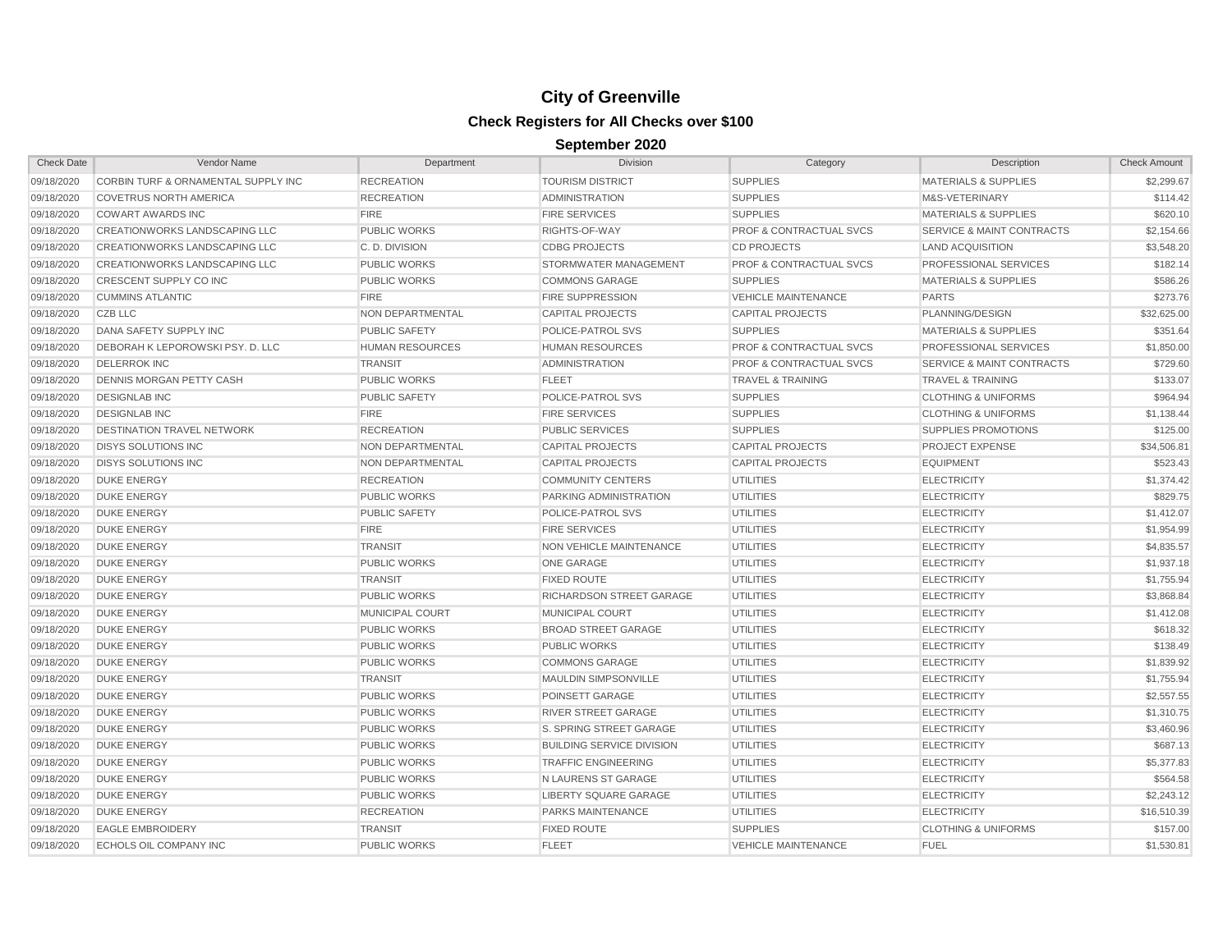| <b>Check Date</b> | Vendor Name                          | Department             | Division                         | Category                           | Description                          | <b>Check Amount</b> |
|-------------------|--------------------------------------|------------------------|----------------------------------|------------------------------------|--------------------------------------|---------------------|
| 09/18/2020        | CORBIN TURF & ORNAMENTAL SUPPLY INC  | <b>RECREATION</b>      | <b>TOURISM DISTRICT</b>          | <b>SUPPLIES</b>                    | <b>MATERIALS &amp; SUPPLIES</b>      | \$2,299.67          |
| 09/18/2020        | <b>COVETRUS NORTH AMERICA</b>        | <b>RECREATION</b>      | <b>ADMINISTRATION</b>            | <b>SUPPLIES</b>                    | M&S-VETERINARY                       | \$114.42            |
| 09/18/2020        | <b>COWART AWARDS INC</b>             | <b>FIRE</b>            | <b>FIRE SERVICES</b>             | <b>SUPPLIES</b>                    | <b>MATERIALS &amp; SUPPLIES</b>      | \$620.10            |
| 09/18/2020        | <b>CREATIONWORKS LANDSCAPING LLC</b> | <b>PUBLIC WORKS</b>    | RIGHTS-OF-WAY                    | <b>PROF &amp; CONTRACTUAL SVCS</b> | <b>SERVICE &amp; MAINT CONTRACTS</b> | \$2,154.66          |
| 09/18/2020        | <b>CREATIONWORKS LANDSCAPING LLC</b> | C.D. DIVISION          | <b>CDBG PROJECTS</b>             | <b>CD PROJECTS</b>                 | <b>LAND ACQUISITION</b>              | \$3,548.20          |
| 09/18/2020        | <b>CREATIONWORKS LANDSCAPING LLC</b> | <b>PUBLIC WORKS</b>    | STORMWATER MANAGEMENT            | <b>PROF &amp; CONTRACTUAL SVCS</b> | PROFESSIONAL SERVICES                | \$182.14            |
| 09/18/2020        | CRESCENT SUPPLY CO INC               | <b>PUBLIC WORKS</b>    | <b>COMMONS GARAGE</b>            | <b>SUPPLIES</b>                    | <b>MATERIALS &amp; SUPPLIES</b>      | \$586.26            |
| 09/18/2020        | <b>CUMMINS ATLANTIC</b>              | <b>FIRE</b>            | <b>FIRE SUPPRESSION</b>          | <b>VEHICLE MAINTENANCE</b>         | <b>PARTS</b>                         | \$273.76            |
| 09/18/2020        | <b>CZB LLC</b>                       | NON DEPARTMENTAL       | <b>CAPITAL PROJECTS</b>          | <b>CAPITAL PROJECTS</b>            | PLANNING/DESIGN                      | \$32,625.00         |
| 09/18/2020        | DANA SAFETY SUPPLY INC               | <b>PUBLIC SAFETY</b>   | POLICE-PATROL SVS                | <b>SUPPLIES</b>                    | <b>MATERIALS &amp; SUPPLIES</b>      | \$351.64            |
| 09/18/2020        | DEBORAH K LEPOROWSKI PSY. D. LLC     | <b>HUMAN RESOURCES</b> | <b>HUMAN RESOURCES</b>           | <b>PROF &amp; CONTRACTUAL SVCS</b> | PROFESSIONAL SERVICES                | \$1,850.00          |
| 09/18/2020        | <b>DELERROK INC</b>                  | <b>TRANSIT</b>         | <b>ADMINISTRATION</b>            | <b>PROF &amp; CONTRACTUAL SVCS</b> | <b>SERVICE &amp; MAINT CONTRACTS</b> | \$729.60            |
| 09/18/2020        | <b>DENNIS MORGAN PETTY CASH</b>      | <b>PUBLIC WORKS</b>    | <b>FLEET</b>                     | <b>TRAVEL &amp; TRAINING</b>       | <b>TRAVEL &amp; TRAINING</b>         | \$133.07            |
| 09/18/2020        | <b>DESIGNLAB INC</b>                 | <b>PUBLIC SAFETY</b>   | POLICE-PATROL SVS                | <b>SUPPLIES</b>                    | <b>CLOTHING &amp; UNIFORMS</b>       | \$964.94            |
| 09/18/2020        | <b>DESIGNLAB INC</b>                 | <b>FIRE</b>            | <b>FIRE SERVICES</b>             | <b>SUPPLIES</b>                    | <b>CLOTHING &amp; UNIFORMS</b>       | \$1,138.44          |
| 09/18/2020        | <b>DESTINATION TRAVEL NETWORK</b>    | <b>RECREATION</b>      | <b>PUBLIC SERVICES</b>           | <b>SUPPLIES</b>                    | SUPPLIES PROMOTIONS                  | \$125.00            |
| 09/18/2020        | <b>DISYS SOLUTIONS INC</b>           | NON DEPARTMENTAL       | <b>CAPITAL PROJECTS</b>          | <b>CAPITAL PROJECTS</b>            | PROJECT EXPENSE                      | \$34,506.81         |
| 09/18/2020        | <b>DISYS SOLUTIONS INC</b>           | NON DEPARTMENTAL       | <b>CAPITAL PROJECTS</b>          | <b>CAPITAL PROJECTS</b>            | <b>EQUIPMENT</b>                     | \$523.43            |
| 09/18/2020        | <b>DUKE ENERGY</b>                   | <b>RECREATION</b>      | <b>COMMUNITY CENTERS</b>         | <b>UTILITIES</b>                   | <b>ELECTRICITY</b>                   | \$1,374.42          |
| 09/18/2020        | <b>DUKE ENERGY</b>                   | <b>PUBLIC WORKS</b>    | PARKING ADMINISTRATION           | <b>UTILITIES</b>                   | <b>ELECTRICITY</b>                   | \$829.75            |
| 09/18/2020        | <b>DUKE ENERGY</b>                   | <b>PUBLIC SAFETY</b>   | POLICE-PATROL SVS                | <b>UTILITIES</b>                   | <b>ELECTRICITY</b>                   | \$1,412.07          |
| 09/18/2020        | <b>DUKE ENERGY</b>                   | <b>FIRE</b>            | <b>FIRE SERVICES</b>             | <b>UTILITIES</b>                   | <b>ELECTRICITY</b>                   | \$1,954.99          |
| 09/18/2020        | <b>DUKE ENERGY</b>                   | <b>TRANSIT</b>         | NON VEHICLE MAINTENANCE          | <b>UTILITIES</b>                   | <b>ELECTRICITY</b>                   | \$4,835.57          |
| 09/18/2020        | <b>DUKE ENERGY</b>                   | <b>PUBLIC WORKS</b>    | <b>ONE GARAGE</b>                | <b>UTILITIES</b>                   | <b>ELECTRICITY</b>                   | \$1,937.18          |
| 09/18/2020        | <b>DUKE ENERGY</b>                   | <b>TRANSIT</b>         | <b>FIXED ROUTE</b>               | <b>UTILITIES</b>                   | <b>ELECTRICITY</b>                   | \$1,755.94          |
| 09/18/2020        | <b>DUKE ENERGY</b>                   | <b>PUBLIC WORKS</b>    | RICHARDSON STREET GARAGE         | <b>UTILITIES</b>                   | <b>ELECTRICITY</b>                   | \$3,868.84          |
| 09/18/2020        | <b>DUKE ENERGY</b>                   | MUNICIPAL COURT        | MUNICIPAL COURT                  | <b>UTILITIES</b>                   | <b>ELECTRICITY</b>                   | \$1,412.08          |
| 09/18/2020        | <b>DUKE ENERGY</b>                   | <b>PUBLIC WORKS</b>    | <b>BROAD STREET GARAGE</b>       | <b>UTILITIES</b>                   | <b>ELECTRICITY</b>                   | \$618.32            |
| 09/18/2020        | <b>DUKE ENERGY</b>                   | <b>PUBLIC WORKS</b>    | <b>PUBLIC WORKS</b>              | <b>UTILITIES</b>                   | <b>ELECTRICITY</b>                   | \$138.49            |
| 09/18/2020        | <b>DUKE ENERGY</b>                   | <b>PUBLIC WORKS</b>    | <b>COMMONS GARAGE</b>            | <b>UTILITIES</b>                   | <b>ELECTRICITY</b>                   | \$1,839.92          |
| 09/18/2020        | <b>DUKE ENERGY</b>                   | <b>TRANSIT</b>         | <b>MAULDIN SIMPSONVILLE</b>      | <b>UTILITIES</b>                   | <b>ELECTRICITY</b>                   | \$1,755.94          |
| 09/18/2020        | <b>DUKE ENERGY</b>                   | <b>PUBLIC WORKS</b>    | POINSETT GARAGE                  | <b>UTILITIES</b>                   | <b>ELECTRICITY</b>                   | \$2,557.55          |
| 09/18/2020        | <b>DUKE ENERGY</b>                   | <b>PUBLIC WORKS</b>    | <b>RIVER STREET GARAGE</b>       | <b>UTILITIES</b>                   | <b>ELECTRICITY</b>                   | \$1,310.75          |
| 09/18/2020        | <b>DUKE ENERGY</b>                   | <b>PUBLIC WORKS</b>    | S. SPRING STREET GARAGE          | <b>UTILITIES</b>                   | <b>ELECTRICITY</b>                   | \$3,460.96          |
| 09/18/2020        | <b>DUKE ENERGY</b>                   | <b>PUBLIC WORKS</b>    | <b>BUILDING SERVICE DIVISION</b> | <b>UTILITIES</b>                   | <b>ELECTRICITY</b>                   | \$687.13            |
| 09/18/2020        | <b>DUKE ENERGY</b>                   | <b>PUBLIC WORKS</b>    | <b>TRAFFIC ENGINEERING</b>       | <b>UTILITIES</b>                   | <b>ELECTRICITY</b>                   | \$5,377.83          |
| 09/18/2020        | <b>DUKE ENERGY</b>                   | <b>PUBLIC WORKS</b>    | N LAURENS ST GARAGE              | <b>UTILITIES</b>                   | <b>ELECTRICITY</b>                   | \$564.58            |
| 09/18/2020        | <b>DUKE ENERGY</b>                   | <b>PUBLIC WORKS</b>    | <b>LIBERTY SQUARE GARAGE</b>     | <b>UTILITIES</b>                   | <b>ELECTRICITY</b>                   | \$2,243.12          |
| 09/18/2020        | <b>DUKE ENERGY</b>                   | <b>RECREATION</b>      | <b>PARKS MAINTENANCE</b>         | <b>UTILITIES</b>                   | <b>ELECTRICITY</b>                   | \$16,510.39         |
| 09/18/2020        | <b>EAGLE EMBROIDERY</b>              | <b>TRANSIT</b>         | <b>FIXED ROUTE</b>               | <b>SUPPLIES</b>                    | <b>CLOTHING &amp; UNIFORMS</b>       | \$157.00            |
| 09/18/2020        | <b>ECHOLS OIL COMPANY INC</b>        | <b>PUBLIC WORKS</b>    | <b>FLEET</b>                     | <b>VEHICLE MAINTENANCE</b>         | <b>FUEL</b>                          | \$1,530.81          |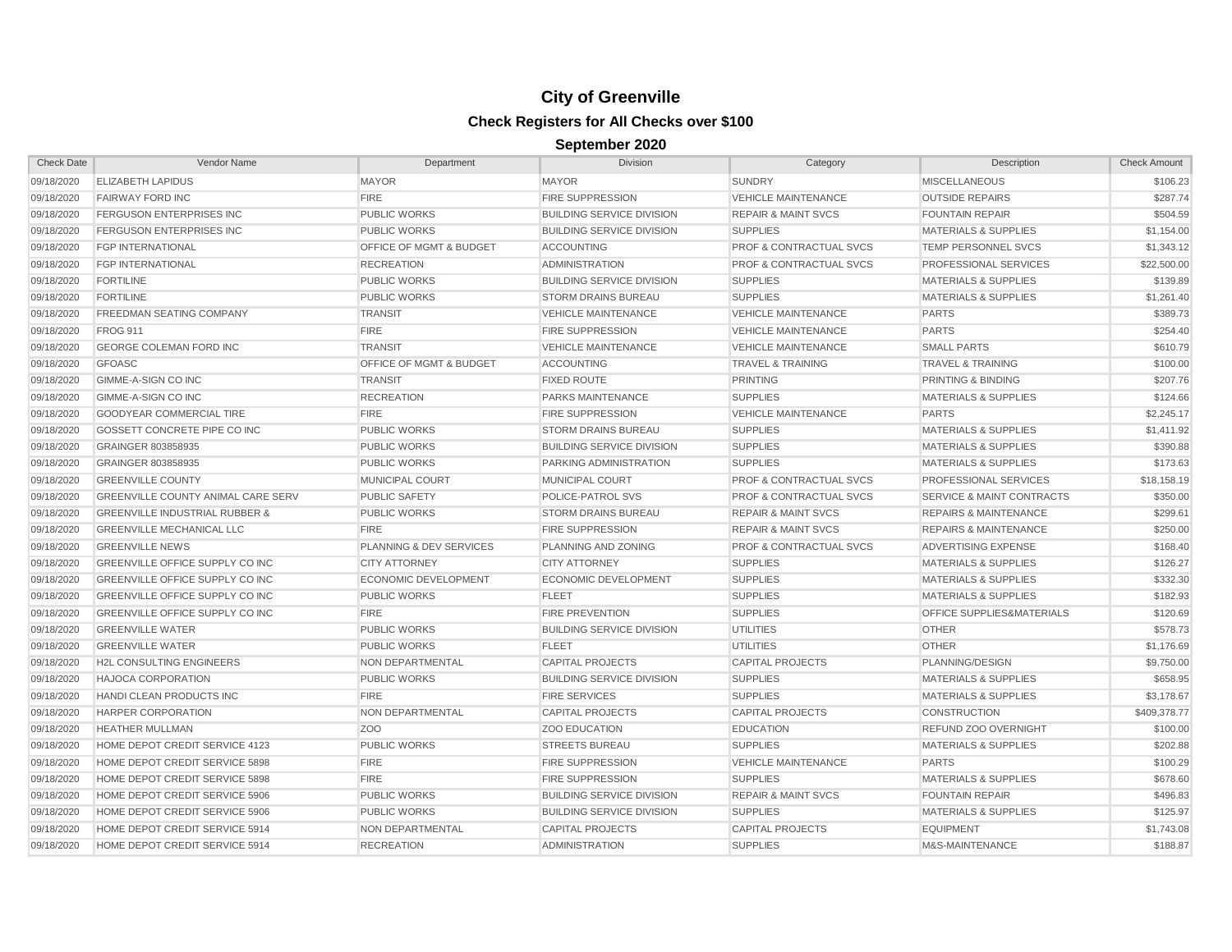| <b>Check Date</b> | Vendor Name                               | Department                  | <b>Division</b>                  | Category                           | Description                          | <b>Check Amount</b> |
|-------------------|-------------------------------------------|-----------------------------|----------------------------------|------------------------------------|--------------------------------------|---------------------|
| 09/18/2020        | <b>ELIZABETH LAPIDUS</b>                  | <b>MAYOR</b>                | <b>MAYOR</b>                     | <b>SUNDRY</b>                      | <b>MISCELLANEOUS</b>                 | \$106.23            |
| 09/18/2020        | <b>FAIRWAY FORD INC</b>                   | <b>FIRE</b>                 | <b>FIRE SUPPRESSION</b>          | <b>VEHICLE MAINTENANCE</b>         | <b>OUTSIDE REPAIRS</b>               | \$287.74            |
| 09/18/2020        | <b>FERGUSON ENTERPRISES INC</b>           | <b>PUBLIC WORKS</b>         | <b>BUILDING SERVICE DIVISION</b> | <b>REPAIR &amp; MAINT SVCS</b>     | <b>FOUNTAIN REPAIR</b>               | \$504.59            |
| 09/18/2020        | <b>FERGUSON ENTERPRISES INC</b>           | <b>PUBLIC WORKS</b>         | <b>BUILDING SERVICE DIVISION</b> | <b>SUPPLIES</b>                    | <b>MATERIALS &amp; SUPPLIES</b>      | \$1,154.00          |
| 09/18/2020        | <b>FGP INTERNATIONAL</b>                  | OFFICE OF MGMT & BUDGET     | <b>ACCOUNTING</b>                | <b>PROF &amp; CONTRACTUAL SVCS</b> | TEMP PERSONNEL SVCS                  | \$1,343.12          |
| 09/18/2020        | <b>FGP INTERNATIONAL</b>                  | <b>RECREATION</b>           | <b>ADMINISTRATION</b>            | <b>PROF &amp; CONTRACTUAL SVCS</b> | PROFESSIONAL SERVICES                | \$22,500.00         |
| 09/18/2020        | <b>FORTILINE</b>                          | <b>PUBLIC WORKS</b>         | <b>BUILDING SERVICE DIVISION</b> | <b>SUPPLIES</b>                    | <b>MATERIALS &amp; SUPPLIES</b>      | \$139.89            |
| 09/18/2020        | <b>FORTILINE</b>                          | <b>PUBLIC WORKS</b>         | <b>STORM DRAINS BUREAU</b>       | <b>SUPPLIES</b>                    | <b>MATERIALS &amp; SUPPLIES</b>      | \$1,261.40          |
| 09/18/2020        | <b>FREEDMAN SEATING COMPANY</b>           | <b>TRANSIT</b>              | <b>VEHICLE MAINTENANCE</b>       | <b>VEHICLE MAINTENANCE</b>         | <b>PARTS</b>                         | \$389.73            |
| 09/18/2020        | <b>FROG 911</b>                           | <b>FIRE</b>                 | <b>FIRE SUPPRESSION</b>          | <b>VEHICLE MAINTENANCE</b>         | <b>PARTS</b>                         | \$254.40            |
| 09/18/2020        | GEORGE COLEMAN FORD INC                   | <b>TRANSIT</b>              | <b>VEHICLE MAINTENANCE</b>       | <b>VEHICLE MAINTENANCE</b>         | <b>SMALL PARTS</b>                   | \$610.79            |
| 09/18/2020        | <b>GFOASC</b>                             | OFFICE OF MGMT & BUDGET     | <b>ACCOUNTING</b>                | <b>TRAVEL &amp; TRAINING</b>       | <b>TRAVEL &amp; TRAINING</b>         | \$100.00            |
| 09/18/2020        | GIMME-A-SIGN CO INC                       | <b>TRANSIT</b>              | <b>FIXED ROUTE</b>               | <b>PRINTING</b>                    | <b>PRINTING &amp; BINDING</b>        | \$207.76            |
| 09/18/2020        | GIMME-A-SIGN CO INC                       | <b>RECREATION</b>           | <b>PARKS MAINTENANCE</b>         | <b>SUPPLIES</b>                    | <b>MATERIALS &amp; SUPPLIES</b>      | \$124.66            |
| 09/18/2020        | <b>GOODYEAR COMMERCIAL TIRE</b>           | <b>FIRE</b>                 | <b>FIRE SUPPRESSION</b>          | <b>VEHICLE MAINTENANCE</b>         | <b>PARTS</b>                         | \$2,245.17          |
| 09/18/2020        | GOSSETT CONCRETE PIPE CO INC              | <b>PUBLIC WORKS</b>         | <b>STORM DRAINS BUREAU</b>       | <b>SUPPLIES</b>                    | <b>MATERIALS &amp; SUPPLIES</b>      | \$1,411.92          |
| 09/18/2020        | GRAINGER 803858935                        | <b>PUBLIC WORKS</b>         | <b>BUILDING SERVICE DIVISION</b> | <b>SUPPLIES</b>                    | <b>MATERIALS &amp; SUPPLIES</b>      | \$390.88            |
| 09/18/2020        | GRAINGER 803858935                        | <b>PUBLIC WORKS</b>         | <b>PARKING ADMINISTRATION</b>    | <b>SUPPLIES</b>                    | <b>MATERIALS &amp; SUPPLIES</b>      | \$173.63            |
| 09/18/2020        | <b>GREENVILLE COUNTY</b>                  | MUNICIPAL COURT             | MUNICIPAL COURT                  | <b>PROF &amp; CONTRACTUAL SVCS</b> | PROFESSIONAL SERVICES                | \$18,158.19         |
| 09/18/2020        | <b>GREENVILLE COUNTY ANIMAL CARE SERV</b> | <b>PUBLIC SAFETY</b>        | POLICE-PATROL SVS                | <b>PROF &amp; CONTRACTUAL SVCS</b> | <b>SERVICE &amp; MAINT CONTRACTS</b> | \$350.00            |
| 09/18/2020        | <b>GREENVILLE INDUSTRIAL RUBBER &amp;</b> | <b>PUBLIC WORKS</b>         | <b>STORM DRAINS BUREAU</b>       | <b>REPAIR &amp; MAINT SVCS</b>     | <b>REPAIRS &amp; MAINTENANCE</b>     | \$299.61            |
| 09/18/2020        | <b>GREENVILLE MECHANICAL LLC</b>          | <b>FIRE</b>                 | <b>FIRE SUPPRESSION</b>          | <b>REPAIR &amp; MAINT SVCS</b>     | <b>REPAIRS &amp; MAINTENANCE</b>     | \$250.00            |
| 09/18/2020        | <b>GREENVILLE NEWS</b>                    | PLANNING & DEV SERVICES     | PLANNING AND ZONING              | <b>PROF &amp; CONTRACTUAL SVCS</b> | ADVERTISING EXPENSE                  | \$168.40            |
| 09/18/2020        | <b>GREENVILLE OFFICE SUPPLY CO INC</b>    | <b>CITY ATTORNEY</b>        | <b>CITY ATTORNEY</b>             | <b>SUPPLIES</b>                    | <b>MATERIALS &amp; SUPPLIES</b>      | \$126.27            |
| 09/18/2020        | GREENVILLE OFFICE SUPPLY CO INC           | <b>ECONOMIC DEVELOPMENT</b> | <b>ECONOMIC DEVELOPMENT</b>      | <b>SUPPLIES</b>                    | <b>MATERIALS &amp; SUPPLIES</b>      | \$332.30            |
| 09/18/2020        | GREENVILLE OFFICE SUPPLY CO INC           | <b>PUBLIC WORKS</b>         | <b>FLEET</b>                     | <b>SUPPLIES</b>                    | <b>MATERIALS &amp; SUPPLIES</b>      | \$182.93            |
| 09/18/2020        | GREENVILLE OFFICE SUPPLY CO INC           | <b>FIRE</b>                 | <b>FIRE PREVENTION</b>           | <b>SUPPLIES</b>                    | OFFICE SUPPLIES&MATERIALS            | \$120.69            |
| 09/18/2020        | <b>GREENVILLE WATER</b>                   | <b>PUBLIC WORKS</b>         | <b>BUILDING SERVICE DIVISION</b> | <b>UTILITIES</b>                   | <b>OTHER</b>                         | \$578.73            |
| 09/18/2020        | <b>GREENVILLE WATER</b>                   | <b>PUBLIC WORKS</b>         | <b>FLEET</b>                     | UTILITIES                          | <b>OTHER</b>                         | \$1,176.69          |
| 09/18/2020        | <b>H2L CONSULTING ENGINEERS</b>           | <b>NON DEPARTMENTAL</b>     | <b>CAPITAL PROJECTS</b>          | <b>CAPITAL PROJECTS</b>            | PLANNING/DESIGN                      | \$9,750.00          |
| 09/18/2020        | <b>HAJOCA CORPORATION</b>                 | <b>PUBLIC WORKS</b>         | <b>BUILDING SERVICE DIVISION</b> | <b>SUPPLIES</b>                    | <b>MATERIALS &amp; SUPPLIES</b>      | \$658.95            |
| 09/18/2020        | HANDI CLEAN PRODUCTS INC                  | <b>FIRE</b>                 | <b>FIRE SERVICES</b>             | <b>SUPPLIES</b>                    | <b>MATERIALS &amp; SUPPLIES</b>      | \$3,178.67          |
| 09/18/2020        | <b>HARPER CORPORATION</b>                 | <b>NON DEPARTMENTAL</b>     | <b>CAPITAL PROJECTS</b>          | <b>CAPITAL PROJECTS</b>            | <b>CONSTRUCTION</b>                  | \$409,378.77        |
| 09/18/2020        | <b>HEATHER MULLMAN</b>                    | Z <sub>O</sub> O            | <b>ZOO EDUCATION</b>             | <b>EDUCATION</b>                   | REFUND ZOO OVERNIGHT                 | \$100.00            |
| 09/18/2020        | HOME DEPOT CREDIT SERVICE 4123            | <b>PUBLIC WORKS</b>         | <b>STREETS BUREAU</b>            | <b>SUPPLIES</b>                    | <b>MATERIALS &amp; SUPPLIES</b>      | \$202.88            |
| 09/18/2020        | HOME DEPOT CREDIT SERVICE 5898            | <b>FIRE</b>                 | <b>FIRE SUPPRESSION</b>          | <b>VEHICLE MAINTENANCE</b>         | <b>PARTS</b>                         | \$100.29            |
| 09/18/2020        | HOME DEPOT CREDIT SERVICE 5898            | <b>FIRE</b>                 | <b>FIRE SUPPRESSION</b>          | <b>SUPPLIES</b>                    | <b>MATERIALS &amp; SUPPLIES</b>      | \$678.60            |
| 09/18/2020        | HOME DEPOT CREDIT SERVICE 5906            | <b>PUBLIC WORKS</b>         | <b>BUILDING SERVICE DIVISION</b> | <b>REPAIR &amp; MAINT SVCS</b>     | <b>FOUNTAIN REPAIR</b>               | \$496.83            |
| 09/18/2020        | HOME DEPOT CREDIT SERVICE 5906            | <b>PUBLIC WORKS</b>         | <b>BUILDING SERVICE DIVISION</b> | <b>SUPPLIES</b>                    | <b>MATERIALS &amp; SUPPLIES</b>      | \$125.97            |
| 09/18/2020        | HOME DEPOT CREDIT SERVICE 5914            | NON DEPARTMENTAL            | <b>CAPITAL PROJECTS</b>          | <b>CAPITAL PROJECTS</b>            | <b>EQUIPMENT</b>                     | \$1,743.08          |
| 09/18/2020        | HOME DEPOT CREDIT SERVICE 5914            | <b>RECREATION</b>           | <b>ADMINISTRATION</b>            | <b>SUPPLIES</b>                    | M&S-MAINTENANCE                      | \$188.87            |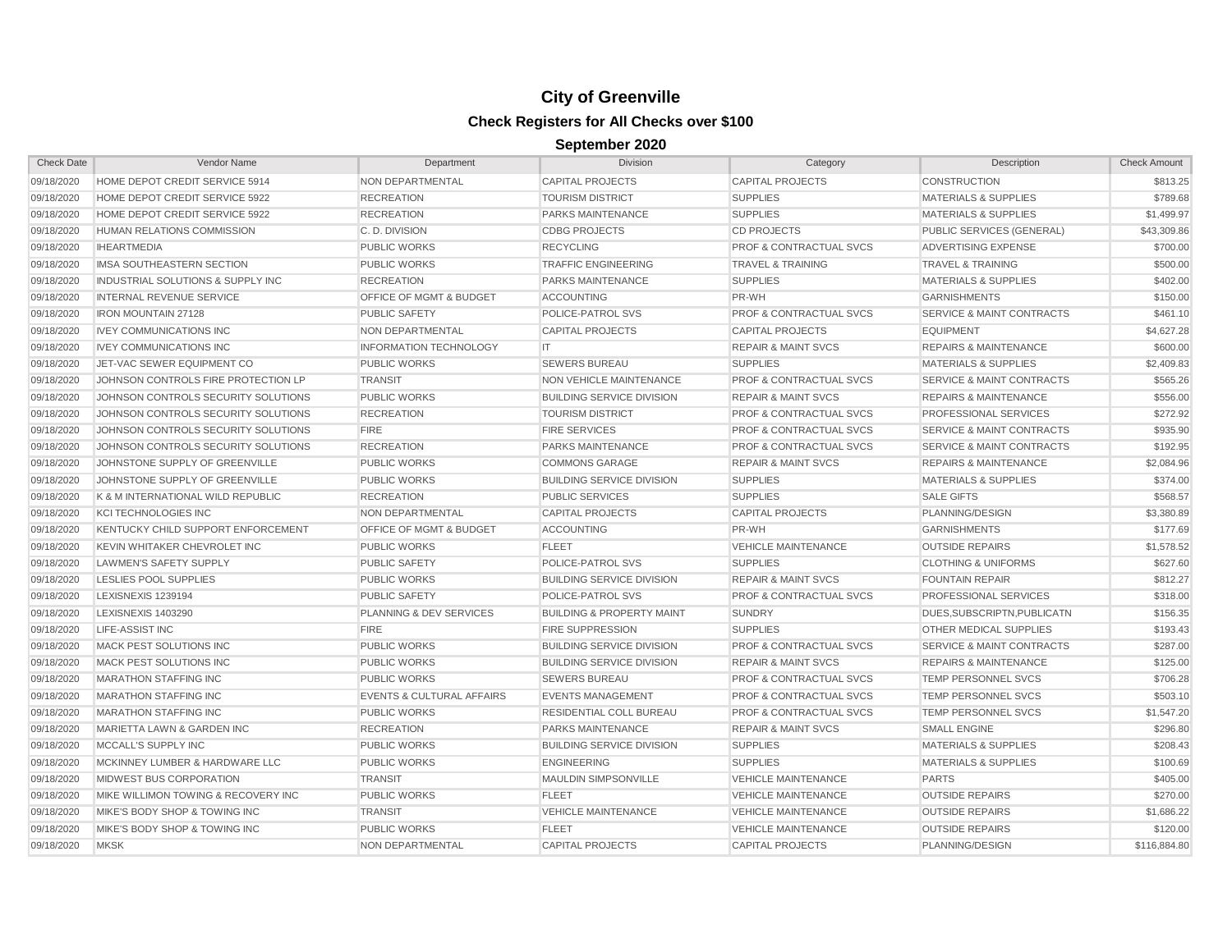| <b>Check Date</b> | Vendor Name                         | Department                           | <b>Division</b>                      | Category                           | Description                          | <b>Check Amount</b> |
|-------------------|-------------------------------------|--------------------------------------|--------------------------------------|------------------------------------|--------------------------------------|---------------------|
| 09/18/2020        | HOME DEPOT CREDIT SERVICE 5914      | NON DEPARTMENTAL                     | <b>CAPITAL PROJECTS</b>              | <b>CAPITAL PROJECTS</b>            | <b>CONSTRUCTION</b>                  | \$813.25            |
| 09/18/2020        | HOME DEPOT CREDIT SERVICE 5922      | <b>RECREATION</b>                    | <b>TOURISM DISTRICT</b>              | <b>SUPPLIES</b>                    | <b>MATERIALS &amp; SUPPLIES</b>      | \$789.68            |
| 09/18/2020        | HOME DEPOT CREDIT SERVICE 5922      | <b>RECREATION</b>                    | PARKS MAINTENANCE                    | <b>SUPPLIES</b>                    | <b>MATERIALS &amp; SUPPLIES</b>      | \$1,499.97          |
| 09/18/2020        | HUMAN RELATIONS COMMISSION          | C.D. DIVISION                        | <b>CDBG PROJECTS</b>                 | <b>CD PROJECTS</b>                 | PUBLIC SERVICES (GENERAL)            | \$43,309.86         |
| 09/18/2020        | <b>IHEARTMEDIA</b>                  | <b>PUBLIC WORKS</b>                  | <b>RECYCLING</b>                     | <b>PROF &amp; CONTRACTUAL SVCS</b> | ADVERTISING EXPENSE                  | \$700.00            |
| 09/18/2020        | IMSA SOUTHEASTERN SECTION           | <b>PUBLIC WORKS</b>                  | <b>TRAFFIC ENGINEERING</b>           | <b>TRAVEL &amp; TRAINING</b>       | <b>TRAVEL &amp; TRAINING</b>         | \$500.00            |
| 09/18/2020        | INDUSTRIAL SOLUTIONS & SUPPLY INC   | <b>RECREATION</b>                    | <b>PARKS MAINTENANCE</b>             | <b>SUPPLIES</b>                    | <b>MATERIALS &amp; SUPPLIES</b>      | \$402.00            |
| 09/18/2020        | <b>INTERNAL REVENUE SERVICE</b>     | <b>OFFICE OF MGMT &amp; BUDGET</b>   | <b>ACCOUNTING</b>                    | PR-WH                              | <b>GARNISHMENTS</b>                  | \$150.00            |
| 09/18/2020        | <b>IRON MOUNTAIN 27128</b>          | <b>PUBLIC SAFETY</b>                 | POLICE-PATROL SVS                    | <b>PROF &amp; CONTRACTUAL SVCS</b> | <b>SERVICE &amp; MAINT CONTRACTS</b> | \$461.10            |
| 09/18/2020        | <b>IVEY COMMUNICATIONS INC</b>      | NON DEPARTMENTAL                     | <b>CAPITAL PROJECTS</b>              | <b>CAPITAL PROJECTS</b>            | <b>EQUIPMENT</b>                     | \$4,627.28          |
| 09/18/2020        | <b>IVEY COMMUNICATIONS INC</b>      | <b>INFORMATION TECHNOLOGY</b>        | IT.                                  | <b>REPAIR &amp; MAINT SVCS</b>     | <b>REPAIRS &amp; MAINTENANCE</b>     | \$600.00            |
| 09/18/2020        | JET-VAC SEWER EQUIPMENT CO          | <b>PUBLIC WORKS</b>                  | <b>SEWERS BUREAU</b>                 | <b>SUPPLIES</b>                    | <b>MATERIALS &amp; SUPPLIES</b>      | \$2,409.83          |
| 09/18/2020        | JOHNSON CONTROLS FIRE PROTECTION LP | <b>TRANSIT</b>                       | <b>NON VEHICLE MAINTENANCE</b>       | <b>PROF &amp; CONTRACTUAL SVCS</b> | <b>SERVICE &amp; MAINT CONTRACTS</b> | \$565.26            |
| 09/18/2020        | JOHNSON CONTROLS SECURITY SOLUTIONS | <b>PUBLIC WORKS</b>                  | <b>BUILDING SERVICE DIVISION</b>     | <b>REPAIR &amp; MAINT SVCS</b>     | <b>REPAIRS &amp; MAINTENANCE</b>     | \$556.00            |
| 09/18/2020        | JOHNSON CONTROLS SECURITY SOLUTIONS | <b>RECREATION</b>                    | <b>TOURISM DISTRICT</b>              | <b>PROF &amp; CONTRACTUAL SVCS</b> | PROFESSIONAL SERVICES                | \$272.92            |
| 09/18/2020        | JOHNSON CONTROLS SECURITY SOLUTIONS | <b>FIRE</b>                          | <b>FIRE SERVICES</b>                 | <b>PROF &amp; CONTRACTUAL SVCS</b> | <b>SERVICE &amp; MAINT CONTRACTS</b> | \$935.90            |
| 09/18/2020        | JOHNSON CONTROLS SECURITY SOLUTIONS | <b>RECREATION</b>                    | PARKS MAINTENANCE                    | <b>PROF &amp; CONTRACTUAL SVCS</b> | <b>SERVICE &amp; MAINT CONTRACTS</b> | \$192.95            |
| 09/18/2020        | JOHNSTONE SUPPLY OF GREENVILLE      | <b>PUBLIC WORKS</b>                  | <b>COMMONS GARAGE</b>                | <b>REPAIR &amp; MAINT SVCS</b>     | <b>REPAIRS &amp; MAINTENANCE</b>     | \$2,084.96          |
| 09/18/2020        | JOHNSTONE SUPPLY OF GREENVILLE      | <b>PUBLIC WORKS</b>                  | <b>BUILDING SERVICE DIVISION</b>     | <b>SUPPLIES</b>                    | <b>MATERIALS &amp; SUPPLIES</b>      | \$374.00            |
| 09/18/2020        | K & M INTERNATIONAL WILD REPUBLIC   | <b>RECREATION</b>                    | <b>PUBLIC SERVICES</b>               | <b>SUPPLIES</b>                    | <b>SALE GIFTS</b>                    | \$568.57            |
| 09/18/2020        | <b>KCI TECHNOLOGIES INC</b>         | NON DEPARTMENTAL                     | <b>CAPITAL PROJECTS</b>              | <b>CAPITAL PROJECTS</b>            | PLANNING/DESIGN                      | \$3,380.89          |
| 09/18/2020        | KENTUCKY CHILD SUPPORT ENFORCEMENT  | <b>OFFICE OF MGMT &amp; BUDGET</b>   | <b>ACCOUNTING</b>                    | PR-WH                              | <b>GARNISHMENTS</b>                  | \$177.69            |
| 09/18/2020        | KEVIN WHITAKER CHEVROLET INC        | <b>PUBLIC WORKS</b>                  | <b>FLEET</b>                         | <b>VEHICLE MAINTENANCE</b>         | <b>OUTSIDE REPAIRS</b>               | \$1,578.52          |
| 09/18/2020        | <b>LAWMEN'S SAFETY SUPPLY</b>       | <b>PUBLIC SAFETY</b>                 | POLICE-PATROL SVS                    | <b>SUPPLIES</b>                    | <b>CLOTHING &amp; UNIFORMS</b>       | \$627.60            |
| 09/18/2020        | <b>LESLIES POOL SUPPLIES</b>        | <b>PUBLIC WORKS</b>                  | <b>BUILDING SERVICE DIVISION</b>     | <b>REPAIR &amp; MAINT SVCS</b>     | <b>FOUNTAIN REPAIR</b>               | \$812.27            |
| 09/18/2020        | <b>LEXISNEXIS 1239194</b>           | <b>PUBLIC SAFETY</b>                 | <b>POLICE-PATROL SVS</b>             | <b>PROF &amp; CONTRACTUAL SVCS</b> | <b>PROFESSIONAL SERVICES</b>         | \$318.00            |
| 09/18/2020        | <b>LEXISNEXIS 1403290</b>           | PLANNING & DEV SERVICES              | <b>BUILDING &amp; PROPERTY MAINT</b> | <b>SUNDRY</b>                      | DUES, SUBSCRIPTN, PUBLICATN          | \$156.35            |
| 09/18/2020        | LIFE-ASSIST INC                     | <b>FIRE</b>                          | <b>FIRE SUPPRESSION</b>              | <b>SUPPLIES</b>                    | OTHER MEDICAL SUPPLIES               | \$193.43            |
| 09/18/2020        | MACK PEST SOLUTIONS INC             | <b>PUBLIC WORKS</b>                  | <b>BUILDING SERVICE DIVISION</b>     | <b>PROF &amp; CONTRACTUAL SVCS</b> | <b>SERVICE &amp; MAINT CONTRACTS</b> | \$287.00            |
| 09/18/2020        | MACK PEST SOLUTIONS INC             | <b>PUBLIC WORKS</b>                  | <b>BUILDING SERVICE DIVISION</b>     | <b>REPAIR &amp; MAINT SVCS</b>     | <b>REPAIRS &amp; MAINTENANCE</b>     | \$125.00            |
| 09/18/2020        | <b>MARATHON STAFFING INC</b>        | <b>PUBLIC WORKS</b>                  | <b>SEWERS BUREAU</b>                 | <b>PROF &amp; CONTRACTUAL SVCS</b> | TEMP PERSONNEL SVCS                  | \$706.28            |
| 09/18/2020        | <b>MARATHON STAFFING INC</b>        | <b>EVENTS &amp; CULTURAL AFFAIRS</b> | <b>EVENTS MANAGEMENT</b>             | <b>PROF &amp; CONTRACTUAL SVCS</b> | TEMP PERSONNEL SVCS                  | \$503.10            |
| 09/18/2020        | <b>MARATHON STAFFING INC</b>        | <b>PUBLIC WORKS</b>                  | RESIDENTIAL COLL BUREAU              | <b>PROF &amp; CONTRACTUAL SVCS</b> | <b>TEMP PERSONNEL SVCS</b>           | \$1,547.20          |
| 09/18/2020        | MARIETTA LAWN & GARDEN INC          | <b>RECREATION</b>                    | <b>PARKS MAINTENANCE</b>             | <b>REPAIR &amp; MAINT SVCS</b>     | <b>SMALL ENGINE</b>                  | \$296.80            |
| 09/18/2020        | MCCALL'S SUPPLY INC                 | <b>PUBLIC WORKS</b>                  | <b>BUILDING SERVICE DIVISION</b>     | <b>SUPPLIES</b>                    | <b>MATERIALS &amp; SUPPLIES</b>      | \$208.43            |
| 09/18/2020        | MCKINNEY LUMBER & HARDWARE LLC      | <b>PUBLIC WORKS</b>                  | <b>ENGINEERING</b>                   | <b>SUPPLIES</b>                    | <b>MATERIALS &amp; SUPPLIES</b>      | \$100.69            |
| 09/18/2020        | <b>MIDWEST BUS CORPORATION</b>      | <b>TRANSIT</b>                       | <b>MAULDIN SIMPSONVILLE</b>          | <b>VEHICLE MAINTENANCE</b>         | <b>PARTS</b>                         | \$405.00            |
| 09/18/2020        | MIKE WILLIMON TOWING & RECOVERY INC | <b>PUBLIC WORKS</b>                  | <b>FLEET</b>                         | <b>VEHICLE MAINTENANCE</b>         | <b>OUTSIDE REPAIRS</b>               | \$270.00            |
| 09/18/2020        | MIKE'S BODY SHOP & TOWING INC       | <b>TRANSIT</b>                       | <b>VEHICLE MAINTENANCE</b>           | <b>VEHICLE MAINTENANCE</b>         | <b>OUTSIDE REPAIRS</b>               | \$1,686.22          |
| 09/18/2020        | MIKE'S BODY SHOP & TOWING INC       | <b>PUBLIC WORKS</b>                  | <b>FLEET</b>                         | <b>VEHICLE MAINTENANCE</b>         | <b>OUTSIDE REPAIRS</b>               | \$120.00            |
| 09/18/2020        | <b>MKSK</b>                         | NON DEPARTMENTAL                     | <b>CAPITAL PROJECTS</b>              | <b>CAPITAL PROJECTS</b>            | PLANNING/DESIGN                      | \$116,884.80        |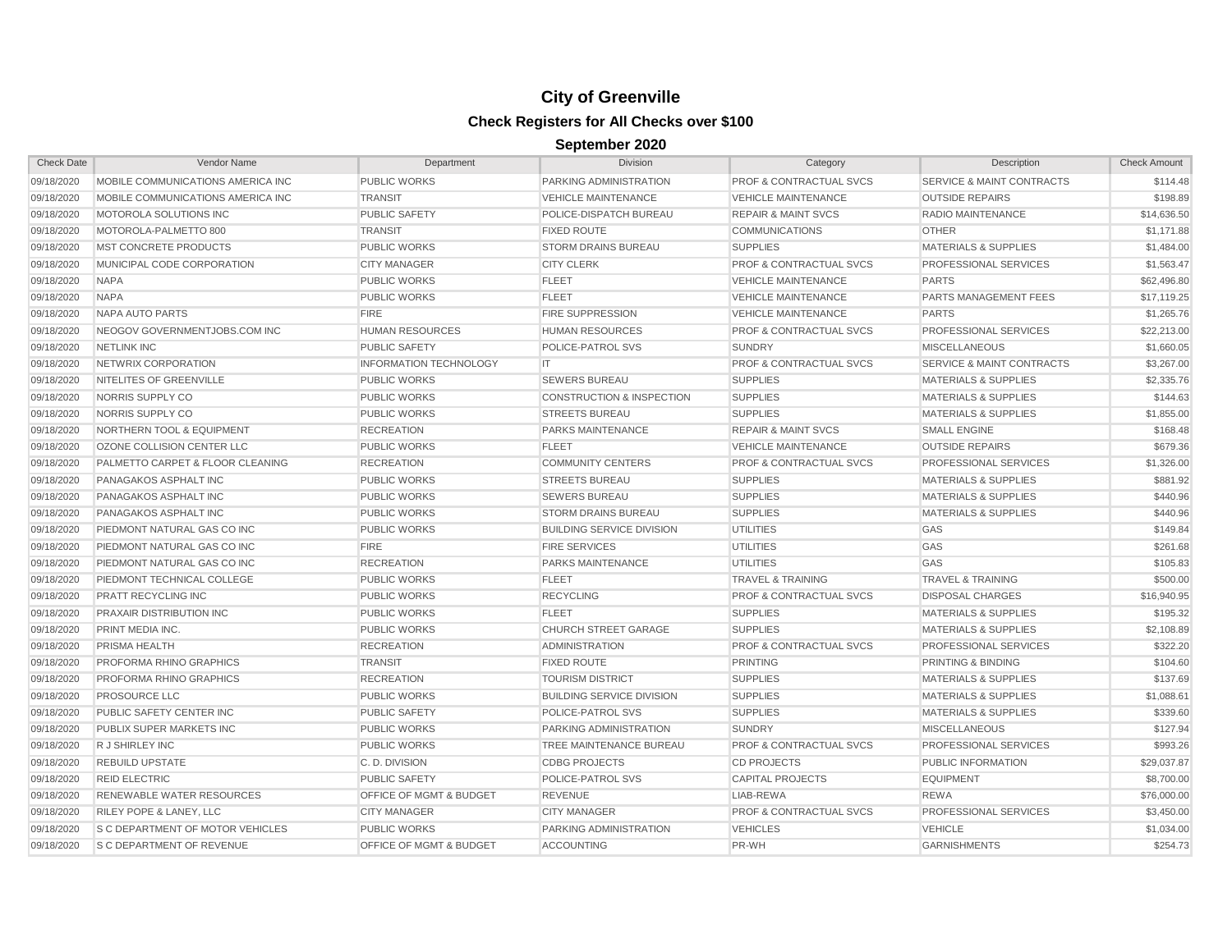| <b>Check Date</b> | Vendor Name                             | Department                         | <b>Division</b>                      | Category                           | Description                          | <b>Check Amount</b> |
|-------------------|-----------------------------------------|------------------------------------|--------------------------------------|------------------------------------|--------------------------------------|---------------------|
| 09/18/2020        | MOBILE COMMUNICATIONS AMERICA INC       | PUBLIC WORKS                       | PARKING ADMINISTRATION               | PROF & CONTRACTUAL SVCS            | SERVICE & MAINT CONTRACTS            | \$114.48            |
| 09/18/2020        | MOBILE COMMUNICATIONS AMERICA INC       | <b>TRANSIT</b>                     | <b>VEHICLE MAINTENANCE</b>           | <b>VEHICLE MAINTENANCE</b>         | <b>OUTSIDE REPAIRS</b>               | \$198.89            |
| 09/18/2020        | MOTOROLA SOLUTIONS INC                  | <b>PUBLIC SAFETY</b>               | POLICE-DISPATCH BUREAU               | <b>REPAIR &amp; MAINT SVCS</b>     | <b>RADIO MAINTENANCE</b>             | \$14,636.50         |
| 09/18/2020        | MOTOROLA-PALMETTO 800                   | <b>TRANSIT</b>                     | <b>FIXED ROUTE</b>                   | <b>COMMUNICATIONS</b>              | <b>OTHER</b>                         | \$1,171.88          |
| 09/18/2020        | <b>MST CONCRETE PRODUCTS</b>            | <b>PUBLIC WORKS</b>                | <b>STORM DRAINS BUREAU</b>           | <b>SUPPLIES</b>                    | <b>MATERIALS &amp; SUPPLIES</b>      | \$1,484.00          |
| 09/18/2020        | MUNICIPAL CODE CORPORATION              | <b>CITY MANAGER</b>                | <b>CITY CLERK</b>                    | <b>PROF &amp; CONTRACTUAL SVCS</b> | PROFESSIONAL SERVICES                | \$1,563.47          |
| 09/18/2020        | <b>NAPA</b>                             | PUBLIC WORKS                       | <b>FLEET</b>                         | <b>VEHICLE MAINTENANCE</b>         | <b>PARTS</b>                         | \$62,496.80         |
| 09/18/2020        | <b>NAPA</b>                             | <b>PUBLIC WORKS</b>                | <b>FLEET</b>                         | <b>VEHICLE MAINTENANCE</b>         | PARTS MANAGEMENT FEES                | \$17,119.25         |
| 09/18/2020        | <b>NAPA AUTO PARTS</b>                  | <b>FIRE</b>                        | <b>FIRE SUPPRESSION</b>              | <b>VEHICLE MAINTENANCE</b>         | <b>PARTS</b>                         | \$1,265.76          |
| 09/18/2020        | NEOGOV GOVERNMENTJOBS.COM INC           | <b>HUMAN RESOURCES</b>             | <b>HUMAN RESOURCES</b>               | <b>PROF &amp; CONTRACTUAL SVCS</b> | PROFESSIONAL SERVICES                | \$22,213.00         |
| 09/18/2020        | <b>NETLINK INC</b>                      | <b>PUBLIC SAFETY</b>               | POLICE-PATROL SVS                    | <b>SUNDRY</b>                      | <b>MISCELLANEOUS</b>                 | \$1,660.05          |
| 09/18/2020        | NETWRIX CORPORATION                     | <b>INFORMATION TECHNOLOGY</b>      | <b>IT</b>                            | <b>PROF &amp; CONTRACTUAL SVCS</b> | <b>SERVICE &amp; MAINT CONTRACTS</b> | \$3,267.00          |
| 09/18/2020        | NITELITES OF GREENVILLE                 | <b>PUBLIC WORKS</b>                | <b>SEWERS BUREAU</b>                 | <b>SUPPLIES</b>                    | <b>MATERIALS &amp; SUPPLIES</b>      | \$2,335.76          |
| 09/18/2020        | NORRIS SUPPLY CO                        | <b>PUBLIC WORKS</b>                | <b>CONSTRUCTION &amp; INSPECTION</b> | <b>SUPPLIES</b>                    | <b>MATERIALS &amp; SUPPLIES</b>      | \$144.63            |
| 09/18/2020        | NORRIS SUPPLY CO                        | <b>PUBLIC WORKS</b>                | <b>STREETS BUREAU</b>                | <b>SUPPLIES</b>                    | <b>MATERIALS &amp; SUPPLIES</b>      | \$1,855.00          |
| 09/18/2020        | NORTHERN TOOL & EQUIPMENT               | <b>RECREATION</b>                  | PARKS MAINTENANCE                    | <b>REPAIR &amp; MAINT SVCS</b>     | <b>SMALL ENGINE</b>                  | \$168.48            |
| 09/18/2020        | OZONE COLLISION CENTER LLC              | <b>PUBLIC WORKS</b>                | <b>FLEET</b>                         | <b>VEHICLE MAINTENANCE</b>         | <b>OUTSIDE REPAIRS</b>               | \$679.36            |
| 09/18/2020        | PALMETTO CARPET & FLOOR CLEANING        | <b>RECREATION</b>                  | <b>COMMUNITY CENTERS</b>             | <b>PROF &amp; CONTRACTUAL SVCS</b> | PROFESSIONAL SERVICES                | \$1,326.00          |
| 09/18/2020        | PANAGAKOS ASPHALT INC                   | <b>PUBLIC WORKS</b>                | <b>STREETS BUREAU</b>                | <b>SUPPLIES</b>                    | <b>MATERIALS &amp; SUPPLIES</b>      | \$881.92            |
| 09/18/2020        | PANAGAKOS ASPHALT INC                   | <b>PUBLIC WORKS</b>                | <b>SEWERS BUREAU</b>                 | <b>SUPPLIES</b>                    | <b>MATERIALS &amp; SUPPLIES</b>      | \$440.96            |
| 09/18/2020        | PANAGAKOS ASPHALT INC                   | <b>PUBLIC WORKS</b>                | <b>STORM DRAINS BUREAU</b>           | <b>SUPPLIES</b>                    | <b>MATERIALS &amp; SUPPLIES</b>      | \$440.96            |
| 09/18/2020        | PIEDMONT NATURAL GAS CO INC             | <b>PUBLIC WORKS</b>                | <b>BUILDING SERVICE DIVISION</b>     | UTILITIES                          | GAS                                  | \$149.84            |
| 09/18/2020        | PIEDMONT NATURAL GAS CO INC             | <b>FIRE</b>                        | <b>FIRE SERVICES</b>                 | <b>UTILITIES</b>                   | GAS                                  | \$261.68            |
| 09/18/2020        | PIEDMONT NATURAL GAS CO INC             | <b>RECREATION</b>                  | <b>PARKS MAINTENANCE</b>             | <b>UTILITIES</b>                   | GAS                                  | \$105.83            |
| 09/18/2020        | PIEDMONT TECHNICAL COLLEGE              | <b>PUBLIC WORKS</b>                | <b>FLEET</b>                         | <b>TRAVEL &amp; TRAINING</b>       | <b>TRAVEL &amp; TRAINING</b>         | \$500.00            |
| 09/18/2020        | PRATT RECYCLING INC                     | <b>PUBLIC WORKS</b>                | <b>RECYCLING</b>                     | <b>PROF &amp; CONTRACTUAL SVCS</b> | <b>DISPOSAL CHARGES</b>              | \$16,940.95         |
| 09/18/2020        | PRAXAIR DISTRIBUTION INC                | <b>PUBLIC WORKS</b>                | <b>FLEET</b>                         | <b>SUPPLIES</b>                    | <b>MATERIALS &amp; SUPPLIES</b>      | \$195.32            |
| 09/18/2020        | PRINT MEDIA INC.                        | <b>PUBLIC WORKS</b>                | <b>CHURCH STREET GARAGE</b>          | <b>SUPPLIES</b>                    | <b>MATERIALS &amp; SUPPLIES</b>      | \$2,108.89          |
| 09/18/2020        | PRISMA HEALTH                           | <b>RECREATION</b>                  | <b>ADMINISTRATION</b>                | <b>PROF &amp; CONTRACTUAL SVCS</b> | PROFESSIONAL SERVICES                | \$322.20            |
| 09/18/2020        | PROFORMA RHINO GRAPHICS                 | <b>TRANSIT</b>                     | <b>FIXED ROUTE</b>                   | <b>PRINTING</b>                    | PRINTING & BINDING                   | \$104.60            |
| 09/18/2020        | PROFORMA RHINO GRAPHICS                 | <b>RECREATION</b>                  | <b>TOURISM DISTRICT</b>              | <b>SUPPLIES</b>                    | <b>MATERIALS &amp; SUPPLIES</b>      | \$137.69            |
| 09/18/2020        | <b>PROSOURCE LLC</b>                    | <b>PUBLIC WORKS</b>                | <b>BUILDING SERVICE DIVISION</b>     | <b>SUPPLIES</b>                    | <b>MATERIALS &amp; SUPPLIES</b>      | \$1,088.61          |
| 09/18/2020        | PUBLIC SAFETY CENTER INC                | <b>PUBLIC SAFETY</b>               | POLICE-PATROL SVS                    | <b>SUPPLIES</b>                    | <b>MATERIALS &amp; SUPPLIES</b>      | \$339.60            |
| 09/18/2020        | PUBLIX SUPER MARKETS INC                | <b>PUBLIC WORKS</b>                | PARKING ADMINISTRATION               | <b>SUNDRY</b>                      | <b>MISCELLANEOUS</b>                 | \$127.94            |
| 09/18/2020        | R J SHIRLEY INC                         | <b>PUBLIC WORKS</b>                | TREE MAINTENANCE BUREAU              | <b>PROF &amp; CONTRACTUAL SVCS</b> | PROFESSIONAL SERVICES                | \$993.26            |
| 09/18/2020        | <b>REBUILD UPSTATE</b>                  | C.D. DIVISION                      | <b>CDBG PROJECTS</b>                 | <b>CD PROJECTS</b>                 | PUBLIC INFORMATION                   | \$29,037.87         |
| 09/18/2020        | <b>REID ELECTRIC</b>                    | <b>PUBLIC SAFETY</b>               | POLICE-PATROL SVS                    | <b>CAPITAL PROJECTS</b>            | <b>EQUIPMENT</b>                     | \$8,700.00          |
| 09/18/2020        | <b>RENEWABLE WATER RESOURCES</b>        | <b>OFFICE OF MGMT &amp; BUDGET</b> | <b>REVENUE</b>                       | LIAB-REWA                          | <b>REWA</b>                          | \$76,000.00         |
| 09/18/2020        | <b>RILEY POPE &amp; LANEY, LLC</b>      | <b>CITY MANAGER</b>                | <b>CITY MANAGER</b>                  | <b>PROF &amp; CONTRACTUAL SVCS</b> | PROFESSIONAL SERVICES                | \$3,450.00          |
| 09/18/2020        | <b>S C DEPARTMENT OF MOTOR VEHICLES</b> | <b>PUBLIC WORKS</b>                | PARKING ADMINISTRATION               | <b>VEHICLES</b>                    | <b>VEHICLE</b>                       | \$1,034.00          |
| 09/18/2020        | S C DEPARTMENT OF REVENUE               | <b>OFFICE OF MGMT &amp; BUDGET</b> | <b>ACCOUNTING</b>                    | PR-WH                              | <b>GARNISHMENTS</b>                  | \$254.73            |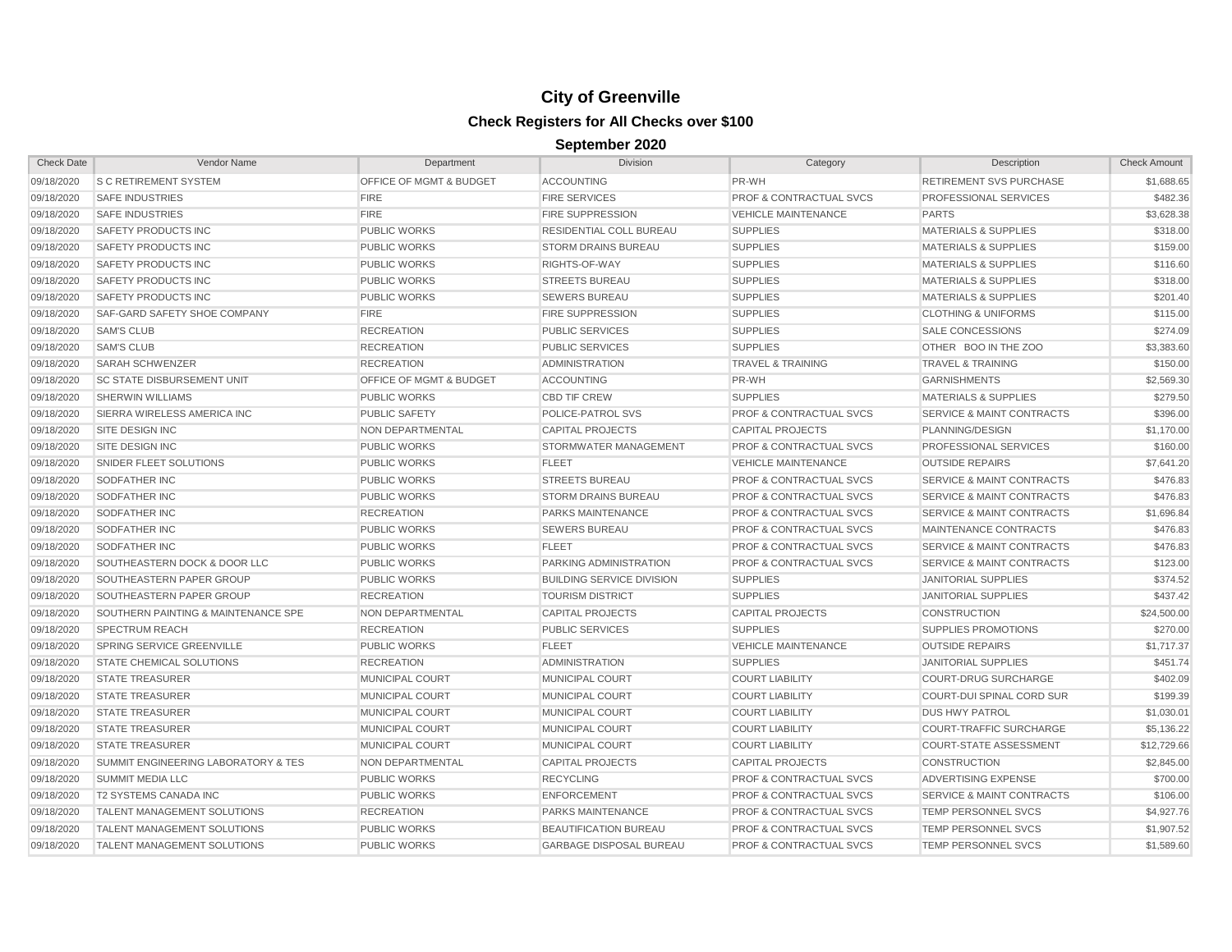| <b>Check Date</b> | <b>Vendor Name</b>                  | Department                         | <b>Division</b>                  | Category                           | Description                          | <b>Check Amount</b> |
|-------------------|-------------------------------------|------------------------------------|----------------------------------|------------------------------------|--------------------------------------|---------------------|
| 09/18/2020        | <b>S C RETIREMENT SYSTEM</b>        | OFFICE OF MGMT & BUDGET            | <b>ACCOUNTING</b>                | PR-WH                              | <b>RETIREMENT SVS PURCHASE</b>       | \$1,688.65          |
| 09/18/2020        | <b>SAFE INDUSTRIES</b>              | <b>FIRE</b>                        | <b>FIRE SERVICES</b>             | <b>PROF &amp; CONTRACTUAL SVCS</b> | PROFESSIONAL SERVICES                | \$482.36            |
| 09/18/2020        | <b>SAFE INDUSTRIES</b>              | <b>FIRE</b>                        | <b>FIRE SUPPRESSION</b>          | <b>VEHICLE MAINTENANCE</b>         | <b>PARTS</b>                         | \$3,628.38          |
| 09/18/2020        | SAFETY PRODUCTS INC                 | <b>PUBLIC WORKS</b>                | RESIDENTIAL COLL BUREAU          | <b>SUPPLIES</b>                    | <b>MATERIALS &amp; SUPPLIES</b>      | \$318.00            |
| 09/18/2020        | SAFETY PRODUCTS INC                 | <b>PUBLIC WORKS</b>                | <b>STORM DRAINS BUREAU</b>       | <b>SUPPLIES</b>                    | <b>MATERIALS &amp; SUPPLIES</b>      | \$159.00            |
| 09/18/2020        | SAFETY PRODUCTS INC                 | <b>PUBLIC WORKS</b>                | RIGHTS-OF-WAY                    | <b>SUPPLIES</b>                    | <b>MATERIALS &amp; SUPPLIES</b>      | \$116.60            |
| 09/18/2020        | SAFETY PRODUCTS INC                 | <b>PUBLIC WORKS</b>                | <b>STREETS BUREAU</b>            | <b>SUPPLIES</b>                    | <b>MATERIALS &amp; SUPPLIES</b>      | \$318.00            |
| 09/18/2020        | <b>SAFETY PRODUCTS INC</b>          | <b>PUBLIC WORKS</b>                | <b>SEWERS BUREAU</b>             | <b>SUPPLIES</b>                    | <b>MATERIALS &amp; SUPPLIES</b>      | \$201.40            |
| 09/18/2020        | <b>SAF-GARD SAFETY SHOE COMPANY</b> | <b>FIRE</b>                        | <b>FIRE SUPPRESSION</b>          | <b>SUPPLIES</b>                    | <b>CLOTHING &amp; UNIFORMS</b>       | \$115.00            |
| 09/18/2020        | <b>SAM'S CLUB</b>                   | <b>RECREATION</b>                  | PUBLIC SERVICES                  | <b>SUPPLIES</b>                    | SALE CONCESSIONS                     | \$274.09            |
| 09/18/2020        | <b>SAM'S CLUB</b>                   | <b>RECREATION</b>                  | <b>PUBLIC SERVICES</b>           | <b>SUPPLIES</b>                    | OTHER BOO IN THE ZOO                 | \$3,383.60          |
| 09/18/2020        | <b>SARAH SCHWENZER</b>              | <b>RECREATION</b>                  | <b>ADMINISTRATION</b>            | <b>TRAVEL &amp; TRAINING</b>       | <b>TRAVEL &amp; TRAINING</b>         | \$150.00            |
| 09/18/2020        | <b>SC STATE DISBURSEMENT UNIT</b>   | <b>OFFICE OF MGMT &amp; BUDGET</b> | <b>ACCOUNTING</b>                | PR-WH                              | <b>GARNISHMENTS</b>                  | \$2,569.30          |
| 09/18/2020        | <b>SHERWIN WILLIAMS</b>             | <b>PUBLIC WORKS</b>                | <b>CBD TIF CREW</b>              | <b>SUPPLIES</b>                    | <b>MATERIALS &amp; SUPPLIES</b>      | \$279.50            |
| 09/18/2020        | SIERRA WIRELESS AMERICA INC         | <b>PUBLIC SAFETY</b>               | POLICE-PATROL SVS                | <b>PROF &amp; CONTRACTUAL SVCS</b> | <b>SERVICE &amp; MAINT CONTRACTS</b> | \$396.00            |
| 09/18/2020        | SITE DESIGN INC                     | NON DEPARTMENTAL                   | <b>CAPITAL PROJECTS</b>          | <b>CAPITAL PROJECTS</b>            | PLANNING/DESIGN                      | \$1,170.00          |
| 09/18/2020        | SITE DESIGN INC                     | <b>PUBLIC WORKS</b>                | STORMWATER MANAGEMENT            | <b>PROF &amp; CONTRACTUAL SVCS</b> | PROFESSIONAL SERVICES                | \$160.00            |
| 09/18/2020        | SNIDER FLEET SOLUTIONS              | <b>PUBLIC WORKS</b>                | <b>FLEET</b>                     | <b>VEHICLE MAINTENANCE</b>         | <b>OUTSIDE REPAIRS</b>               | \$7,641.20          |
| 09/18/2020        | <b>SODFATHER INC</b>                | <b>PUBLIC WORKS</b>                | <b>STREETS BUREAU</b>            | <b>PROF &amp; CONTRACTUAL SVCS</b> | <b>SERVICE &amp; MAINT CONTRACTS</b> | \$476.83            |
| 09/18/2020        | <b>SODFATHER INC</b>                | <b>PUBLIC WORKS</b>                | <b>STORM DRAINS BUREAU</b>       | <b>PROF &amp; CONTRACTUAL SVCS</b> | <b>SERVICE &amp; MAINT CONTRACTS</b> | \$476.83            |
| 09/18/2020        | <b>SODFATHER INC</b>                | <b>RECREATION</b>                  | <b>PARKS MAINTENANCE</b>         | <b>PROF &amp; CONTRACTUAL SVCS</b> | <b>SERVICE &amp; MAINT CONTRACTS</b> | \$1,696.84          |
| 09/18/2020        | <b>SODFATHER INC</b>                | <b>PUBLIC WORKS</b>                | <b>SEWERS BUREAU</b>             | <b>PROF &amp; CONTRACTUAL SVCS</b> | MAINTENANCE CONTRACTS                | \$476.83            |
| 09/18/2020        | <b>SODFATHER INC</b>                | <b>PUBLIC WORKS</b>                | <b>FLEET</b>                     | <b>PROF &amp; CONTRACTUAL SVCS</b> | <b>SERVICE &amp; MAINT CONTRACTS</b> | \$476.83            |
| 09/18/2020        | SOUTHEASTERN DOCK & DOOR LLC        | <b>PUBLIC WORKS</b>                | <b>PARKING ADMINISTRATION</b>    | <b>PROF &amp; CONTRACTUAL SVCS</b> | <b>SERVICE &amp; MAINT CONTRACTS</b> | \$123.00            |
| 09/18/2020        | SOUTHEASTERN PAPER GROUP            | <b>PUBLIC WORKS</b>                | <b>BUILDING SERVICE DIVISION</b> | <b>SUPPLIES</b>                    | <b>JANITORIAL SUPPLIES</b>           | \$374.52            |
| 09/18/2020        | SOUTHEASTERN PAPER GROUP            | <b>RECREATION</b>                  | <b>TOURISM DISTRICT</b>          | <b>SUPPLIES</b>                    | <b>JANITORIAL SUPPLIES</b>           | \$437.42            |
| 09/18/2020        | SOUTHERN PAINTING & MAINTENANCE SPE | NON DEPARTMENTAL                   | <b>CAPITAL PROJECTS</b>          | CAPITAL PROJECTS                   | <b>CONSTRUCTION</b>                  | \$24,500.00         |
| 09/18/2020        | <b>SPECTRUM REACH</b>               | <b>RECREATION</b>                  | <b>PUBLIC SERVICES</b>           | <b>SUPPLIES</b>                    | <b>SUPPLIES PROMOTIONS</b>           | \$270.00            |
| 09/18/2020        | SPRING SERVICE GREENVILLE           | <b>PUBLIC WORKS</b>                | <b>FLEET</b>                     | <b>VEHICLE MAINTENANCE</b>         | <b>OUTSIDE REPAIRS</b>               | \$1,717.37          |
| 09/18/2020        | <b>STATE CHEMICAL SOLUTIONS</b>     | <b>RECREATION</b>                  | <b>ADMINISTRATION</b>            | <b>SUPPLIES</b>                    | <b>JANITORIAL SUPPLIES</b>           | \$451.74            |
| 09/18/2020        | <b>STATE TREASURER</b>              | MUNICIPAL COURT                    | MUNICIPAL COURT                  | <b>COURT LIABILITY</b>             | <b>COURT-DRUG SURCHARGE</b>          | \$402.09            |
| 09/18/2020        | <b>STATE TREASURER</b>              | MUNICIPAL COURT                    | <b>MUNICIPAL COURT</b>           | <b>COURT LIABILITY</b>             | <b>COURT-DUI SPINAL CORD SUR</b>     | \$199.39            |
| 09/18/2020        | <b>STATE TREASURER</b>              | MUNICIPAL COURT                    | MUNICIPAL COURT                  | <b>COURT LIABILITY</b>             | <b>DUS HWY PATROL</b>                | \$1,030.01          |
| 09/18/2020        | <b>STATE TREASURER</b>              | MUNICIPAL COURT                    | MUNICIPAL COURT                  | <b>COURT LIABILITY</b>             | <b>COURT-TRAFFIC SURCHARGE</b>       | \$5,136.22          |
| 09/18/2020        | <b>STATE TREASURER</b>              | MUNICIPAL COURT                    | MUNICIPAL COURT                  | <b>COURT LIABILITY</b>             | <b>COURT-STATE ASSESSMENT</b>        | \$12,729.66         |
| 09/18/2020        | SUMMIT ENGINEERING LABORATORY & TES | <b>NON DEPARTMENTAL</b>            | <b>CAPITAL PROJECTS</b>          | <b>CAPITAL PROJECTS</b>            | <b>CONSTRUCTION</b>                  | \$2,845.00          |
| 09/18/2020        | <b>SUMMIT MEDIA LLC</b>             | <b>PUBLIC WORKS</b>                | <b>RECYCLING</b>                 | <b>PROF &amp; CONTRACTUAL SVCS</b> | ADVERTISING EXPENSE                  | \$700.00            |
| 09/18/2020        | T2 SYSTEMS CANADA INC               | <b>PUBLIC WORKS</b>                | <b>ENFORCEMENT</b>               | <b>PROF &amp; CONTRACTUAL SVCS</b> | <b>SERVICE &amp; MAINT CONTRACTS</b> | \$106.00            |
| 09/18/2020        | <b>TALENT MANAGEMENT SOLUTIONS</b>  | <b>RECREATION</b>                  | <b>PARKS MAINTENANCE</b>         | <b>PROF &amp; CONTRACTUAL SVCS</b> | TEMP PERSONNEL SVCS                  | \$4,927.76          |
| 09/18/2020        | <b>TALENT MANAGEMENT SOLUTIONS</b>  | <b>PUBLIC WORKS</b>                | <b>BEAUTIFICATION BUREAU</b>     | <b>PROF &amp; CONTRACTUAL SVCS</b> | <b>TEMP PERSONNEL SVCS</b>           | \$1,907.52          |
| 09/18/2020        | TALENT MANAGEMENT SOLUTIONS         | <b>PUBLIC WORKS</b>                | <b>GARBAGE DISPOSAL BUREAU</b>   | <b>PROF &amp; CONTRACTUAL SVCS</b> | TEMP PERSONNEL SVCS                  | \$1,589.60          |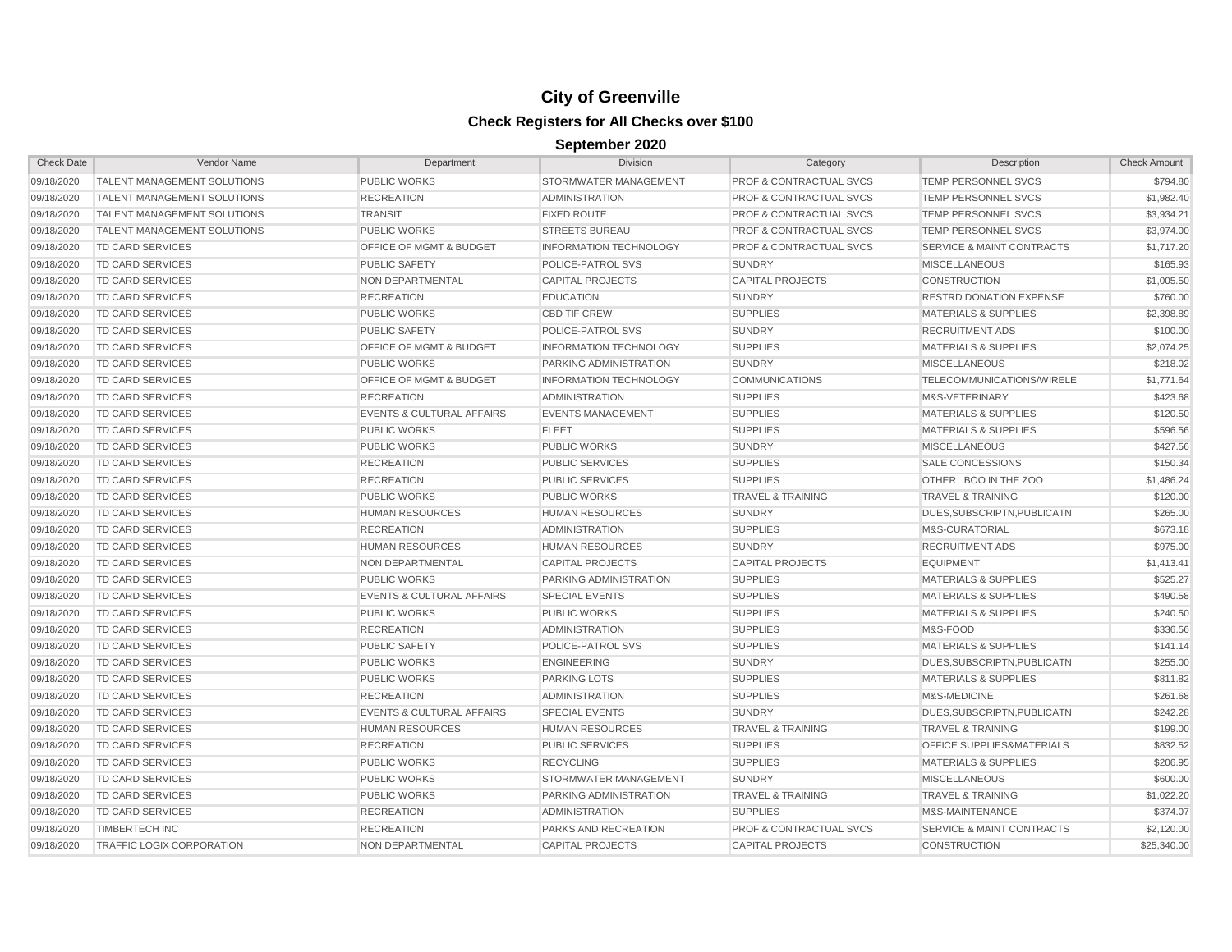| <b>Check Date</b> | Vendor Name                        | Department                           | Division                      | Category                           | Description                          | <b>Check Amount</b> |
|-------------------|------------------------------------|--------------------------------------|-------------------------------|------------------------------------|--------------------------------------|---------------------|
| 09/18/2020        | TALENT MANAGEMENT SOLUTIONS        | <b>PUBLIC WORKS</b>                  | STORMWATER MANAGEMENT         | <b>PROF &amp; CONTRACTUAL SVCS</b> | TEMP PERSONNEL SVCS                  | \$794.80            |
| 09/18/2020        | <b>TALENT MANAGEMENT SOLUTIONS</b> | <b>RECREATION</b>                    | <b>ADMINISTRATION</b>         | <b>PROF &amp; CONTRACTUAL SVCS</b> | <b>TEMP PERSONNEL SVCS</b>           | \$1,982.40          |
| 09/18/2020        | TALENT MANAGEMENT SOLUTIONS        | <b>TRANSIT</b>                       | <b>FIXED ROUTE</b>            | <b>PROF &amp; CONTRACTUAL SVCS</b> | TEMP PERSONNEL SVCS                  | \$3,934.21          |
| 09/18/2020        | <b>TALENT MANAGEMENT SOLUTIONS</b> | <b>PUBLIC WORKS</b>                  | <b>STREETS BUREAU</b>         | <b>PROF &amp; CONTRACTUAL SVCS</b> | TEMP PERSONNEL SVCS                  | \$3,974.00          |
| 09/18/2020        | <b>TD CARD SERVICES</b>            | <b>OFFICE OF MGMT &amp; BUDGET</b>   | <b>INFORMATION TECHNOLOGY</b> | <b>PROF &amp; CONTRACTUAL SVCS</b> | <b>SERVICE &amp; MAINT CONTRACTS</b> | \$1,717.20          |
| 09/18/2020        | <b>TD CARD SERVICES</b>            | <b>PUBLIC SAFETY</b>                 | POLICE-PATROL SVS             | <b>SUNDRY</b>                      | <b>MISCELLANEOUS</b>                 | \$165.93            |
| 09/18/2020        | <b>TD CARD SERVICES</b>            | <b>NON DEPARTMENTAL</b>              | <b>CAPITAL PROJECTS</b>       | <b>CAPITAL PROJECTS</b>            | <b>CONSTRUCTION</b>                  | \$1,005.50          |
| 09/18/2020        | TD CARD SERVICES                   | <b>RECREATION</b>                    | <b>EDUCATION</b>              | <b>SUNDRY</b>                      | <b>RESTRD DONATION EXPENSE</b>       | \$760.00            |
| 09/18/2020        | <b>TD CARD SERVICES</b>            | <b>PUBLIC WORKS</b>                  | <b>CBD TIF CREW</b>           | <b>SUPPLIES</b>                    | <b>MATERIALS &amp; SUPPLIES</b>      | \$2,398.89          |
| 09/18/2020        | <b>TD CARD SERVICES</b>            | <b>PUBLIC SAFETY</b>                 | POLICE-PATROL SVS             | <b>SUNDRY</b>                      | <b>RECRUITMENT ADS</b>               | \$100.00            |
| 09/18/2020        | <b>TD CARD SERVICES</b>            | <b>OFFICE OF MGMT &amp; BUDGET</b>   | <b>INFORMATION TECHNOLOGY</b> | <b>SUPPLIES</b>                    | <b>MATERIALS &amp; SUPPLIES</b>      | \$2,074.25          |
| 09/18/2020        | <b>TD CARD SERVICES</b>            | <b>PUBLIC WORKS</b>                  | PARKING ADMINISTRATION        | <b>SUNDRY</b>                      | <b>MISCELLANEOUS</b>                 | \$218.02            |
| 09/18/2020        | <b>TD CARD SERVICES</b>            | <b>OFFICE OF MGMT &amp; BUDGET</b>   | <b>INFORMATION TECHNOLOGY</b> | <b>COMMUNICATIONS</b>              | TELECOMMUNICATIONS/WIRELE            | \$1,771.64          |
| 09/18/2020        | <b>TD CARD SERVICES</b>            | <b>RECREATION</b>                    | <b>ADMINISTRATION</b>         | <b>SUPPLIES</b>                    | M&S-VETERINARY                       | \$423.68            |
| 09/18/2020        | <b>TD CARD SERVICES</b>            | <b>EVENTS &amp; CULTURAL AFFAIRS</b> | <b>EVENTS MANAGEMENT</b>      | <b>SUPPLIES</b>                    | <b>MATERIALS &amp; SUPPLIES</b>      | \$120.50            |
| 09/18/2020        | <b>TD CARD SERVICES</b>            | <b>PUBLIC WORKS</b>                  | <b>FLEET</b>                  | <b>SUPPLIES</b>                    | <b>MATERIALS &amp; SUPPLIES</b>      | \$596.56            |
| 09/18/2020        | TD CARD SERVICES                   | <b>PUBLIC WORKS</b>                  | <b>PUBLIC WORKS</b>           | <b>SUNDRY</b>                      | <b>MISCELLANEOUS</b>                 | \$427.56            |
| 09/18/2020        | TD CARD SERVICES                   | <b>RECREATION</b>                    | <b>PUBLIC SERVICES</b>        | <b>SUPPLIES</b>                    | <b>SALE CONCESSIONS</b>              | \$150.34            |
| 09/18/2020        | <b>TD CARD SERVICES</b>            | <b>RECREATION</b>                    | <b>PUBLIC SERVICES</b>        | <b>SUPPLIES</b>                    | OTHER BOO IN THE ZOO                 | \$1,486.24          |
| 09/18/2020        | <b>TD CARD SERVICES</b>            | <b>PUBLIC WORKS</b>                  | <b>PUBLIC WORKS</b>           | <b>TRAVEL &amp; TRAINING</b>       | <b>TRAVEL &amp; TRAINING</b>         | \$120.00            |
| 09/18/2020        | TD CARD SERVICES                   | <b>HUMAN RESOURCES</b>               | <b>HUMAN RESOURCES</b>        | <b>SUNDRY</b>                      | DUES.SUBSCRIPTN.PUBLICATN            | \$265.00            |
| 09/18/2020        | <b>TD CARD SERVICES</b>            | <b>RECREATION</b>                    | <b>ADMINISTRATION</b>         | <b>SUPPLIES</b>                    | M&S-CURATORIAL                       | \$673.18            |
| 09/18/2020        | <b>TD CARD SERVICES</b>            | <b>HUMAN RESOURCES</b>               | <b>HUMAN RESOURCES</b>        | <b>SUNDRY</b>                      | <b>RECRUITMENT ADS</b>               | \$975.00            |
| 09/18/2020        | <b>TD CARD SERVICES</b>            | NON DEPARTMENTAL                     | <b>CAPITAL PROJECTS</b>       | <b>CAPITAL PROJECTS</b>            | <b>EQUIPMENT</b>                     | \$1,413.41          |
| 09/18/2020        | TD CARD SERVICES                   | <b>PUBLIC WORKS</b>                  | PARKING ADMINISTRATION        | <b>SUPPLIES</b>                    | <b>MATERIALS &amp; SUPPLIES</b>      | \$525.27            |
| 09/18/2020        | TD CARD SERVICES                   | <b>EVENTS &amp; CULTURAL AFFAIRS</b> | <b>SPECIAL EVENTS</b>         | <b>SUPPLIES</b>                    | <b>MATERIALS &amp; SUPPLIES</b>      | \$490.58            |
| 09/18/2020        | TD CARD SERVICES                   | <b>PUBLIC WORKS</b>                  | <b>PUBLIC WORKS</b>           | <b>SUPPLIES</b>                    | <b>MATERIALS &amp; SUPPLIES</b>      | \$240.50            |
| 09/18/2020        | <b>TD CARD SERVICES</b>            | <b>RECREATION</b>                    | <b>ADMINISTRATION</b>         | <b>SUPPLIES</b>                    | M&S-FOOD                             | \$336.56            |
| 09/18/2020        | TD CARD SERVICES                   | <b>PUBLIC SAFETY</b>                 | POLICE-PATROL SVS             | <b>SUPPLIES</b>                    | <b>MATERIALS &amp; SUPPLIES</b>      | \$141.14            |
| 09/18/2020        | <b>TD CARD SERVICES</b>            | <b>PUBLIC WORKS</b>                  | <b>ENGINEERING</b>            | <b>SUNDRY</b>                      | DUES, SUBSCRIPTN, PUBLICATN          | \$255.00            |
| 09/18/2020        | <b>TD CARD SERVICES</b>            | <b>PUBLIC WORKS</b>                  | <b>PARKING LOTS</b>           | <b>SUPPLIES</b>                    | <b>MATERIALS &amp; SUPPLIES</b>      | \$811.82            |
| 09/18/2020        | <b>TD CARD SERVICES</b>            | <b>RECREATION</b>                    | <b>ADMINISTRATION</b>         | <b>SUPPLIES</b>                    | M&S-MEDICINE                         | \$261.68            |
| 09/18/2020        | <b>TD CARD SERVICES</b>            | <b>EVENTS &amp; CULTURAL AFFAIRS</b> | <b>SPECIAL EVENTS</b>         | <b>SUNDRY</b>                      | DUES, SUBSCRIPTN, PUBLICATN          | \$242.28            |
| 09/18/2020        | TD CARD SERVICES                   | <b>HUMAN RESOURCES</b>               | <b>HUMAN RESOURCES</b>        | <b>TRAVEL &amp; TRAINING</b>       | <b>TRAVEL &amp; TRAINING</b>         | \$199.00            |
| 09/18/2020        | TD CARD SERVICES                   | <b>RECREATION</b>                    | <b>PUBLIC SERVICES</b>        | <b>SUPPLIES</b>                    | OFFICE SUPPLIES&MATERIALS            | \$832.52            |
| 09/18/2020        | TD CARD SERVICES                   | <b>PUBLIC WORKS</b>                  | <b>RECYCLING</b>              | <b>SUPPLIES</b>                    | <b>MATERIALS &amp; SUPPLIES</b>      | \$206.95            |
| 09/18/2020        | TD CARD SERVICES                   | <b>PUBLIC WORKS</b>                  | STORMWATER MANAGEMENT         | <b>SUNDRY</b>                      | <b>MISCELLANEOUS</b>                 | \$600.00            |
| 09/18/2020        | <b>TD CARD SERVICES</b>            | <b>PUBLIC WORKS</b>                  | PARKING ADMINISTRATION        | <b>TRAVEL &amp; TRAINING</b>       | <b>TRAVEL &amp; TRAINING</b>         | \$1,022.20          |
| 09/18/2020        | TD CARD SERVICES                   | <b>RECREATION</b>                    | <b>ADMINISTRATION</b>         | <b>SUPPLIES</b>                    | M&S-MAINTENANCE                      | \$374.07            |
| 09/18/2020        | <b>TIMBERTECH INC</b>              | <b>RECREATION</b>                    | <b>PARKS AND RECREATION</b>   | <b>PROF &amp; CONTRACTUAL SVCS</b> | <b>SERVICE &amp; MAINT CONTRACTS</b> | \$2,120.00          |
| 09/18/2020        | <b>TRAFFIC LOGIX CORPORATION</b>   | NON DEPARTMENTAL                     | <b>CAPITAL PROJECTS</b>       | <b>CAPITAL PROJECTS</b>            | <b>CONSTRUCTION</b>                  | \$25,340.00         |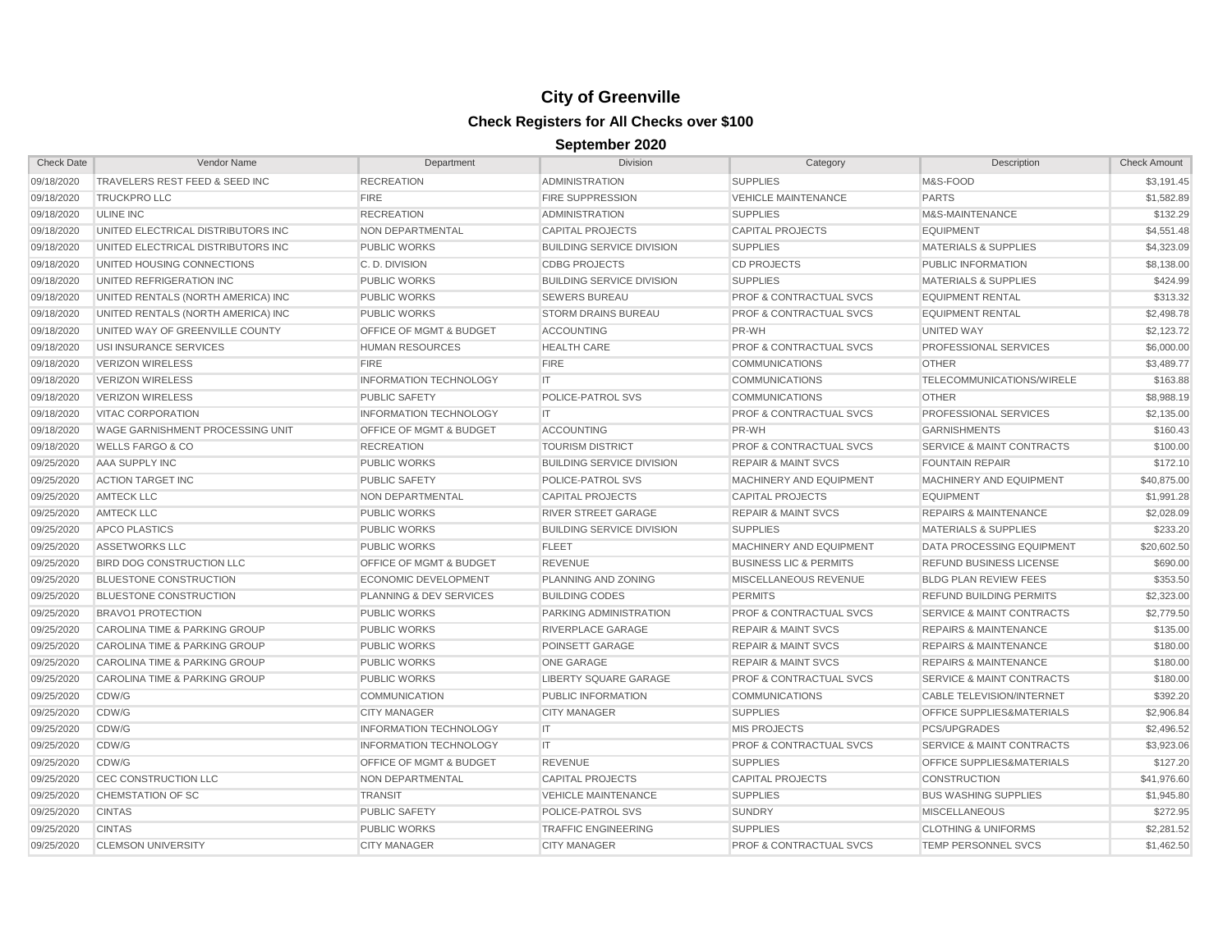| <b>Check Date</b> | Vendor Name                             | Department                         | <b>Division</b>                  | Category                           | Description                          | <b>Check Amount</b> |
|-------------------|-----------------------------------------|------------------------------------|----------------------------------|------------------------------------|--------------------------------------|---------------------|
| 09/18/2020        | TRAVELERS REST FEED & SEED INC          | <b>RECREATION</b>                  | <b>ADMINISTRATION</b>            | <b>SUPPLIES</b>                    | M&S-FOOD                             | \$3,191.45          |
| 09/18/2020        | <b>TRUCKPRO LLC</b>                     | <b>FIRE</b>                        | <b>FIRE SUPPRESSION</b>          | <b>VEHICLE MAINTENANCE</b>         | <b>PARTS</b>                         | \$1,582.89          |
| 09/18/2020        | <b>ULINE INC</b>                        | <b>RECREATION</b>                  | <b>ADMINISTRATION</b>            | <b>SUPPLIES</b>                    | M&S-MAINTENANCE                      | \$132.29            |
| 09/18/2020        | UNITED ELECTRICAL DISTRIBUTORS INC      | NON DEPARTMENTAL                   | <b>CAPITAL PROJECTS</b>          | <b>CAPITAL PROJECTS</b>            | <b>EQUIPMENT</b>                     | \$4,551.48          |
| 09/18/2020        | UNITED ELECTRICAL DISTRIBUTORS INC      | <b>PUBLIC WORKS</b>                | <b>BUILDING SERVICE DIVISION</b> | <b>SUPPLIES</b>                    | <b>MATERIALS &amp; SUPPLIES</b>      | \$4,323.09          |
| 09/18/2020        | UNITED HOUSING CONNECTIONS              | C.D. DIVISION                      | <b>CDBG PROJECTS</b>             | <b>CD PROJECTS</b>                 | PUBLIC INFORMATION                   | \$8,138.00          |
| 09/18/2020        | UNITED REFRIGERATION INC                | <b>PUBLIC WORKS</b>                | <b>BUILDING SERVICE DIVISION</b> | <b>SUPPLIES</b>                    | <b>MATERIALS &amp; SUPPLIES</b>      | \$424.99            |
| 09/18/2020        | UNITED RENTALS (NORTH AMERICA) INC      | <b>PUBLIC WORKS</b>                | <b>SEWERS BUREAU</b>             | <b>PROF &amp; CONTRACTUAL SVCS</b> | <b>EQUIPMENT RENTAL</b>              | \$313.32            |
| 09/18/2020        | UNITED RENTALS (NORTH AMERICA) INC      | <b>PUBLIC WORKS</b>                | <b>STORM DRAINS BUREAU</b>       | <b>PROF &amp; CONTRACTUAL SVCS</b> | <b>EQUIPMENT RENTAL</b>              | \$2,498.78          |
| 09/18/2020        | UNITED WAY OF GREENVILLE COUNTY         | <b>OFFICE OF MGMT &amp; BUDGET</b> | <b>ACCOUNTING</b>                | PR-WH                              | UNITED WAY                           | \$2,123.72          |
| 09/18/2020        | USI INSURANCE SERVICES                  | <b>HUMAN RESOURCES</b>             | <b>HEALTH CARE</b>               | <b>PROF &amp; CONTRACTUAL SVCS</b> | PROFESSIONAL SERVICES                | \$6,000.00          |
| 09/18/2020        | <b>VERIZON WIRELESS</b>                 | <b>FIRE</b>                        | <b>FIRE</b>                      | <b>COMMUNICATIONS</b>              | <b>OTHER</b>                         | \$3,489.77          |
| 09/18/2020        | <b>VERIZON WIRELESS</b>                 | <b>INFORMATION TECHNOLOGY</b>      | IT.                              | <b>COMMUNICATIONS</b>              | TELECOMMUNICATIONS/WIRELE            | \$163.88            |
| 09/18/2020        | <b>VERIZON WIRELESS</b>                 | <b>PUBLIC SAFETY</b>               | POLICE-PATROL SVS                | <b>COMMUNICATIONS</b>              | <b>OTHER</b>                         | \$8,988.19          |
| 09/18/2020        | VITAC CORPORATION                       | <b>INFORMATION TECHNOLOGY</b>      | IT.                              | <b>PROF &amp; CONTRACTUAL SVCS</b> | PROFESSIONAL SERVICES                | \$2,135.00          |
| 09/18/2020        | <b>WAGE GARNISHMENT PROCESSING UNIT</b> | OFFICE OF MGMT & BUDGET            | <b>ACCOUNTING</b>                | PR-WH                              | <b>GARNISHMENTS</b>                  | \$160.43            |
| 09/18/2020        | <b>WELLS FARGO &amp; CO</b>             | <b>RECREATION</b>                  | <b>TOURISM DISTRICT</b>          | <b>PROF &amp; CONTRACTUAL SVCS</b> | <b>SERVICE &amp; MAINT CONTRACTS</b> | \$100.00            |
| 09/25/2020        | AAA SUPPLY INC                          | <b>PUBLIC WORKS</b>                | <b>BUILDING SERVICE DIVISION</b> | <b>REPAIR &amp; MAINT SVCS</b>     | <b>FOUNTAIN REPAIR</b>               | \$172.10            |
| 09/25/2020        | <b>ACTION TARGET INC</b>                | <b>PUBLIC SAFETY</b>               | POLICE-PATROL SVS                | MACHINERY AND EQUIPMENT            | MACHINERY AND EQUIPMENT              | \$40,875.00         |
| 09/25/2020        | <b>AMTECK LLC</b>                       | NON DEPARTMENTAL                   | <b>CAPITAL PROJECTS</b>          | <b>CAPITAL PROJECTS</b>            | <b>EQUIPMENT</b>                     | \$1,991.28          |
| 09/25/2020        | <b>AMTECK LLC</b>                       | <b>PUBLIC WORKS</b>                | RIVER STREET GARAGE              | <b>REPAIR &amp; MAINT SVCS</b>     | <b>REPAIRS &amp; MAINTENANCE</b>     | \$2,028.09          |
| 09/25/2020        | <b>APCO PLASTICS</b>                    | <b>PUBLIC WORKS</b>                | <b>BUILDING SERVICE DIVISION</b> | <b>SUPPLIES</b>                    | <b>MATERIALS &amp; SUPPLIES</b>      | \$233.20            |
| 09/25/2020        | <b>ASSETWORKS LLC</b>                   | <b>PUBLIC WORKS</b>                | <b>FLEET</b>                     | MACHINERY AND EQUIPMENT            | DATA PROCESSING EQUIPMENT            | \$20,602.50         |
| 09/25/2020        | <b>BIRD DOG CONSTRUCTION LLC</b>        | <b>OFFICE OF MGMT &amp; BUDGET</b> | <b>REVENUE</b>                   | <b>BUSINESS LIC &amp; PERMITS</b>  | <b>REFUND BUSINESS LICENSE</b>       | \$690.00            |
| 09/25/2020        | <b>BLUESTONE CONSTRUCTION</b>           | <b>ECONOMIC DEVELOPMENT</b>        | PLANNING AND ZONING              | MISCELLANEOUS REVENUE              | <b>BLDG PLAN REVIEW FEES</b>         | \$353.50            |
| 09/25/2020        | <b>BLUESTONE CONSTRUCTION</b>           | <b>PLANNING &amp; DEV SERVICES</b> | <b>BUILDING CODES</b>            | <b>PERMITS</b>                     | <b>REFUND BUILDING PERMITS</b>       | \$2,323.00          |
| 09/25/2020        | <b>BRAVO1 PROTECTION</b>                | <b>PUBLIC WORKS</b>                | PARKING ADMINISTRATION           | <b>PROF &amp; CONTRACTUAL SVCS</b> | <b>SERVICE &amp; MAINT CONTRACTS</b> | \$2,779.50          |
| 09/25/2020        | CAROLINA TIME & PARKING GROUP           | <b>PUBLIC WORKS</b>                | RIVERPLACE GARAGE                | <b>REPAIR &amp; MAINT SVCS</b>     | <b>REPAIRS &amp; MAINTENANCE</b>     | \$135.00            |
| 09/25/2020        | CAROLINA TIME & PARKING GROUP           | <b>PUBLIC WORKS</b>                | POINSETT GARAGE                  | <b>REPAIR &amp; MAINT SVCS</b>     | <b>REPAIRS &amp; MAINTENANCE</b>     | \$180.00            |
| 09/25/2020        | CAROLINA TIME & PARKING GROUP           | <b>PUBLIC WORKS</b>                | <b>ONE GARAGE</b>                | <b>REPAIR &amp; MAINT SVCS</b>     | <b>REPAIRS &amp; MAINTENANCE</b>     | \$180.00            |
| 09/25/2020        | CAROLINA TIME & PARKING GROUP           | <b>PUBLIC WORKS</b>                | <b>LIBERTY SQUARE GARAGE</b>     | <b>PROF &amp; CONTRACTUAL SVCS</b> | <b>SERVICE &amp; MAINT CONTRACTS</b> | \$180.00            |
| 09/25/2020        | CDW/G                                   | <b>COMMUNICATION</b>               | PUBLIC INFORMATION               | <b>COMMUNICATIONS</b>              | CABLE TELEVISION/INTERNET            | \$392.20            |
| 09/25/2020        | CDW/G                                   | <b>CITY MANAGER</b>                | <b>CITY MANAGER</b>              | <b>SUPPLIES</b>                    | OFFICE SUPPLIES&MATERIALS            | \$2,906.84          |
| 09/25/2020        | CDW/G                                   | <b>INFORMATION TECHNOLOGY</b>      | IT.                              | <b>MIS PROJECTS</b>                | <b>PCS/UPGRADES</b>                  | \$2,496.52          |
| 09/25/2020        | CDW/G                                   | <b>INFORMATION TECHNOLOGY</b>      | IT.                              | <b>PROF &amp; CONTRACTUAL SVCS</b> | <b>SERVICE &amp; MAINT CONTRACTS</b> | \$3,923.06          |
| 09/25/2020        | CDW/G                                   | OFFICE OF MGMT & BUDGET            | <b>REVENUE</b>                   | <b>SUPPLIES</b>                    | OFFICE SUPPLIES&MATERIALS            | \$127.20            |
| 09/25/2020        | CEC CONSTRUCTION LLC                    | NON DEPARTMENTAL                   | <b>CAPITAL PROJECTS</b>          | <b>CAPITAL PROJECTS</b>            | <b>CONSTRUCTION</b>                  | \$41,976.60         |
| 09/25/2020        | <b>CHEMSTATION OF SC</b>                | <b>TRANSIT</b>                     | <b>VEHICLE MAINTENANCE</b>       | <b>SUPPLIES</b>                    | <b>BUS WASHING SUPPLIES</b>          | \$1,945.80          |
| 09/25/2020        | <b>CINTAS</b>                           | <b>PUBLIC SAFETY</b>               | POLICE-PATROL SVS                | <b>SUNDRY</b>                      | <b>MISCELLANEOUS</b>                 | \$272.95            |
| 09/25/2020        | <b>CINTAS</b>                           | <b>PUBLIC WORKS</b>                | <b>TRAFFIC ENGINEERING</b>       | <b>SUPPLIES</b>                    | <b>CLOTHING &amp; UNIFORMS</b>       | \$2,281.52          |
| 09/25/2020        | <b>CLEMSON UNIVERSITY</b>               | <b>CITY MANAGER</b>                | <b>CITY MANAGER</b>              | <b>PROF &amp; CONTRACTUAL SVCS</b> | <b>TEMP PERSONNEL SVCS</b>           | \$1,462.50          |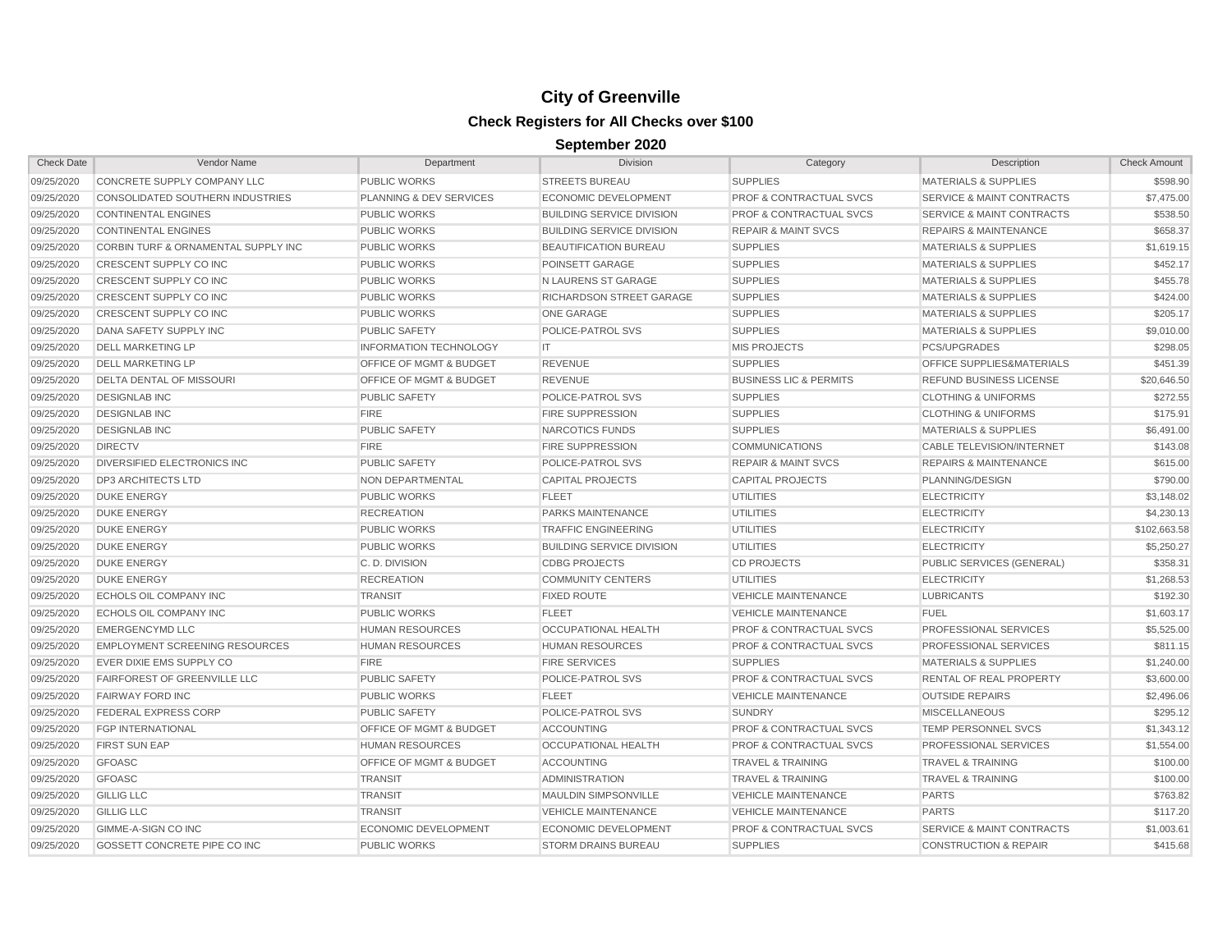| <b>Check Date</b> | Vendor Name                           | Department                         | <b>Division</b>                  | Category                           | Description                          | <b>Check Amount</b> |
|-------------------|---------------------------------------|------------------------------------|----------------------------------|------------------------------------|--------------------------------------|---------------------|
| 09/25/2020        | CONCRETE SUPPLY COMPANY LLC           | <b>PUBLIC WORKS</b>                | <b>STREETS BUREAU</b>            | <b>SUPPLIES</b>                    | MATERIALS & SUPPLIES                 | \$598.90            |
| 09/25/2020        | CONSOLIDATED SOUTHERN INDUSTRIES      | PLANNING & DEV SERVICES            | ECONOMIC DEVELOPMENT             | <b>PROF &amp; CONTRACTUAL SVCS</b> | <b>SERVICE &amp; MAINT CONTRACTS</b> | \$7,475.00          |
| 09/25/2020        | <b>CONTINENTAL ENGINES</b>            | <b>PUBLIC WORKS</b>                | <b>BUILDING SERVICE DIVISION</b> | <b>PROF &amp; CONTRACTUAL SVCS</b> | <b>SERVICE &amp; MAINT CONTRACTS</b> | \$538.50            |
| 09/25/2020        | <b>CONTINENTAL ENGINES</b>            | <b>PUBLIC WORKS</b>                | <b>BUILDING SERVICE DIVISION</b> | <b>REPAIR &amp; MAINT SVCS</b>     | <b>REPAIRS &amp; MAINTENANCE</b>     | \$658.37            |
| 09/25/2020        | CORBIN TURF & ORNAMENTAL SUPPLY INC   | <b>PUBLIC WORKS</b>                | <b>BEAUTIFICATION BUREAU</b>     | <b>SUPPLIES</b>                    | <b>MATERIALS &amp; SUPPLIES</b>      | \$1,619.15          |
| 09/25/2020        | <b>CRESCENT SUPPLY CO INC</b>         | <b>PUBLIC WORKS</b>                | POINSETT GARAGE                  | <b>SUPPLIES</b>                    | <b>MATERIALS &amp; SUPPLIES</b>      | \$452.17            |
| 09/25/2020        | <b>CRESCENT SUPPLY CO INC</b>         | <b>PUBLIC WORKS</b>                | N LAURENS ST GARAGE              | <b>SUPPLIES</b>                    | <b>MATERIALS &amp; SUPPLIES</b>      | \$455.78            |
| 09/25/2020        | <b>CRESCENT SUPPLY CO INC</b>         | <b>PUBLIC WORKS</b>                | RICHARDSON STREET GARAGE         | <b>SUPPLIES</b>                    | <b>MATERIALS &amp; SUPPLIES</b>      | \$424.00            |
| 09/25/2020        | <b>CRESCENT SUPPLY CO INC</b>         | <b>PUBLIC WORKS</b>                | <b>ONE GARAGE</b>                | <b>SUPPLIES</b>                    | <b>MATERIALS &amp; SUPPLIES</b>      | \$205.17            |
| 09/25/2020        | <b>DANA SAFETY SUPPLY INC</b>         | <b>PUBLIC SAFETY</b>               | POLICE-PATROL SVS                | <b>SUPPLIES</b>                    | <b>MATERIALS &amp; SUPPLIES</b>      | \$9,010.00          |
| 09/25/2020        | <b>DELL MARKETING LP</b>              | <b>INFORMATION TECHNOLOGY</b>      | IT                               | <b>MIS PROJECTS</b>                | <b>PCS/UPGRADES</b>                  | \$298.05            |
| 09/25/2020        | <b>DELL MARKETING LP</b>              | OFFICE OF MGMT & BUDGET            | <b>REVENUE</b>                   | <b>SUPPLIES</b>                    | <b>OFFICE SUPPLIES&amp;MATERIALS</b> | \$451.39            |
| 09/25/2020        | DELTA DENTAL OF MISSOURI              | <b>OFFICE OF MGMT &amp; BUDGET</b> | <b>REVENUE</b>                   | <b>BUSINESS LIC &amp; PERMITS</b>  | <b>REFUND BUSINESS LICENSE</b>       | \$20,646.50         |
| 09/25/2020        | <b>DESIGNLAB INC</b>                  | <b>PUBLIC SAFETY</b>               | POLICE-PATROL SVS                | <b>SUPPLIES</b>                    | <b>CLOTHING &amp; UNIFORMS</b>       | \$272.55            |
| 09/25/2020        | <b>DESIGNLAB INC</b>                  | <b>FIRE</b>                        | <b>FIRE SUPPRESSION</b>          | <b>SUPPLIES</b>                    | <b>CLOTHING &amp; UNIFORMS</b>       | \$175.91            |
| 09/25/2020        | <b>DESIGNLAB INC</b>                  | <b>PUBLIC SAFETY</b>               | NARCOTICS FUNDS                  | <b>SUPPLIES</b>                    | <b>MATERIALS &amp; SUPPLIES</b>      | \$6,491.00          |
| 09/25/2020        | <b>DIRECTV</b>                        | <b>FIRE</b>                        | <b>FIRE SUPPRESSION</b>          | <b>COMMUNICATIONS</b>              | <b>CABLE TELEVISION/INTERNET</b>     | \$143.08            |
| 09/25/2020        | <b>DIVERSIFIED ELECTRONICS INC</b>    | <b>PUBLIC SAFETY</b>               | POLICE-PATROL SVS                | <b>REPAIR &amp; MAINT SVCS</b>     | <b>REPAIRS &amp; MAINTENANCE</b>     | \$615.00            |
| 09/25/2020        | <b>DP3 ARCHITECTS LTD</b>             | <b>NON DEPARTMENTAL</b>            | <b>CAPITAL PROJECTS</b>          | <b>CAPITAL PROJECTS</b>            | PLANNING/DESIGN                      | \$790.00            |
| 09/25/2020        | <b>DUKE ENERGY</b>                    | <b>PUBLIC WORKS</b>                | <b>FLEET</b>                     | UTILITIES                          | <b>ELECTRICITY</b>                   | \$3,148.02          |
| 09/25/2020        | <b>DUKE ENERGY</b>                    | <b>RECREATION</b>                  | PARKS MAINTENANCE                | <b>UTILITIES</b>                   | <b>ELECTRICITY</b>                   | \$4,230.13          |
| 09/25/2020        | <b>DUKE ENERGY</b>                    | <b>PUBLIC WORKS</b>                | <b>TRAFFIC ENGINEERING</b>       | <b>UTILITIES</b>                   | <b>ELECTRICITY</b>                   | \$102,663.58        |
| 09/25/2020        | <b>DUKE ENERGY</b>                    | <b>PUBLIC WORKS</b>                | <b>BUILDING SERVICE DIVISION</b> | <b>UTILITIES</b>                   | <b>ELECTRICITY</b>                   | \$5,250.27          |
| 09/25/2020        | <b>DUKE ENERGY</b>                    | C.D. DIVISION                      | <b>CDBG PROJECTS</b>             | <b>CD PROJECTS</b>                 | PUBLIC SERVICES (GENERAL)            | \$358.31            |
| 09/25/2020        | <b>DUKE ENERGY</b>                    | <b>RECREATION</b>                  | <b>COMMUNITY CENTERS</b>         | UTILITIES                          | <b>ELECTRICITY</b>                   | \$1,268.53          |
| 09/25/2020        | ECHOLS OIL COMPANY INC                | <b>TRANSIT</b>                     | <b>FIXED ROUTE</b>               | <b>VEHICLE MAINTENANCE</b>         | <b>LUBRICANTS</b>                    | \$192.30            |
| 09/25/2020        | ECHOLS OIL COMPANY INC                | <b>PUBLIC WORKS</b>                | <b>FLEET</b>                     | <b>VEHICLE MAINTENANCE</b>         | <b>FUEL</b>                          | \$1,603.17          |
| 09/25/2020        | <b>EMERGENCYMD LLC</b>                | <b>HUMAN RESOURCES</b>             | <b>OCCUPATIONAL HEALTH</b>       | <b>PROF &amp; CONTRACTUAL SVCS</b> | PROFESSIONAL SERVICES                | \$5,525.00          |
| 09/25/2020        | <b>EMPLOYMENT SCREENING RESOURCES</b> | <b>HUMAN RESOURCES</b>             | <b>HUMAN RESOURCES</b>           | <b>PROF &amp; CONTRACTUAL SVCS</b> | PROFESSIONAL SERVICES                | \$811.15            |
| 09/25/2020        | EVER DIXIE EMS SUPPLY CO              | <b>FIRE</b>                        | <b>FIRE SERVICES</b>             | <b>SUPPLIES</b>                    | <b>MATERIALS &amp; SUPPLIES</b>      | \$1,240.00          |
| 09/25/2020        | <b>FAIRFOREST OF GREENVILLE LLC</b>   | <b>PUBLIC SAFETY</b>               | POLICE-PATROL SVS                | <b>PROF &amp; CONTRACTUAL SVCS</b> | <b>RENTAL OF REAL PROPERTY</b>       | \$3,600.00          |
| 09/25/2020        | <b>FAIRWAY FORD INC</b>               | <b>PUBLIC WORKS</b>                | <b>FLEET</b>                     | <b>VEHICLE MAINTENANCE</b>         | <b>OUTSIDE REPAIRS</b>               | \$2,496.06          |
| 09/25/2020        | FEDERAL EXPRESS CORP                  | <b>PUBLIC SAFETY</b>               | POLICE-PATROL SVS                | <b>SUNDRY</b>                      | <b>MISCELLANEOUS</b>                 | \$295.12            |
| 09/25/2020        | <b>FGP INTERNATIONAL</b>              | <b>OFFICE OF MGMT &amp; BUDGET</b> | <b>ACCOUNTING</b>                | <b>PROF &amp; CONTRACTUAL SVCS</b> | <b>TEMP PERSONNEL SVCS</b>           | \$1,343.12          |
| 09/25/2020        | FIRST SUN EAP                         | <b>HUMAN RESOURCES</b>             | <b>OCCUPATIONAL HEALTH</b>       | <b>PROF &amp; CONTRACTUAL SVCS</b> | PROFESSIONAL SERVICES                | \$1,554.00          |
| 09/25/2020        | <b>GFOASC</b>                         | <b>OFFICE OF MGMT &amp; BUDGET</b> | <b>ACCOUNTING</b>                | <b>TRAVEL &amp; TRAINING</b>       | <b>TRAVEL &amp; TRAINING</b>         | \$100.00            |
| 09/25/2020        | <b>GFOASC</b>                         | <b>TRANSIT</b>                     | <b>ADMINISTRATION</b>            | <b>TRAVEL &amp; TRAINING</b>       | <b>TRAVEL &amp; TRAINING</b>         | \$100.00            |
| 09/25/2020        | <b>GILLIG LLC</b>                     | <b>TRANSIT</b>                     | <b>MAULDIN SIMPSONVILLE</b>      | <b>VEHICLE MAINTENANCE</b>         | <b>PARTS</b>                         | \$763.82            |
| 09/25/2020        | <b>GILLIG LLC</b>                     | <b>TRANSIT</b>                     | <b>VEHICLE MAINTENANCE</b>       | <b>VEHICLE MAINTENANCE</b>         | <b>PARTS</b>                         | \$117.20            |
| 09/25/2020        | GIMME-A-SIGN CO INC                   | <b>ECONOMIC DEVELOPMENT</b>        | <b>ECONOMIC DEVELOPMENT</b>      | <b>PROF &amp; CONTRACTUAL SVCS</b> | <b>SERVICE &amp; MAINT CONTRACTS</b> | \$1,003.61          |
| 09/25/2020        | GOSSETT CONCRETE PIPE CO INC          | <b>PUBLIC WORKS</b>                | <b>STORM DRAINS BUREAU</b>       | <b>SUPPLIES</b>                    | <b>CONSTRUCTION &amp; REPAIR</b>     | \$415.68            |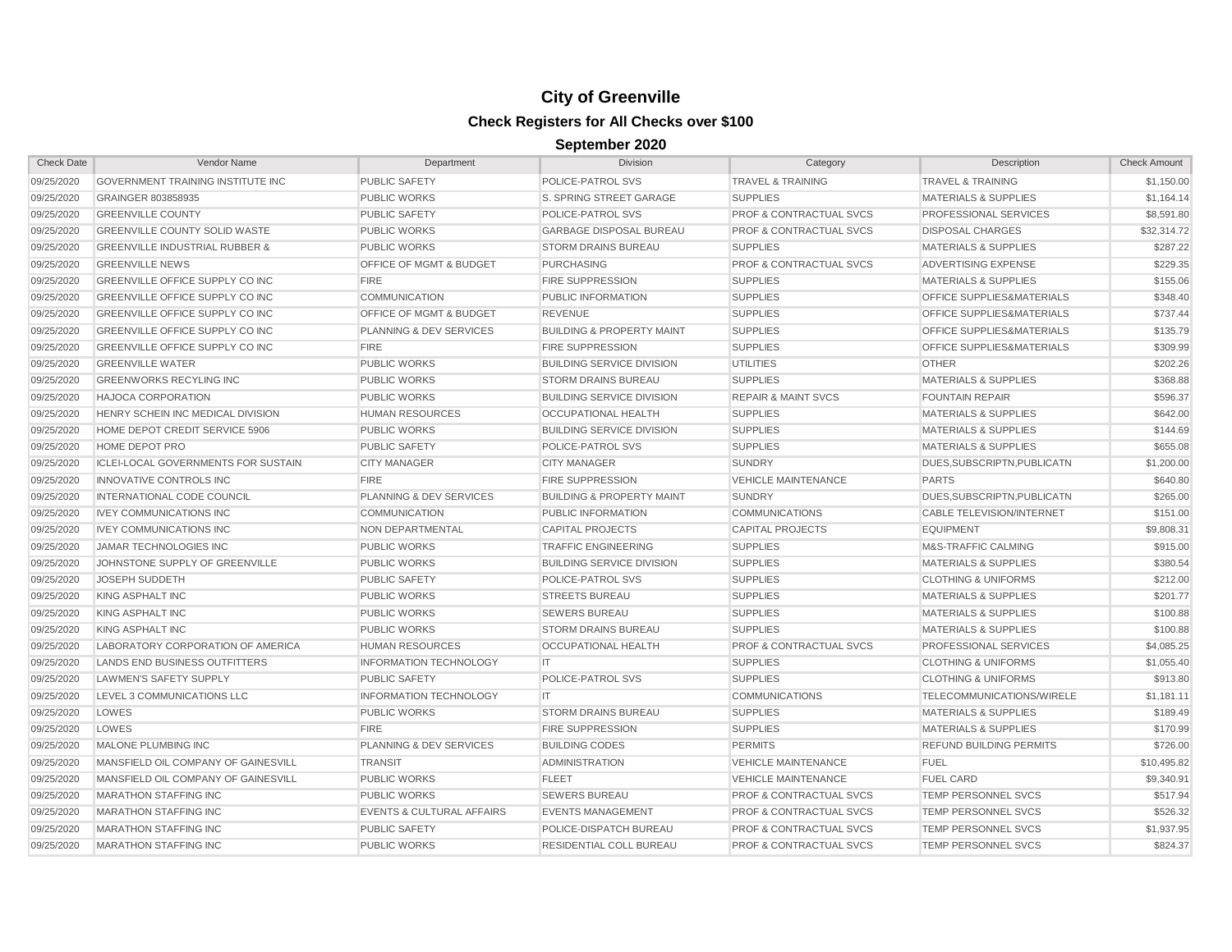| <b>Check Date</b> | Vendor Name                                | Department                           | <b>Division</b>                      | Category                           | Description                          | <b>Check Amount</b> |
|-------------------|--------------------------------------------|--------------------------------------|--------------------------------------|------------------------------------|--------------------------------------|---------------------|
| 09/25/2020        | <b>GOVERNMENT TRAINING INSTITUTE INC</b>   | <b>PUBLIC SAFETY</b>                 | POLICE-PATROL SVS                    | <b>TRAVEL &amp; TRAINING</b>       | <b>TRAVEL &amp; TRAINING</b>         | \$1,150.00          |
| 09/25/2020        | GRAINGER 803858935                         | <b>PUBLIC WORKS</b>                  | S. SPRING STREET GARAGE              | <b>SUPPLIES</b>                    | <b>MATERIALS &amp; SUPPLIES</b>      | \$1,164.14          |
| 09/25/2020        | <b>GREENVILLE COUNTY</b>                   | <b>PUBLIC SAFETY</b>                 | POLICE-PATROL SVS                    | <b>PROF &amp; CONTRACTUAL SVCS</b> | <b>PROFESSIONAL SERVICES</b>         | \$8,591.80          |
| 09/25/2020        | <b>GREENVILLE COUNTY SOLID WASTE</b>       | <b>PUBLIC WORKS</b>                  | <b>GARBAGE DISPOSAL BUREAU</b>       | <b>PROF &amp; CONTRACTUAL SVCS</b> | <b>DISPOSAL CHARGES</b>              | \$32,314.72         |
| 09/25/2020        | <b>GREENVILLE INDUSTRIAL RUBBER &amp;</b>  | <b>PUBLIC WORKS</b>                  | <b>STORM DRAINS BUREAU</b>           | <b>SUPPLIES</b>                    | <b>MATERIALS &amp; SUPPLIES</b>      | \$287.22            |
| 09/25/2020        | <b>GREENVILLE NEWS</b>                     | OFFICE OF MGMT & BUDGET              | <b>PURCHASING</b>                    | <b>PROF &amp; CONTRACTUAL SVCS</b> | <b>ADVERTISING EXPENSE</b>           | \$229.35            |
| 09/25/2020        | <b>GREENVILLE OFFICE SUPPLY CO INC</b>     | <b>FIRE</b>                          | <b>FIRE SUPPRESSION</b>              | <b>SUPPLIES</b>                    | <b>MATERIALS &amp; SUPPLIES</b>      | \$155.06            |
| 09/25/2020        | GREENVILLE OFFICE SUPPLY CO INC            | <b>COMMUNICATION</b>                 | PUBLIC INFORMATION                   | <b>SUPPLIES</b>                    | OFFICE SUPPLIES&MATERIALS            | \$348.40            |
| 09/25/2020        | <b>GREENVILLE OFFICE SUPPLY CO INC</b>     | OFFICE OF MGMT & BUDGET              | <b>REVENUE</b>                       | <b>SUPPLIES</b>                    | OFFICE SUPPLIES&MATERIALS            | \$737.44            |
| 09/25/2020        | <b>GREENVILLE OFFICE SUPPLY CO INC</b>     | PLANNING & DEV SERVICES              | <b>BUILDING &amp; PROPERTY MAINT</b> | <b>SUPPLIES</b>                    | OFFICE SUPPLIES&MATERIALS            | \$135.79            |
| 09/25/2020        | <b>GREENVILLE OFFICE SUPPLY CO INC</b>     | <b>FIRE</b>                          | <b>FIRE SUPPRESSION</b>              | <b>SUPPLIES</b>                    | <b>OFFICE SUPPLIES&amp;MATERIALS</b> | \$309.99            |
| 09/25/2020        | <b>GREENVILLE WATER</b>                    | <b>PUBLIC WORKS</b>                  | <b>BUILDING SERVICE DIVISION</b>     | <b>UTILITIES</b>                   | <b>OTHER</b>                         | \$202.26            |
| 09/25/2020        | <b>GREENWORKS RECYLING INC</b>             | <b>PUBLIC WORKS</b>                  | <b>STORM DRAINS BUREAU</b>           | <b>SUPPLIES</b>                    | <b>MATERIALS &amp; SUPPLIES</b>      | \$368.88            |
| 09/25/2020        | <b>HAJOCA CORPORATION</b>                  | <b>PUBLIC WORKS</b>                  | <b>BUILDING SERVICE DIVISION</b>     | <b>REPAIR &amp; MAINT SVCS</b>     | <b>FOUNTAIN REPAIR</b>               | \$596.37            |
| 09/25/2020        | HENRY SCHEIN INC MEDICAL DIVISION          | <b>HUMAN RESOURCES</b>               | <b>OCCUPATIONAL HEALTH</b>           | <b>SUPPLIES</b>                    | <b>MATERIALS &amp; SUPPLIES</b>      | \$642.00            |
| 09/25/2020        | HOME DEPOT CREDIT SERVICE 5906             | <b>PUBLIC WORKS</b>                  | <b>BUILDING SERVICE DIVISION</b>     | <b>SUPPLIES</b>                    | <b>MATERIALS &amp; SUPPLIES</b>      | \$144.69            |
| 09/25/2020        | <b>HOME DEPOT PRO</b>                      | <b>PUBLIC SAFETY</b>                 | POLICE-PATROL SVS                    | <b>SUPPLIES</b>                    | <b>MATERIALS &amp; SUPPLIES</b>      | \$655.08            |
| 09/25/2020        | <b>ICLEI-LOCAL GOVERNMENTS FOR SUSTAIN</b> | <b>CITY MANAGER</b>                  | <b>CITY MANAGER</b>                  | <b>SUNDRY</b>                      | DUES, SUBSCRIPTN, PUBLICATN          | \$1,200.00          |
| 09/25/2020        | <b>INNOVATIVE CONTROLS INC</b>             | <b>FIRE</b>                          | <b>FIRE SUPPRESSION</b>              | <b>VEHICLE MAINTENANCE</b>         | <b>PARTS</b>                         | \$640.80            |
| 09/25/2020        | INTERNATIONAL CODE COUNCIL                 | <b>PLANNING &amp; DEV SERVICES</b>   | <b>BUILDING &amp; PROPERTY MAINT</b> | <b>SUNDRY</b>                      | DUES.SUBSCRIPTN.PUBLICATN            | \$265.00            |
| 09/25/2020        | <b>IVEY COMMUNICATIONS INC</b>             | <b>COMMUNICATION</b>                 | PUBLIC INFORMATION                   | <b>COMMUNICATIONS</b>              | <b>CABLE TELEVISION/INTERNET</b>     | \$151.00            |
| 09/25/2020        | <b>IVEY COMMUNICATIONS INC</b>             | NON DEPARTMENTAL                     | <b>CAPITAL PROJECTS</b>              | <b>CAPITAL PROJECTS</b>            | <b>EQUIPMENT</b>                     | \$9,808.31          |
| 09/25/2020        | JAMAR TECHNOLOGIES INC                     | <b>PUBLIC WORKS</b>                  | <b>TRAFFIC ENGINEERING</b>           | <b>SUPPLIES</b>                    | M&S-TRAFFIC CALMING                  | \$915.00            |
| 09/25/2020        | JOHNSTONE SUPPLY OF GREENVILLE             | <b>PUBLIC WORKS</b>                  | <b>BUILDING SERVICE DIVISION</b>     | <b>SUPPLIES</b>                    | <b>MATERIALS &amp; SUPPLIES</b>      | \$380.54            |
| 09/25/2020        | JOSEPH SUDDETH                             | <b>PUBLIC SAFETY</b>                 | POLICE-PATROL SVS                    | <b>SUPPLIES</b>                    | <b>CLOTHING &amp; UNIFORMS</b>       | \$212.00            |
| 09/25/2020        | KING ASPHALT INC                           | <b>PUBLIC WORKS</b>                  | <b>STREETS BUREAU</b>                | <b>SUPPLIES</b>                    | <b>MATERIALS &amp; SUPPLIES</b>      | \$201.77            |
| 09/25/2020        | KING ASPHALT INC                           | <b>PUBLIC WORKS</b>                  | <b>SEWERS BUREAU</b>                 | <b>SUPPLIES</b>                    | <b>MATERIALS &amp; SUPPLIES</b>      | \$100.88            |
| 09/25/2020        | KING ASPHALT INC                           | <b>PUBLIC WORKS</b>                  | <b>STORM DRAINS BUREAU</b>           | <b>SUPPLIES</b>                    | <b>MATERIALS &amp; SUPPLIES</b>      | \$100.88            |
| 09/25/2020        | LABORATORY CORPORATION OF AMERICA          | <b>HUMAN RESOURCES</b>               | <b>OCCUPATIONAL HEALTH</b>           | PROF & CONTRACTUAL SVCS            | PROFESSIONAL SERVICES                | \$4,085.25          |
| 09/25/2020        | LANDS END BUSINESS OUTFITTERS              | <b>INFORMATION TECHNOLOGY</b>        | IT                                   | <b>SUPPLIES</b>                    | <b>CLOTHING &amp; UNIFORMS</b>       | \$1,055.40          |
| 09/25/2020        | <b>LAWMEN'S SAFETY SUPPLY</b>              | <b>PUBLIC SAFETY</b>                 | POLICE-PATROL SVS                    | <b>SUPPLIES</b>                    | <b>CLOTHING &amp; UNIFORMS</b>       | \$913.80            |
| 09/25/2020        | LEVEL 3 COMMUNICATIONS LLC                 | <b>INFORMATION TECHNOLOGY</b>        | IT                                   | <b>COMMUNICATIONS</b>              | TELECOMMUNICATIONS/WIRELE            | \$1,181.11          |
| 09/25/2020        | LOWES                                      | <b>PUBLIC WORKS</b>                  | <b>STORM DRAINS BUREAU</b>           | <b>SUPPLIES</b>                    | <b>MATERIALS &amp; SUPPLIES</b>      | \$189.49            |
| 09/25/2020        | LOWES                                      | <b>FIRE</b>                          | <b>FIRE SUPPRESSION</b>              | <b>SUPPLIES</b>                    | <b>MATERIALS &amp; SUPPLIES</b>      | \$170.99            |
| 09/25/2020        | <b>MALONE PLUMBING INC</b>                 | PLANNING & DEV SERVICES              | <b>BUILDING CODES</b>                | <b>PERMITS</b>                     | <b>REFUND BUILDING PERMITS</b>       | \$726.00            |
| 09/25/2020        | MANSFIELD OIL COMPANY OF GAINESVILL        | <b>TRANSIT</b>                       | <b>ADMINISTRATION</b>                | <b>VEHICLE MAINTENANCE</b>         | <b>FUEL</b>                          | \$10,495.82         |
| 09/25/2020        | MANSFIELD OIL COMPANY OF GAINESVILL        | <b>PUBLIC WORKS</b>                  | <b>FLEET</b>                         | <b>VEHICLE MAINTENANCE</b>         | <b>FUEL CARD</b>                     | \$9,340.91          |
| 09/25/2020        | <b>MARATHON STAFFING INC</b>               | <b>PUBLIC WORKS</b>                  | <b>SEWERS BUREAU</b>                 | <b>PROF &amp; CONTRACTUAL SVCS</b> | <b>TEMP PERSONNEL SVCS</b>           | \$517.94            |
| 09/25/2020        | <b>MARATHON STAFFING INC</b>               | <b>EVENTS &amp; CULTURAL AFFAIRS</b> | <b>EVENTS MANAGEMENT</b>             | <b>PROF &amp; CONTRACTUAL SVCS</b> | <b>TEMP PERSONNEL SVCS</b>           | \$526.32            |
| 09/25/2020        | <b>MARATHON STAFFING INC</b>               | <b>PUBLIC SAFETY</b>                 | POLICE-DISPATCH BUREAU               | <b>PROF &amp; CONTRACTUAL SVCS</b> | <b>TEMP PERSONNEL SVCS</b>           | \$1,937.95          |
| 09/25/2020        | <b>MARATHON STAFFING INC</b>               | <b>PUBLIC WORKS</b>                  | <b>RESIDENTIAL COLL BUREAU</b>       | <b>PROF &amp; CONTRACTUAL SVCS</b> | <b>TEMP PERSONNEL SVCS</b>           | \$824.37            |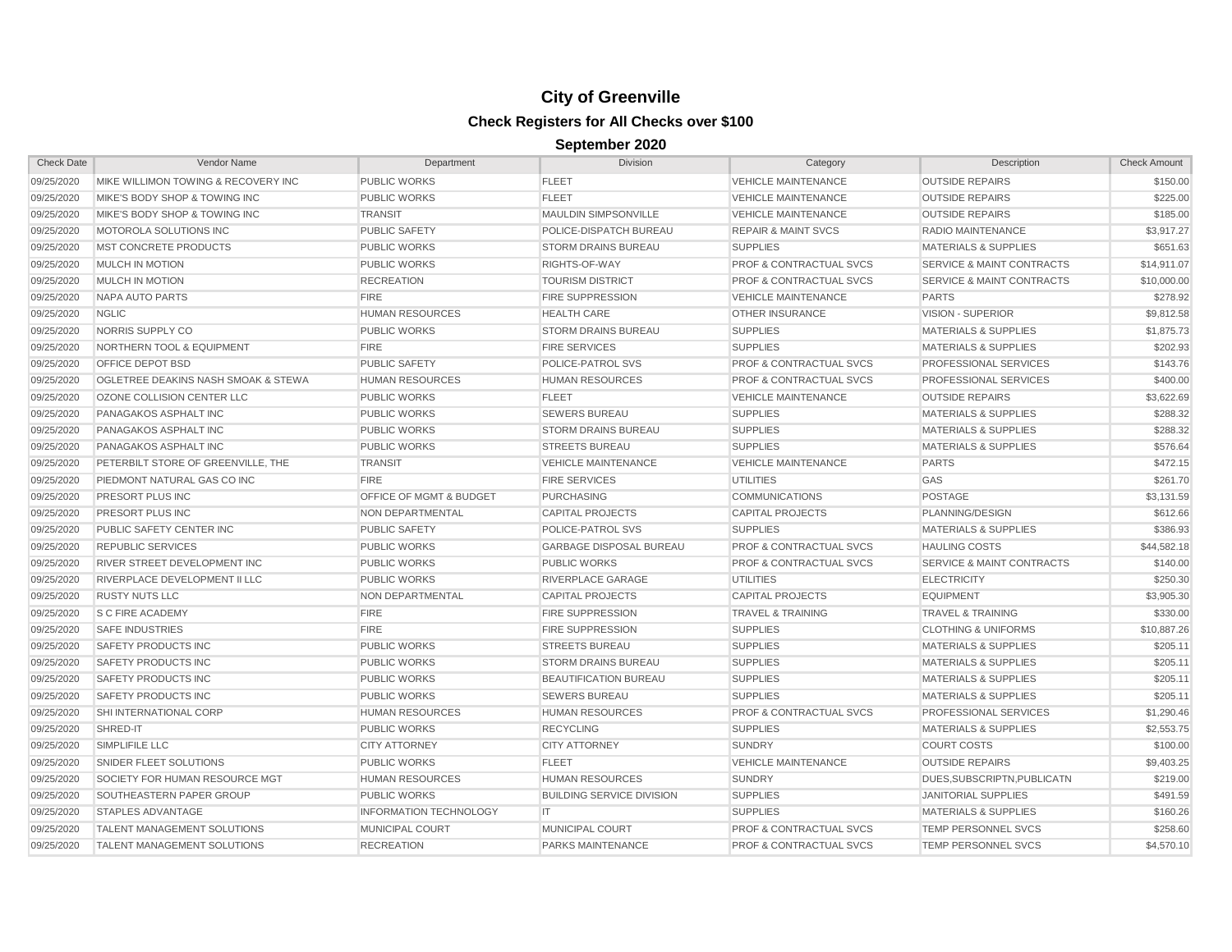| <b>Check Date</b> | Vendor Name                                    | Department                    | Division                         | Category                           | Description                          | <b>Check Amount</b> |
|-------------------|------------------------------------------------|-------------------------------|----------------------------------|------------------------------------|--------------------------------------|---------------------|
| 09/25/2020        | MIKE WILLIMON TOWING & RECOVERY INC            | <b>PUBLIC WORKS</b>           | <b>FLEET</b>                     | <b>VEHICLE MAINTENANCE</b>         | <b>OUTSIDE REPAIRS</b>               | \$150.00            |
| 09/25/2020        | MIKE'S BODY SHOP & TOWING INC                  | <b>PUBLIC WORKS</b>           | <b>FLEET</b>                     | <b>VEHICLE MAINTENANCE</b>         | <b>OUTSIDE REPAIRS</b>               | \$225.00            |
| 09/25/2020        | MIKE'S BODY SHOP & TOWING INC                  | <b>TRANSIT</b>                | <b>MAULDIN SIMPSONVILLE</b>      | <b>VEHICLE MAINTENANCE</b>         | <b>OUTSIDE REPAIRS</b>               | \$185.00            |
| 09/25/2020        | MOTOROLA SOLUTIONS INC                         | <b>PUBLIC SAFETY</b>          | POLICE-DISPATCH BUREAU           | <b>REPAIR &amp; MAINT SVCS</b>     | RADIO MAINTENANCE                    | \$3,917.27          |
| 09/25/2020        | <b>MST CONCRETE PRODUCTS</b>                   | <b>PUBLIC WORKS</b>           | <b>STORM DRAINS BUREAU</b>       | <b>SUPPLIES</b>                    | <b>MATERIALS &amp; SUPPLIES</b>      | \$651.63            |
| 09/25/2020        | MULCH IN MOTION                                | <b>PUBLIC WORKS</b>           | RIGHTS-OF-WAY                    | <b>PROF &amp; CONTRACTUAL SVCS</b> | <b>SERVICE &amp; MAINT CONTRACTS</b> | \$14,911.07         |
| 09/25/2020        | MULCH IN MOTION                                | <b>RECREATION</b>             | <b>TOURISM DISTRICT</b>          | <b>PROF &amp; CONTRACTUAL SVCS</b> | <b>SERVICE &amp; MAINT CONTRACTS</b> | \$10,000.00         |
| 09/25/2020        | <b>NAPA AUTO PARTS</b>                         | <b>FIRE</b>                   | <b>FIRE SUPPRESSION</b>          | <b>VEHICLE MAINTENANCE</b>         | <b>PARTS</b>                         | \$278.92            |
| 09/25/2020        | <b>NGLIC</b>                                   | <b>HUMAN RESOURCES</b>        | <b>HEALTH CARE</b>               | <b>OTHER INSURANCE</b>             | VISION - SUPERIOR                    | \$9,812.58          |
| 09/25/2020        | NORRIS SUPPLY CO                               | <b>PUBLIC WORKS</b>           | <b>STORM DRAINS BUREAU</b>       | <b>SUPPLIES</b>                    | <b>MATERIALS &amp; SUPPLIES</b>      | \$1,875.73          |
| 09/25/2020        | <b>NORTHERN TOOL &amp; EQUIPMENT</b>           | <b>FIRE</b>                   | <b>FIRE SERVICES</b>             | <b>SUPPLIES</b>                    | <b>MATERIALS &amp; SUPPLIES</b>      | \$202.93            |
| 09/25/2020        | <b>OFFICE DEPOT BSD</b>                        | <b>PUBLIC SAFETY</b>          | POLICE-PATROL SVS                | <b>PROF &amp; CONTRACTUAL SVCS</b> | PROFESSIONAL SERVICES                | \$143.76            |
| 09/25/2020        | <b>OGLETREE DEAKINS NASH SMOAK &amp; STEWA</b> | <b>HUMAN RESOURCES</b>        | <b>HUMAN RESOURCES</b>           | <b>PROF &amp; CONTRACTUAL SVCS</b> | PROFESSIONAL SERVICES                | \$400.00            |
| 09/25/2020        | OZONE COLLISION CENTER LLC                     | <b>PUBLIC WORKS</b>           | <b>FLEET</b>                     | <b>VEHICLE MAINTENANCE</b>         | <b>OUTSIDE REPAIRS</b>               | \$3,622.69          |
| 09/25/2020        | PANAGAKOS ASPHALT INC                          | <b>PUBLIC WORKS</b>           | <b>SEWERS BUREAU</b>             | <b>SUPPLIES</b>                    | <b>MATERIALS &amp; SUPPLIES</b>      | \$288.32            |
| 09/25/2020        | PANAGAKOS ASPHALT INC                          | <b>PUBLIC WORKS</b>           | <b>STORM DRAINS BUREAU</b>       | <b>SUPPLIES</b>                    | <b>MATERIALS &amp; SUPPLIES</b>      | \$288.32            |
| 09/25/2020        | PANAGAKOS ASPHALT INC                          | <b>PUBLIC WORKS</b>           | <b>STREETS BUREAU</b>            | <b>SUPPLIES</b>                    | <b>MATERIALS &amp; SUPPLIES</b>      | \$576.64            |
| 09/25/2020        | PETERBILT STORE OF GREENVILLE, THE             | <b>TRANSIT</b>                | <b>VEHICLE MAINTENANCE</b>       | <b>VEHICLE MAINTENANCE</b>         | <b>PARTS</b>                         | \$472.15            |
| 09/25/2020        | PIEDMONT NATURAL GAS CO INC                    | <b>FIRE</b>                   | <b>FIRE SERVICES</b>             | <b>UTILITIES</b>                   | GAS                                  | \$261.70            |
| 09/25/2020        | <b>PRESORT PLUS INC</b>                        | OFFICE OF MGMT & BUDGET       | <b>PURCHASING</b>                | <b>COMMUNICATIONS</b>              | <b>POSTAGE</b>                       | \$3,131.59          |
| 09/25/2020        | PRESORT PLUS INC                               | NON DEPARTMENTAL              | <b>CAPITAL PROJECTS</b>          | <b>CAPITAL PROJECTS</b>            | PLANNING/DESIGN                      | \$612.66            |
| 09/25/2020        | PUBLIC SAFETY CENTER INC                       | <b>PUBLIC SAFETY</b>          | POLICE-PATROL SVS                | <b>SUPPLIES</b>                    | <b>MATERIALS &amp; SUPPLIES</b>      | \$386.93            |
| 09/25/2020        | <b>REPUBLIC SERVICES</b>                       | <b>PUBLIC WORKS</b>           | <b>GARBAGE DISPOSAL BUREAU</b>   | <b>PROF &amp; CONTRACTUAL SVCS</b> | <b>HAULING COSTS</b>                 | \$44,582.18         |
| 09/25/2020        | <b>RIVER STREET DEVELOPMENT INC</b>            | <b>PUBLIC WORKS</b>           | <b>PUBLIC WORKS</b>              | <b>PROF &amp; CONTRACTUAL SVCS</b> | <b>SERVICE &amp; MAINT CONTRACTS</b> | \$140.00            |
| 09/25/2020        | <b>RIVERPLACE DEVELOPMENT II LLC</b>           | <b>PUBLIC WORKS</b>           | RIVERPLACE GARAGE                | <b>UTILITIES</b>                   | <b>ELECTRICITY</b>                   | \$250.30            |
| 09/25/2020        | <b>RUSTY NUTS LLC</b>                          | <b>NON DEPARTMENTAL</b>       | <b>CAPITAL PROJECTS</b>          | <b>CAPITAL PROJECTS</b>            | <b>EQUIPMENT</b>                     | \$3,905.30          |
| 09/25/2020        | <b>S C FIRE ACADEMY</b>                        | <b>FIRE</b>                   | <b>FIRE SUPPRESSION</b>          | <b>TRAVEL &amp; TRAINING</b>       | <b>TRAVEL &amp; TRAINING</b>         | \$330.00            |
| 09/25/2020        | <b>SAFE INDUSTRIES</b>                         | <b>FIRE</b>                   | <b>FIRE SUPPRESSION</b>          | <b>SUPPLIES</b>                    | <b>CLOTHING &amp; UNIFORMS</b>       | \$10,887.26         |
| 09/25/2020        | SAFETY PRODUCTS INC                            | <b>PUBLIC WORKS</b>           | <b>STREETS BUREAU</b>            | <b>SUPPLIES</b>                    | <b>MATERIALS &amp; SUPPLIES</b>      | \$205.11            |
| 09/25/2020        | SAFETY PRODUCTS INC                            | <b>PUBLIC WORKS</b>           | <b>STORM DRAINS BUREAU</b>       | <b>SUPPLIES</b>                    | <b>MATERIALS &amp; SUPPLIES</b>      | \$205.11            |
| 09/25/2020        | SAFETY PRODUCTS INC                            | <b>PUBLIC WORKS</b>           | <b>BEAUTIFICATION BUREAU</b>     | <b>SUPPLIES</b>                    | <b>MATERIALS &amp; SUPPLIES</b>      | \$205.11            |
| 09/25/2020        | SAFETY PRODUCTS INC                            | <b>PUBLIC WORKS</b>           | <b>SEWERS BUREAU</b>             | <b>SUPPLIES</b>                    | <b>MATERIALS &amp; SUPPLIES</b>      | \$205.11            |
| 09/25/2020        | SHI INTERNATIONAL CORP                         | <b>HUMAN RESOURCES</b>        | <b>HUMAN RESOURCES</b>           | <b>PROF &amp; CONTRACTUAL SVCS</b> | PROFESSIONAL SERVICES                | \$1,290.46          |
| 09/25/2020        | SHRED-IT                                       | <b>PUBLIC WORKS</b>           | <b>RECYCLING</b>                 | <b>SUPPLIES</b>                    | <b>MATERIALS &amp; SUPPLIES</b>      | \$2,553.75          |
| 09/25/2020        | SIMPLIFILE LLC                                 | <b>CITY ATTORNEY</b>          | <b>CITY ATTORNEY</b>             | <b>SUNDRY</b>                      | <b>COURT COSTS</b>                   | \$100.00            |
| 09/25/2020        | SNIDER FLEET SOLUTIONS                         | <b>PUBLIC WORKS</b>           | <b>FLEET</b>                     | <b>VEHICLE MAINTENANCE</b>         | <b>OUTSIDE REPAIRS</b>               | \$9,403.25          |
| 09/25/2020        | <b>SOCIETY FOR HUMAN RESOURCE MGT</b>          | <b>HUMAN RESOURCES</b>        | <b>HUMAN RESOURCES</b>           | <b>SUNDRY</b>                      | DUES, SUBSCRIPTN, PUBLICATN          | \$219.00            |
| 09/25/2020        | SOUTHEASTERN PAPER GROUP                       | <b>PUBLIC WORKS</b>           | <b>BUILDING SERVICE DIVISION</b> | <b>SUPPLIES</b>                    | <b>JANITORIAL SUPPLIES</b>           | \$491.59            |
| 09/25/2020        | <b>STAPLES ADVANTAGE</b>                       | <b>INFORMATION TECHNOLOGY</b> | IT.                              | <b>SUPPLIES</b>                    | <b>MATERIALS &amp; SUPPLIES</b>      | \$160.26            |
| 09/25/2020        | <b>TALENT MANAGEMENT SOLUTIONS</b>             | <b>MUNICIPAL COURT</b>        | MUNICIPAL COURT                  | <b>PROF &amp; CONTRACTUAL SVCS</b> | <b>TEMP PERSONNEL SVCS</b>           | \$258.60            |
| 09/25/2020        | <b>TALENT MANAGEMENT SOLUTIONS</b>             | <b>RECREATION</b>             | <b>PARKS MAINTENANCE</b>         | <b>PROF &amp; CONTRACTUAL SVCS</b> | TEMP PERSONNEL SVCS                  | \$4,570.10          |